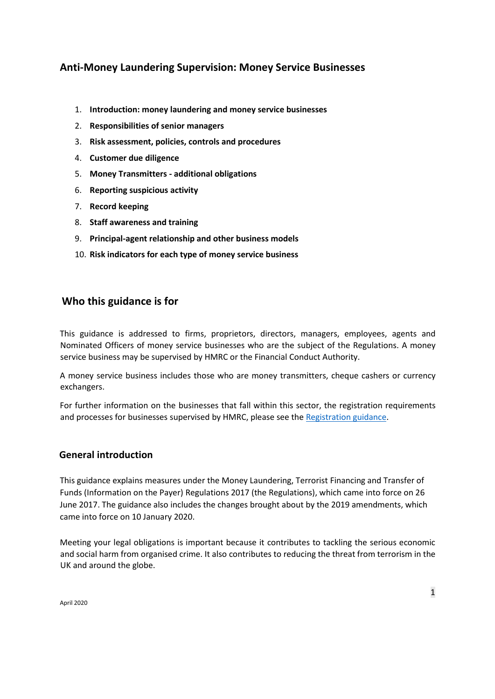# **[Anti-Money Laundering Supervision: Money Service Businesses](https://www.gov.uk/government/publications/anti-money-laundering-guidance-for-money-service-businesses)**

- 1. **Introduction: money laundering and money service businesses**
- 2. **Responsibilities of senior managers**
- 3. **Risk assessment, policies, controls and procedures**
- 4. **Customer due diligence**
- 5. **Money Transmitters - additional obligations**
- 6. **Reporting suspicious activity**
- 7. **Record keeping**
- 8. **Staff awareness and training**
- 9. **Principal-agent relationship and other business models**
- 10. **Risk indicators for each type of money service business**

## **Who this guidance is for**

This guidance is addressed to firms, proprietors, directors, managers, employees, agents and Nominated Officers of money service businesses who are the subject of the Regulations. A money service business may be supervised by HMRC or the Financial Conduct Authority.

A money service business includes those who are money transmitters, cheque cashers or currency exchangers.

For further information on the businesses that fall within this sector, the registration requirements and processes for businesses supervised by HMRC, please see the [Registration guidance.](https://www.gov.uk/guidance/money-laundering-regulations-trust-or-company-service-provider-registration)

#### **General introduction**

This guidance explains measures under the Money Laundering, Terrorist Financing and Transfer of Funds (Information on the Payer) Regulations 2017 (the Regulations), which came into force on 26 June 2017. The guidance also includes the changes brought about by the 2019 amendments, which came into force on 10 January 2020.

Meeting your legal obligations is important because it contributes to tackling the serious economic and social harm from organised crime. It also contributes to reducing the threat from terrorism in the UK and around the globe.

April 2020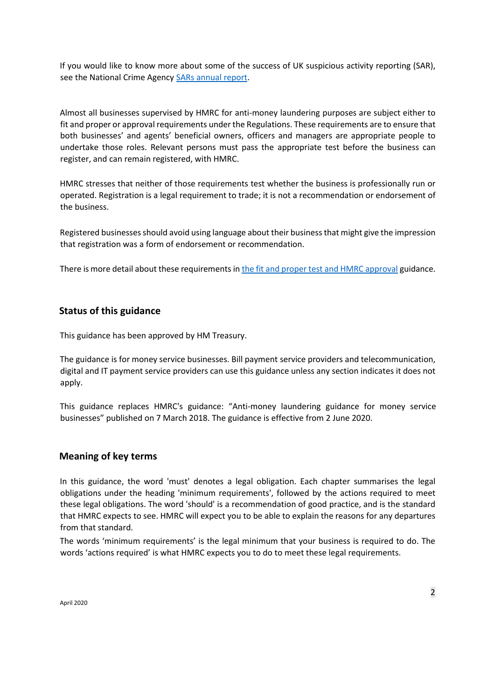If you would like to know more about some of the success of UK suspicious activity reporting (SAR), see the National Crime Agency [SARs annual report.](http://www.nationalcrimeagency.gov.uk/publications/suspicious-activity-reports-sars/677-sars-annual-report-2015)

Almost all businesses supervised by HMRC for anti-money laundering purposes are subject either to fit and proper or approval requirements under the Regulations. These requirements are to ensure that both businesses' and agents' beneficial owners, officers and managers are appropriate people to undertake those roles. Relevant persons must pass the appropriate test before the business can register, and can remain registered, with HMRC.

HMRC stresses that neither of those requirements test whether the business is professionally run or operated. Registration is a legal requirement to trade; it is not a recommendation or endorsement of the business.

Registered businessesshould avoid using language about their business that might give the impression that registration was a form of endorsement or recommendation.

There is more detail about these requirements i[n the fit and proper test and HMRC approval](https://www.gov.uk/guidance/money-laundering-regulations-apply-for-the-fit-and-proper-test) guidance.

#### **Status of this guidance**

This guidance has been approved by HM Treasury.

The guidance is for money service businesses. Bill payment service providers and telecommunication, digital and IT payment service providers can use this guidance unless any section indicates it does not apply.

This guidance replaces HMRC's guidance: "Anti-money laundering guidance for money service businesses" published on 7 March 2018. The guidance is effective from 2 June 2020.

#### **Meaning of key terms**

In this guidance, the word 'must' denotes a legal obligation. Each chapter summarises the legal obligations under the heading 'minimum requirements', followed by the actions required to meet these legal obligations. The word 'should' is a recommendation of good practice, and is the standard that HMRC expects to see. HMRC will expect you to be able to explain the reasons for any departures from that standard.

The words 'minimum requirements' is the legal minimum that your business is required to do. The words 'actions required' is what HMRC expects you to do to meet these legal requirements.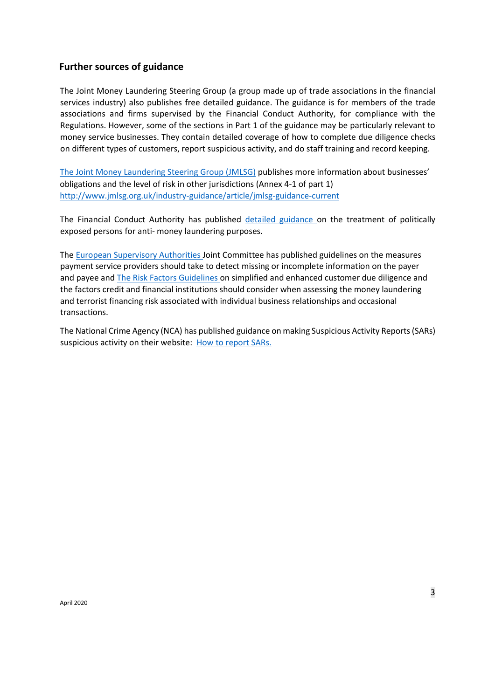#### **Further sources of guidance**

The Joint Money Laundering Steering Group (a group made up of trade associations in the financial services industry) also publishes free detailed guidance. The guidance is for members of the trade associations and firms supervised by the Financial Conduct Authority, for compliance with the Regulations. However, some of the sections in Part 1 of the guidance may be particularly relevant to money service businesses. They contain detailed coverage of how to complete due diligence checks on different types of customers, report suspicious activity, and do staff training and record keeping.

[The Joint Money Laundering Steering Group](http://www.jmlsg.org.uk/news/jmlsg-revised-guidance) [\(](http://www.jmlsg.org.uk/news/jmlsg-revised-guidance)JMLSG) publishes more information about businesses' obligations and the level of risk in other jurisdictions (Annex 4-1 of part 1) <http://www.jmlsg.org.uk/industry-guidance/article/jmlsg-guidance-current>

The Financial Conduct Authority has publishe[d](https://www.fca.org.uk/publication/finalised-guidance/fg17-06.pdf) [detailed guidance](https://www.fca.org.uk/publication/finalised-guidance/fg17-06.pdf) on the treatment of politically exposed persons for anti- money laundering purposes.

The [European Supervisory Authorities Jo](https://esas-joint-committee.europa.eu/Publications/Guidelines/Joint%20Guidelines%20to%20prevent%20terrorist%20financing%20and%20money%20laundering%20in%20electronic%20fund%20transfers%20(JC-GL-2017-16).pdf)int Committee has published guidelines on the measures payment service providers should take to detect missing or incomplete information on the payer and payee an[d The Risk Factors Guidelines](https://www.eba.europa.eu/documents/10180/1890686/Final+Guidelines+on+Risk+Factors+%28JC+2017+37%29.pdf) [o](https://www.eba.europa.eu/documents/10180/1890686/Final+Guidelines+on+Risk+Factors+%28JC+2017+37%29.pdf)n simplified and enhanced customer due diligence and the factors credit and financial institutions should consider when assessing the money laundering and terrorist financing risk associated with individual business relationships and occasional transactions.

The National Crime Agency (NCA) has published guidance on making Suspicious Activity Reports (SARs) suspicious activity on their website: [How to report SARs.](http://www.nationalcrimeagency.gov.uk/about-us/what-we-do/economic-crime/ukfiu/how-to-report-sars)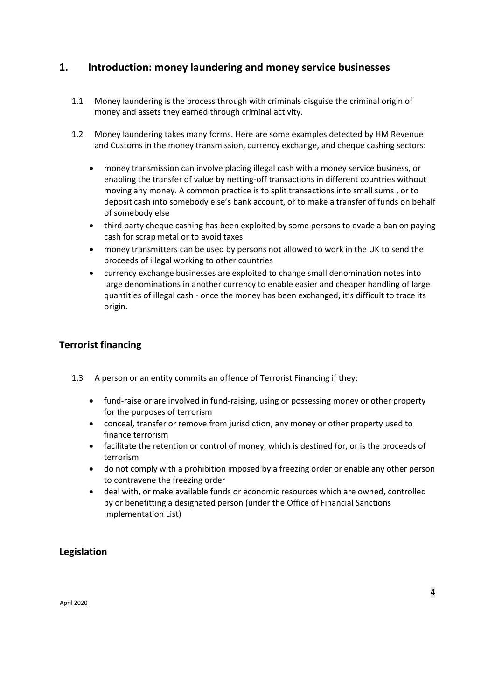## **1. Introduction: money laundering and money service businesses**

- 1.1 Money laundering is the process through with criminals disguise the criminal origin of money and assets they earned through criminal activity.
- 1.2 Money laundering takes many forms. Here are some examples detected by HM Revenue and Customs in the money transmission, currency exchange, and cheque cashing sectors:
	- money transmission can involve placing illegal cash with a money service business, or enabling the transfer of value by netting-off transactions in different countries without moving any money. A common practice is to split transactions into small sums , or to deposit cash into somebody else's bank account, or to make a transfer of funds on behalf of somebody else
	- third party cheque cashing has been exploited by some persons to evade a ban on paying cash for scrap metal or to avoid taxes
	- money transmitters can be used by persons not allowed to work in the UK to send the proceeds of illegal working to other countries
	- currency exchange businesses are exploited to change small denomination notes into large denominations in another currency to enable easier and cheaper handling of large quantities of illegal cash - once the money has been exchanged, it's difficult to trace its origin.

## **Terrorist financing**

- 1.3 A person or an entity commits an offence of Terrorist Financing if they;
	- fund-raise or are involved in fund-raising, using or possessing money or other property for the purposes of terrorism
	- conceal, transfer or remove from jurisdiction, any money or other property used to finance terrorism
	- facilitate the retention or control of money, which is destined for, or is the proceeds of terrorism
	- do not comply with a prohibition imposed by a freezing order or enable any other person to contravene the freezing order
	- deal with, or make available funds or economic resources which are owned, controlled by or benefitting a designated person (under the Office of Financial Sanctions Implementation List)

#### **Legislation**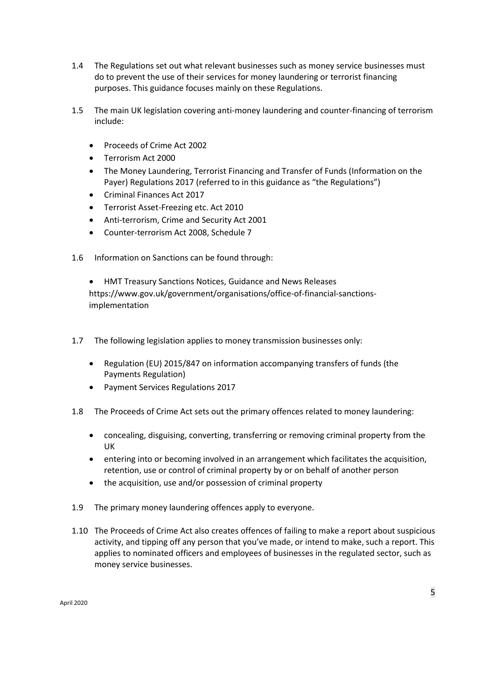- 1.4 The Regulations set out what relevant businesses such as money service businesses must do to prevent the use of their services for money laundering or terrorist financing purposes. This guidance focuses mainly on these Regulations.
- 1.5 The main UK legislation covering anti-money laundering and counter-financing of terrorism include:
	- Proceeds of Crime Act 2002
	- Terrorism Act 2000
	- The Money Laundering, Terrorist Financing and Transfer of Funds (Information on the Payer) Regulations 2017 (referred to in this guidance as "the Regulations")
	- Criminal Finances Act 2017
	- Terrorist Asset-Freezing etc. Act 2010
	- Anti-terrorism, Crime and Security Act 2001
	- Counter-terrorism Act 2008, Schedule 7
- 1.6 Information on Sanctions can be found through:

• HMT Treasury Sanctions Notices, Guidance and News Releases https://www.gov.uk/government/organisations/office-of-financial-sanctionsimplementation

- 1.7 The following legislation applies to money transmission businesses only:
	- Regulation (EU) 2015/847 on information accompanying transfers of funds (the Payments Regulation)
	- Payment Services Regulations 2017
- 1.8 The Proceeds of Crime Act sets out the primary offences related to money laundering:
	- concealing, disguising, converting, transferring or removing criminal property from the UK
	- entering into or becoming involved in an arrangement which facilitates the acquisition, retention, use or control of criminal property by or on behalf of another person
	- the acquisition, use and/or possession of criminal property
- 1.9 The primary money laundering offences apply to everyone.
- 1.10 The Proceeds of Crime Act also creates offences of failing to make a report about suspicious activity, and tipping off any person that you've made, or intend to make, such a report. This applies to nominated officers and employees of businesses in the regulated sector, such as money service businesses.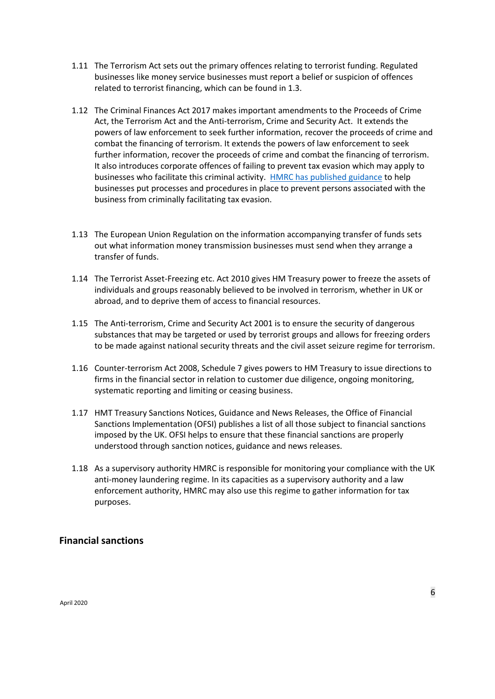- 1.11 The Terrorism Act sets out the primary offences relating to terrorist funding. Regulated businesses like money service businesses must report a belief or suspicion of offences related to terrorist financing, which can be found in 1.3.
- 1.12 The Criminal Finances Act 2017 makes important amendments to the Proceeds of Crime Act, the Terrorism Act and the Anti-terrorism, Crime and Security Act. It extends the powers of law enforcement to seek further information, recover the proceeds of crime and combat the financing of terrorism. It extends the powers of law enforcement to seek further information, recover the proceeds of crime and combat the financing of terrorism. It also introduces corporate offences of failing to prevent tax evasion which may apply to businesses who facilitate this criminal activity. [HMRC has published guidance](https://www.gov.uk/government/publications/issue-briefing-tackling-tax-evasion) [t](https://www.gov.uk/government/uploads/system/uploads/attachment_data/file/642714/Tackling-tax-evasion-corporate-offences.pdf)o help businesses put processes and procedures in place to prevent persons associated with the business from criminally facilitating tax evasion.
- 1.13 The European Union Regulation on the information accompanying transfer of funds sets out what information money transmission businesses must send when they arrange a transfer of funds.
- 1.14 The Terrorist Asset-Freezing etc. Act 2010 gives HM Treasury power to freeze the assets of individuals and groups reasonably believed to be involved in terrorism, whether in UK or abroad, and to deprive them of access to financial resources.
- 1.15 The Anti-terrorism, Crime and Security Act 2001 is to ensure the security of dangerous substances that may be targeted or used by terrorist groups and allows for freezing orders to be made against national security threats and the civil asset seizure regime for terrorism.
- 1.16 Counter-terrorism Act 2008, Schedule 7 gives powers to HM Treasury to issue directions to firms in the financial sector in relation to customer due diligence, ongoing monitoring, systematic reporting and limiting or ceasing business.
- 1.17 HMT Treasury Sanctions Notices, Guidance and News Releases, the Office of Financial Sanctions Implementation (OFSI) publishes a list of all those subject to financial sanctions imposed by the UK. OFSI helps to ensure that these financial sanctions are properly understood through sanction notices, guidance and news releases.
- 1.18 As a supervisory authority HMRC is responsible for monitoring your compliance with the UK anti-money laundering regime. In its capacities as a supervisory authority and a law enforcement authority, HMRC may also use this regime to gather information for tax purposes.

#### **Financial sanctions**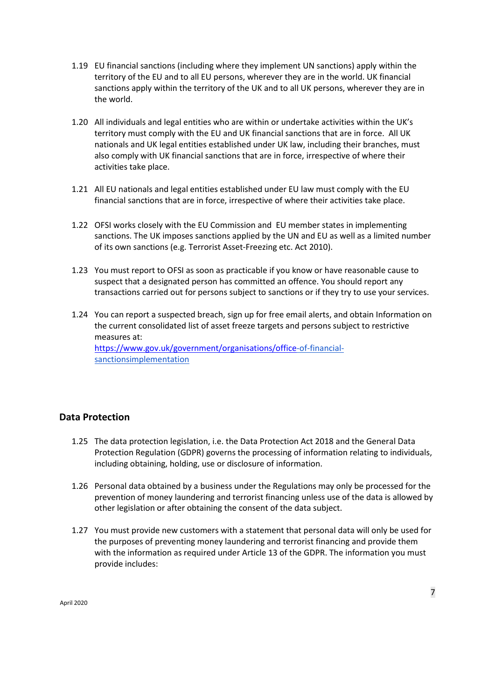- 1.19 EU financial sanctions (including where they implement UN sanctions) apply within the territory of the EU and to all EU persons, wherever they are in the world. UK financial sanctions apply within the territory of the UK and to all UK persons, wherever they are in the world.
- 1.20 All individuals and legal entities who are within or undertake activities within the UK's territory must comply with the EU and UK financial sanctions that are in force. All UK nationals and UK legal entities established under UK law, including their branches, must also comply with UK financial sanctions that are in force, irrespective of where their activities take place.
- 1.21 All EU nationals and legal entities established under EU law must comply with the EU financial sanctions that are in force, irrespective of where their activities take place.
- 1.22 OFSI works closely with the EU Commission and EU member states in implementing sanctions. The UK imposes sanctions applied by the UN and EU as well as a limited number of its own sanctions (e.g. Terrorist Asset-Freezing etc. Act 2010).
- 1.23 You must report to OFSI as soon as practicable if you know or have reasonable cause to suspect that a designated person has committed an offence. You should report any transactions carried out for persons subject to sanctions or if they try to use your services.
- 1.24 You can report a suspected breach, sign up for free email alerts, and obtain Information on the current consolidated list of asset freeze targets and persons subject to restrictive measures at: <https://www.gov.uk/government/organisations/office>[-of-financial](https://www.gov.uk/government/organisations/office-of-financial-sanctions-implementation)[sanctionsimplementation](https://www.gov.uk/government/organisations/office-of-financial-sanctions-implementation)

#### **Data Protection**

- 1.25 The data protection legislation, i.e. the Data Protection Act 2018 and the General Data Protection Regulation (GDPR) governs the processing of information relating to individuals, including obtaining, holding, use or disclosure of information.
- 1.26 Personal data obtained by a business under the Regulations may only be processed for the prevention of money laundering and terrorist financing unless use of the data is allowed by other legislation or after obtaining the consent of the data subject.
- 1.27 You must provide new customers with a statement that personal data will only be used for the purposes of preventing money laundering and terrorist financing and provide them with the information as required under Article 13 of the GDPR. The information you must provide includes: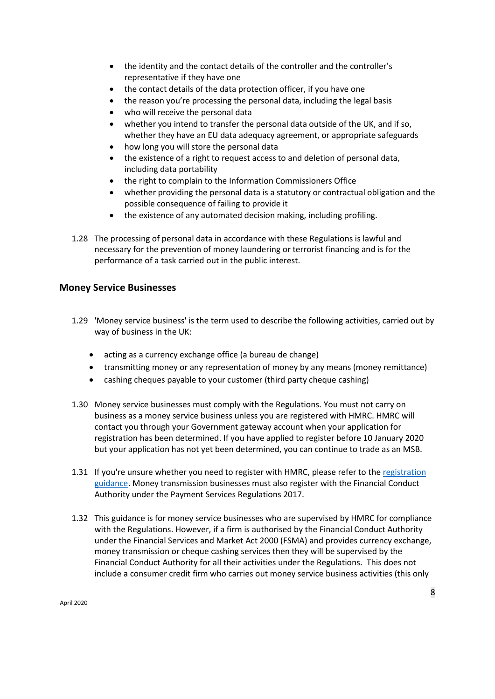- the identity and the contact details of the controller and the controller's representative if they have one
- the contact details of the data protection officer, if you have one
- the reason you're processing the personal data, including the legal basis
- who will receive the personal data
- whether you intend to transfer the personal data outside of the UK, and if so, whether they have an EU data adequacy agreement, or appropriate safeguards
- how long you will store the personal data
- the existence of a right to request access to and deletion of personal data, including data portability
- the right to complain to the Information Commissioners Office
- whether providing the personal data is a statutory or contractual obligation and the possible consequence of failing to provide it
- the existence of any automated decision making, including profiling.
- 1.28 The processing of personal data in accordance with these Regulations is lawful and necessary for the prevention of money laundering or terrorist financing and is for the performance of a task carried out in the public interest.

#### **Money Service Businesses**

- 1.29 'Money service business' is the term used to describe the following activities, carried out by way of business in the UK:
	- acting as a currency exchange office (a bureau de change)
	- transmitting money or any representation of money by any means (money remittance)
	- cashing cheques payable to your customer (third party cheque cashing)
- 1.30 Money service businesses must comply with the Regulations. You must not carry on business as a money service business unless you are registered with HMRC. HMRC will contact you through your Government gateway account when your application for registration has been determined. If you have applied to register before 10 January 2020 but your application has not yet been determined, you can continue to trade as an MSB.
- 1.31 If you're unsure whether you need to register with HMRC, please refer to the registration [guidance.](https://www.gov.uk/guidance/money-laundering-regulations-who-needs-to-register) Money transmission businesses must also register with the Financial Conduct Authority under the Payment Services Regulations 2017.
- 1.32 This guidance is for money service businesses who are supervised by HMRC for compliance with the Regulations. However, if a firm is authorised by the Financial Conduct Authority under the Financial Services and Market Act 2000 (FSMA) and provides currency exchange, money transmission or cheque cashing services then they will be supervised by the Financial Conduct Authority for all their activities under the Regulations. This does not include a consumer credit firm who carries out money service business activities (this only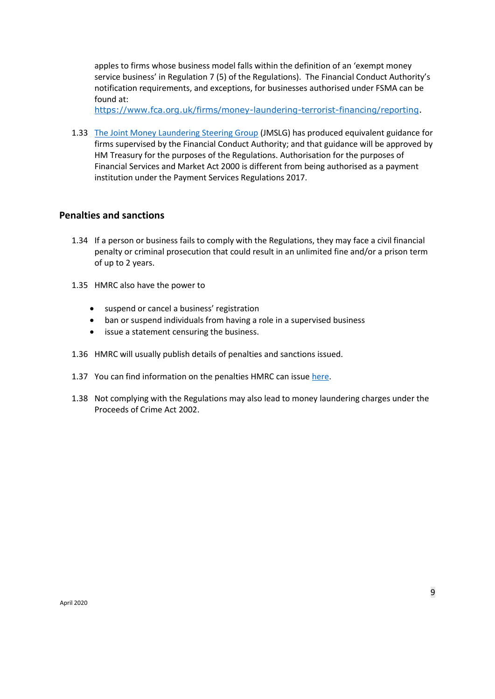apples to firms whose business model falls within the definition of an 'exempt money service business' in Regulation 7 (5) of the Regulations). The Financial Conduct Authority's notification requirements, and exceptions, for businesses authorised under FSMA can be found at:

[https://www.fca.org.uk/firms/money-laundering-terrorist-financing/reporting.](https://www.fca.org.uk/firms/money-laundering-terrorist-financing/reporting)

1.33 [The Joint Money Laundering Steering Group](http://www.jmlsg.org.uk/news/jmlsg-revised-guidance) (JMSLG) has produced equivalent guidance for firms supervised by the Financial Conduct Authority; and that guidance will be approved by HM Treasury for the purposes of the Regulations. Authorisation for the purposes of Financial Services and Market Act 2000 is different from being authorised as a payment institution under the Payment Services Regulations 2017.

#### **Penalties and sanctions**

- 1.34 If a person or business fails to comply with the Regulations, they may face a civil financial penalty or criminal prosecution that could result in an unlimited fine and/or a prison term of up to 2 years.
- 1.35 HMRC also have the power to
	- suspend or cancel a business' registration
	- ban or suspend individuals from having a role in a supervised business
	- issue a statement censuring the business.
- 1.36 HMRC will usually publish details of penalties and sanctions issued.
- 1.37 You can find information on the penalties HMRC can issue [here.](https://www.gov.uk/guidance/money-laundering-regulations-appeals-and-penalties)
- 1.38 Not complying with the Regulations may also lead to money laundering charges under the Proceeds of Crime Act 2002.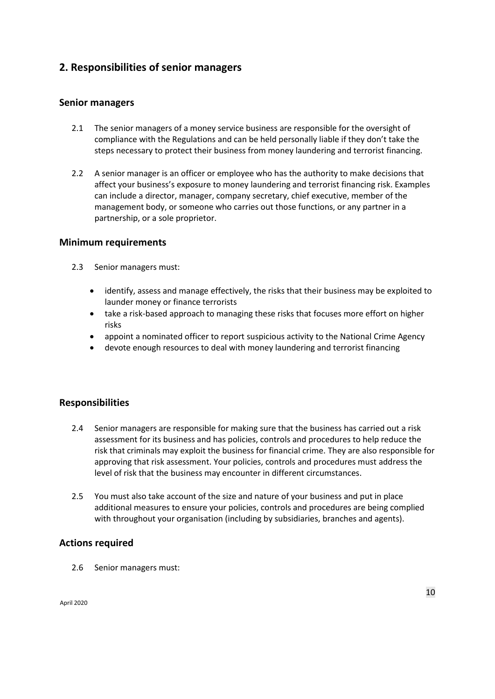# **2. Responsibilities of senior managers**

#### **Senior managers**

- 2.1 The senior managers of a money service business are responsible for the oversight of compliance with the Regulations and can be held personally liable if they don't take the steps necessary to protect their business from money laundering and terrorist financing.
- 2.2 A senior manager is an officer or employee who has the authority to make decisions that affect your business's exposure to money laundering and terrorist financing risk. Examples can include a director, manager, company secretary, chief executive, member of the management body, or someone who carries out those functions, or any partner in a partnership, or a sole proprietor.

#### **Minimum requirements**

- 2.3 Senior managers must:
	- identify, assess and manage effectively, the risks that their business may be exploited to launder money or finance terrorists
	- take a risk-based approach to managing these risks that focuses more effort on higher risks
	- appoint a nominated officer to report suspicious activity to the National Crime Agency
	- devote enough resources to deal with money laundering and terrorist financing

#### **Responsibilities**

- 2.4 Senior managers are responsible for making sure that the business has carried out a risk assessment for its business and has policies, controls and procedures to help reduce the risk that criminals may exploit the business for financial crime. They are also responsible for approving that risk assessment. Your policies, controls and procedures must address the level of risk that the business may encounter in different circumstances.
- 2.5 You must also take account of the size and nature of your business and put in place additional measures to ensure your policies, controls and procedures are being complied with throughout your organisation (including by subsidiaries, branches and agents).

#### **Actions required**

2.6 Senior managers must: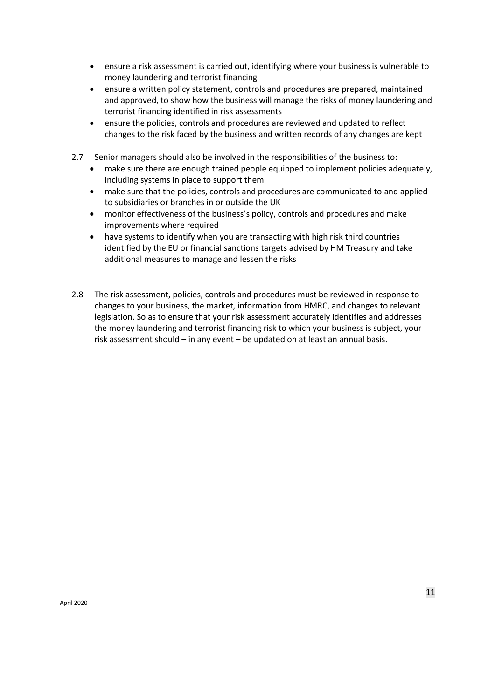- ensure a risk assessment is carried out, identifying where your business is vulnerable to money laundering and terrorist financing
- ensure a written policy statement, controls and procedures are prepared, maintained and approved, to show how the business will manage the risks of money laundering and terrorist financing identified in risk assessments
- ensure the policies, controls and procedures are reviewed and updated to reflect changes to the risk faced by the business and written records of any changes are kept
- 2.7 Senior managers should also be involved in the responsibilities of the business to:
	- make sure there are enough trained people equipped to implement policies adequately, including systems in place to support them
	- make sure that the policies, controls and procedures are communicated to and applied to subsidiaries or branches in or outside the UK
	- monitor effectiveness of the business's policy, controls and procedures and make improvements where required
	- have systems to identify when you are transacting with high risk third countries identified by the EU or financial sanctions targets advised by HM Treasury and take additional measures to manage and lessen the risks
- 2.8 The risk assessment, policies, controls and procedures must be reviewed in response to changes to your business, the market, information from HMRC, and changes to relevant legislation. So as to ensure that your risk assessment accurately identifies and addresses the money laundering and terrorist financing risk to which your business is subject, your risk assessment should – in any event – be updated on at least an annual basis.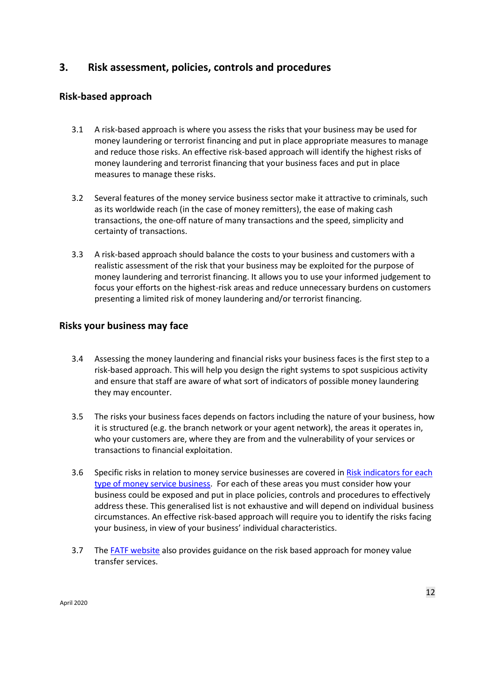## **3. Risk assessment, policies, controls and procedures**

## **Risk-based approach**

- 3.1 A risk-based approach is where you assess the risks that your business may be used for money laundering or terrorist financing and put in place appropriate measures to manage and reduce those risks. An effective risk-based approach will identify the highest risks of money laundering and terrorist financing that your business faces and put in place measures to manage these risks.
- 3.2 Several features of the money service business sector make it attractive to criminals, such as its worldwide reach (in the case of money remitters), the ease of making cash transactions, the one-off nature of many transactions and the speed, simplicity and certainty of transactions.
- 3.3 A risk-based approach should balance the costs to your business and customers with a realistic assessment of the risk that your business may be exploited for the purpose of money laundering and terrorist financing. It allows you to use your informed judgement to focus your efforts on the highest-risk areas and reduce unnecessary burdens on customers presenting a limited risk of money laundering and/or terrorist financing.

#### **Risks your business may face**

- 3.4 Assessing the money laundering and financial risks your business faces is the first step to a risk-based approach. This will help you design the right systems to spot suspicious activity and ensure that staff are aware of what sort of indicators of possible money laundering they may encounter.
- 3.5 The risks your business faces depends on factors including the nature of your business, how it is structured (e.g. the branch network or your agent network), the areas it operates in, who your customers are, where they are from and the vulnerability of your services or transactions to financial exploitation.
- 3.6 Specific risks in relation to money service businesses are covered i[n Risk indicators for each](#page-74-0)  [type of money service business.](#page-74-0) For each of these areas you must consider how your business could be exposed and put in place policies, controls and procedures to effectively address these. This generalised list is not exhaustive and will depend on individual business circumstances. An effective risk-based approach will require you to identify the risks facing your business, in view of your business' individual characteristics.
- 3.7 Th[e FATF website](http://www.fatf-gafi.org/media/fatf/documents/reports/Guidance-RBA-money-value-transfer-services.pdf) also provides guidance on the risk based approach for money value transfer services.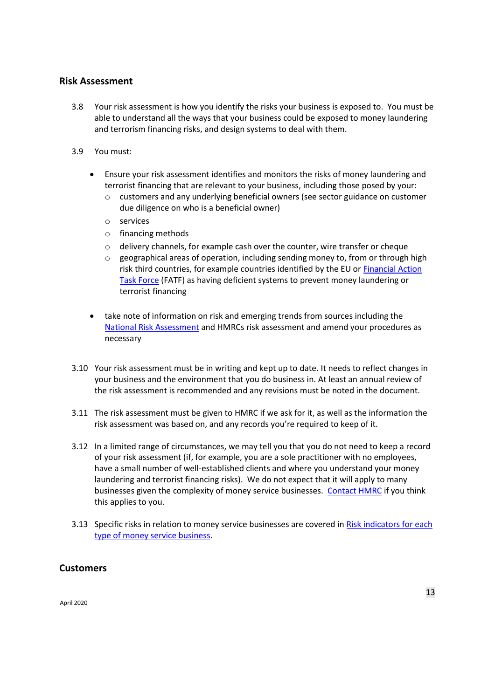#### **Risk Assessment**

- 3.8 Your risk assessment is how you identify the risks your business is exposed to. You must be able to understand all the ways that your business could be exposed to money laundering and terrorism financing risks, and design systems to deal with them.
- 3.9 You must:
	- Ensure your risk assessment identifies and monitors the risks of money laundering and terrorist financing that are relevant to your business, including those posed by your:
		- o customers and any underlying beneficial owners (see sector guidance on customer due diligence on who is a beneficial owner)
		- o services
		- o financing methods
		- o delivery channels, for example cash over the counter, wire transfer or cheque
		- geographical areas of operation, including sending money to, from or through high risk third countries, for example countries identified by the EU o[r Financial Action](http://www.fatf-gafi.org/publications/high-riskandnon-cooperativejurisdictions/?hf=10&b=0&s=desc(fatf_releasedate))  [Task Force](http://www.fatf-gafi.org/publications/high-riskandnon-cooperativejurisdictions/?hf=10&b=0&s=desc(fatf_releasedate)) (FATF) as having deficient systems to prevent money laundering or terrorist financing
	- take note of information on risk and emerging trends from sources including th[e](https://www.gov.uk/government/publications/national-risk-assessment-of-money-laundering-and-terrorist-financing-2017) [National Risk](https://www.gov.uk/government/publications/national-risk-assessment-of-money-laundering-and-terrorist-financing-2017) Assessment and HMRCs risk assessment and amend your procedures as necessary
- 3.10 Your risk assessment must be in writing and kept up to date. It needs to reflect changes in your business and the environment that you do business in. At least an annual review of the risk assessment is recommended and any revisions must be noted in the document.
- 3.11 The risk assessment must be given to HMRC if we ask for it, as well as the information the risk assessment was based on, and any records you're required to keep of it.
- 3.12 In a limited range of circumstances, we may tell you that you do not need to keep a record of your risk assessment (if, for example, you are a sole practitioner with no employees, have a small number of well-established clients and where you understand your money laundering and terrorist financing risks). We do not expect that it will apply to many businesses given the complexity of money service businesses. [Contact HMRC](#page-82-0) if you think this applies to you.
- 3.13 Specific risks in relation to money service businesses are covered i[n Risk indicators for each](#page-74-0)  [type of money service business.](#page-74-0)

#### **Customers**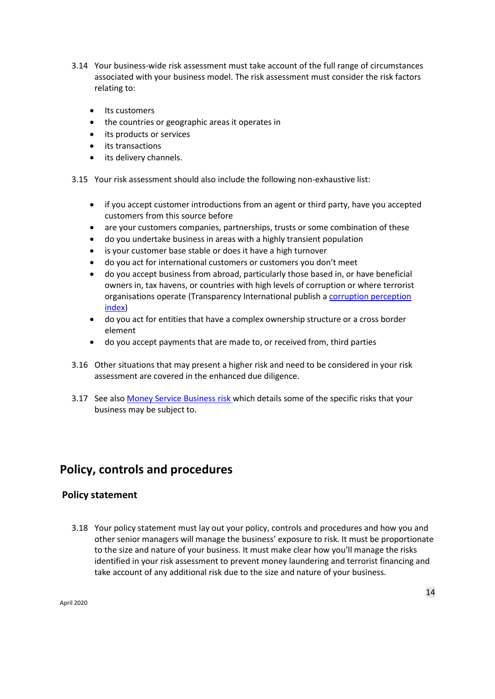- 3.14 Your business-wide risk assessment must take account of the full range of circumstances associated with your business model. The risk assessment must consider the risk factors relating to:
	- Its customers
	- the countries or geographic areas it operates in
	- its products or services
	- its transactions
	- its delivery channels.
- 3.15 Your risk assessment should also include the following non-exhaustive list:
	- if you accept customer introductions from an agent or third party, have you accepted customers from this source before
	- are your customers companies, partnerships, trusts or some combination of these
	- do you undertake business in areas with a highly transient population
	- is your customer base stable or does it have a high turnover
	- do you act for international customers or customers you don't meet
	- do you accept business from abroad, particularly those based in, or have beneficial owners in, tax havens, or countries with high levels of corruption or where terrorist organisations operate (Transparency International publish a [corruption perception](https://www.transparency.org/en/cpi)  [index](https://www.transparency.org/en/cpi)[\)](https://www.transparency.org/research/cpi/overview)
	- do you act for entities that have a complex ownership structure or a cross border element
	- do you accept payments that are made to, or received from, third parties
- 3.16 Other situations that may present a higher risk and need to be considered in your risk assessment are covered in the enhanced due diligence.
- 3.17 See als[o Money Service Business risk](#page-73-0) which details some of the specific risks that your business may be subject to.

# **Policy, controls and procedures**

#### **Policy statement**

3.18 Your policy statement must lay out your policy, controls and procedures and how you and other senior managers will manage the business' exposure to risk. It must be proportionate to the size and nature of your business. It must make clear how you'll manage the risks identified in your risk assessment to prevent money laundering and terrorist financing and take account of any additional risk due to the size and nature of your business.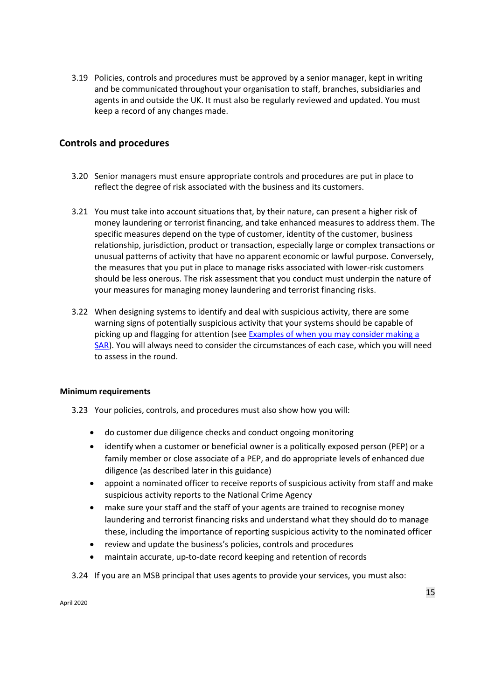3.19 Policies, controls and procedures must be approved by a senior manager, kept in writing and be communicated throughout your organisation to staff, branches, subsidiaries and agents in and outside the UK. It must also be regularly reviewed and updated. You must keep a record of any changes made.

#### **Controls and procedures**

- 3.20 Senior managers must ensure appropriate controls and procedures are put in place to reflect the degree of risk associated with the business and its customers.
- 3.21 You must take into account situations that, by their nature, can present a higher risk of money laundering or terrorist financing, and take enhanced measures to address them. The specific measures depend on the type of customer, identity of the customer, business relationship, jurisdiction, product or transaction, especially large or complex transactions or unusual patterns of activity that have no apparent economic or lawful purpose. Conversely, the measures that you put in place to manage risks associated with lower-risk customers should be less onerous. The risk assessment that you conduct must underpin the nature of your measures for managing money laundering and terrorist financing risks.
- 3.22 When designing systems to identify and deal with suspicious activity, there are some warning signs of potentially suspicious activity that your systems should be capable of picking up and flagging for attention (see [Examples of when you may consider making a](#page-59-0)  [SAR\)](#page-59-0). You will always need to consider the circumstances of each case, which you will need to assess in the round.

#### **Minimum requirements**

- 3.23 Your policies, controls, and procedures must also show how you will:
	- do customer due diligence checks and conduct ongoing monitoring
	- identify when a customer or beneficial owner is a politically exposed person (PEP) or a family member or close associate of a PEP, and do appropriate levels of enhanced due diligence (as described later in this guidance)
	- appoint a nominated officer to receive reports of suspicious activity from staff and make suspicious activity reports to the National Crime Agency
	- make sure your staff and the staff of your agents are trained to recognise money laundering and terrorist financing risks and understand what they should do to manage these, including the importance of reporting suspicious activity to the nominated officer
	- review and update the business's policies, controls and procedures
	- maintain accurate, up-to-date record keeping and retention of records
- 3.24 If you are an MSB principal that uses agents to provide your services, you must also: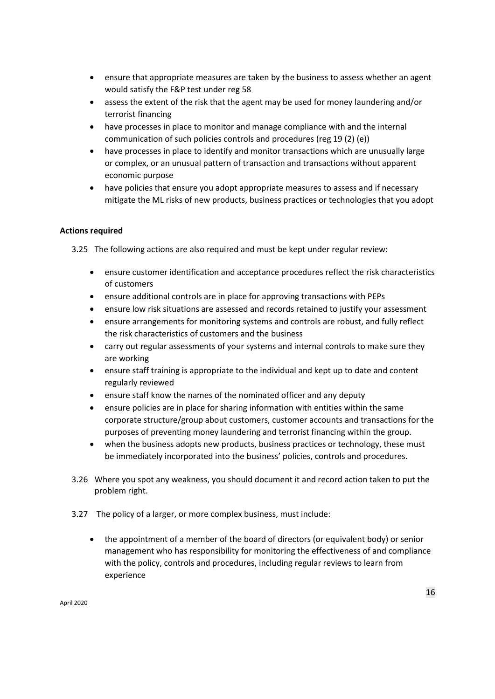- ensure that appropriate measures are taken by the business to assess whether an agent would satisfy the F&P test under reg 58
- assess the extent of the risk that the agent may be used for money laundering and/or terrorist financing
- have processes in place to monitor and manage compliance with and the internal communication of such policies controls and procedures (reg 19 (2) (e))
- have processes in place to identify and monitor transactions which are unusually large or complex, or an unusual pattern of transaction and transactions without apparent economic purpose
- have policies that ensure you adopt appropriate measures to assess and if necessary mitigate the ML risks of new products, business practices or technologies that you adopt

#### **Actions required**

3.25 The following actions are also required and must be kept under regular review:

- ensure customer identification and acceptance procedures reflect the risk characteristics of customers
- ensure additional controls are in place for approving transactions with PEPs
- ensure low risk situations are assessed and records retained to justify your assessment
- ensure arrangements for monitoring systems and controls are robust, and fully reflect the risk characteristics of customers and the business
- carry out regular assessments of your systems and internal controls to make sure they are working
- ensure staff training is appropriate to the individual and kept up to date and content regularly reviewed
- ensure staff know the names of the nominated officer and any deputy
- ensure policies are in place for sharing information with entities within the same corporate structure/group about customers, customer accounts and transactions for the purposes of preventing money laundering and terrorist financing within the group.
- when the business adopts new products, business practices or technology, these must be immediately incorporated into the business' policies, controls and procedures.
- 3.26 Where you spot any weakness, you should document it and record action taken to put the problem right.
- 3.27 The policy of a larger, or more complex business, must include:
	- the appointment of a member of the board of directors (or equivalent body) or senior management who has responsibility for monitoring the effectiveness of and compliance with the policy, controls and procedures, including regular reviews to learn from experience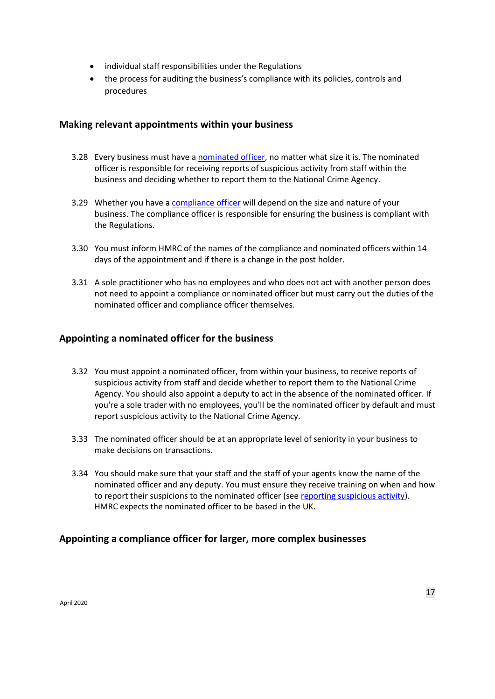- individual staff responsibilities under the Regulations
- the process for auditing the business's compliance with its policies, controls and procedures

#### **Making relevant appointments within your business**

- 3.28 Every business must have a [nominated officer,](#page-57-0) no matter what size it is. The nominated officer is responsible for receiving reports of suspicious activity from staff within the business and deciding whether to report them to the National Crime Agency.
- 3.29 Whether you have [a compliance officer](#page-16-0) will depend on the size and nature of your business. The compliance officer is responsible for ensuring the business is compliant with the Regulations.
- 3.30 You must inform HMRC of the names of the compliance and nominated officers within 14 days of the appointment and if there is a change in the post holder.
- 3.31 A sole practitioner who has no employees and who does not act with another person does not need to appoint a compliance or nominated officer but must carry out the duties of the nominated officer and compliance officer themselves.

#### **Appointing a nominated officer for the business**

- 3.32 You must appoint a nominated officer, from within your business, to receive reports of suspicious activity from staff and decide whether to report them to the National Crime Agency. You should also appoint a deputy to act in the absence of the nominated officer. If you're a sole trader with no employees, you'll be the nominated officer by default and must report suspicious activity to the National Crime Agency.
- 3.33 The nominated officer should be at an appropriate level of seniority in your business to make decisions on transactions.
- 3.34 You should make sure that your staff and the staff of your agents know the name of the nominated officer and any deputy. You must ensure they receive training on when and how to report their suspicions to the nominated officer (see [reporting suspicious activity\)](#page-55-0). HMRC expects the nominated officer to be based in the UK.

#### <span id="page-16-0"></span>**Appointing a compliance officer for larger, more complex businesses**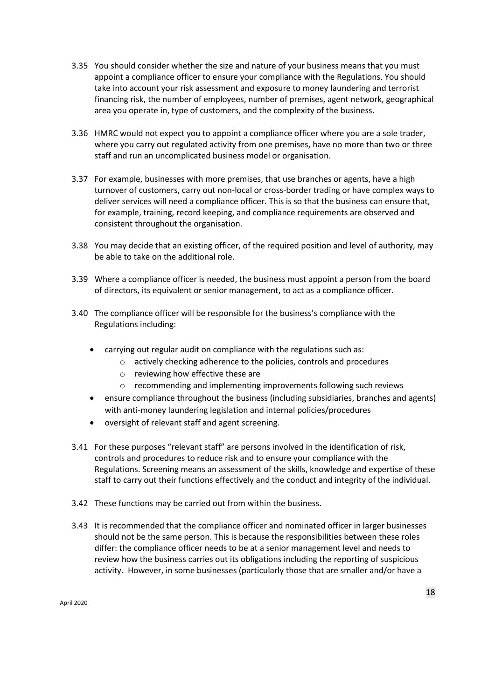- 3.35 You should consider whether the size and nature of your business means that you must appoint a compliance officer to ensure your compliance with the Regulations. You should take into account your risk assessment and exposure to money laundering and terrorist financing risk, the number of employees, number of premises, agent network, geographical area you operate in, type of customers, and the complexity of the business.
- 3.36 HMRC would not expect you to appoint a compliance officer where you are a sole trader, where you carry out regulated activity from one premises, have no more than two or three staff and run an uncomplicated business model or organisation.
- 3.37 For example, businesses with more premises, that use branches or agents, have a high turnover of customers, carry out non-local or cross-border trading or have complex ways to deliver services will need a compliance officer. This is so that the business can ensure that, for example, training, record keeping, and compliance requirements are observed and consistent throughout the organisation.
- 3.38 You may decide that an existing officer, of the required position and level of authority, may be able to take on the additional role.
- 3.39 Where a compliance officer is needed, the business must appoint a person from the board of directors, its equivalent or senior management, to act as a compliance officer.
- 3.40 The compliance officer will be responsible for the business's compliance with the Regulations including:
	- carrying out regular audit on compliance with the regulations such as:
		- o actively checking adherence to the policies, controls and procedures
		- o reviewing how effective these are
		- o recommending and implementing improvements following such reviews
	- ensure compliance throughout the business (including subsidiaries, branches and agents) with anti-money laundering legislation and internal policies/procedures
	- oversight of relevant staff and agent screening.
- 3.41 For these purposes "relevant staff" are persons involved in the identification of risk, controls and procedures to reduce risk and to ensure your compliance with the Regulations. Screening means an assessment of the skills, knowledge and expertise of these staff to carry out their functions effectively and the conduct and integrity of the individual.
- 3.42 These functions may be carried out from within the business.
- 3.43 It is recommended that the compliance officer and nominated officer in larger businesses should not be the same person. This is because the responsibilities between these roles differ: the compliance officer needs to be at a senior management level and needs to review how the business carries out its obligations including the reporting of suspicious activity. However, in some businesses (particularly those that are smaller and/or have a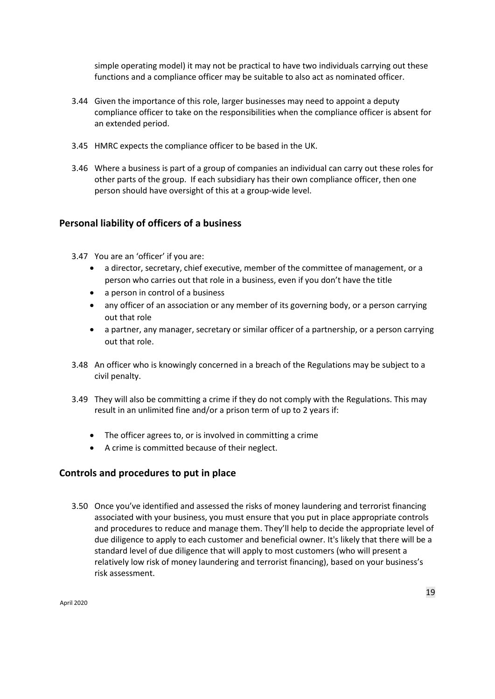simple operating model) it may not be practical to have two individuals carrying out these functions and a compliance officer may be suitable to also act as nominated officer.

- 3.44 Given the importance of this role, larger businesses may need to appoint a deputy compliance officer to take on the responsibilities when the compliance officer is absent for an extended period.
- 3.45 HMRC expects the compliance officer to be based in the UK.
- 3.46 Where a business is part of a group of companies an individual can carry out these roles for other parts of the group. If each subsidiary has their own compliance officer, then one person should have oversight of this at a group-wide level.

#### **Personal liability of officers of a business**

- 3.47 You are an 'officer' if you are:
	- a director, secretary, chief executive, member of the committee of management, or a person who carries out that role in a business, even if you don't have the title
	- a person in control of a business
	- any officer of an association or any member of its governing body, or a person carrying out that role
	- a partner, any manager, secretary or similar officer of a partnership, or a person carrying out that role.
- 3.48 An officer who is knowingly concerned in a breach of the Regulations may be subject to a civil penalty.
- 3.49 They will also be committing a crime if they do not comply with the Regulations. This may result in an unlimited fine and/or a prison term of up to 2 years if:
	- The officer agrees to, or is involved in committing a crime
	- A crime is committed because of their neglect.

#### **Controls and procedures to put in place**

3.50 Once you've identified and assessed the risks of money laundering and terrorist financing associated with your business, you must ensure that you put in place appropriate controls and procedures to reduce and manage them. They'll help to decide the appropriate level of due diligence to apply to each customer and beneficial owner. It's likely that there will be a standard level of due diligence that will apply to most customers (who will present a relatively low risk of money laundering and terrorist financing), based on your business's risk assessment.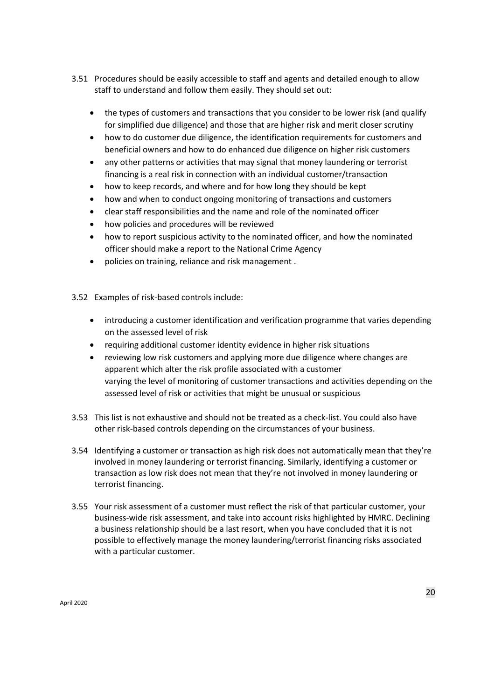- 3.51 Procedures should be easily accessible to staff and agents and detailed enough to allow staff to understand and follow them easily. They should set out:
	- the types of customers and transactions that you consider to be lower risk (and qualify for simplified due diligence) and those that are higher risk and merit closer scrutiny
	- how to do customer due diligence, the identification requirements for customers and beneficial owners and how to do enhanced due diligence on higher risk customers
	- any other patterns or activities that may signal that money laundering or terrorist financing is a real risk in connection with an individual customer/transaction
	- how to keep records, and where and for how long they should be kept
	- how and when to conduct ongoing monitoring of transactions and customers
	- clear staff responsibilities and the name and role of the nominated officer
	- how policies and procedures will be reviewed
	- how to report suspicious activity to the nominated officer, and how the nominated officer should make a report to the National Crime Agency
	- policies on training, reliance and risk management .
- 3.52 Examples of risk-based controls include:
	- introducing a customer identification and verification programme that varies depending on the assessed level of risk
	- requiring additional customer identity evidence in higher risk situations
	- reviewing low risk customers and applying more due diligence where changes are apparent which alter the risk profile associated with a customer varying the level of monitoring of customer transactions and activities depending on the assessed level of risk or activities that might be unusual or suspicious
- 3.53 This list is not exhaustive and should not be treated as a check-list. You could also have other risk-based controls depending on the circumstances of your business.
- 3.54 Identifying a customer or transaction as high risk does not automatically mean that they're involved in money laundering or terrorist financing. Similarly, identifying a customer or transaction as low risk does not mean that they're not involved in money laundering or terrorist financing.
- 3.55 Your risk assessment of a customer must reflect the risk of that particular customer, your business-wide risk assessment, and take into account risks highlighted by HMRC. Declining a business relationship should be a last resort, when you have concluded that it is not possible to effectively manage the money laundering/terrorist financing risks associated with a particular customer.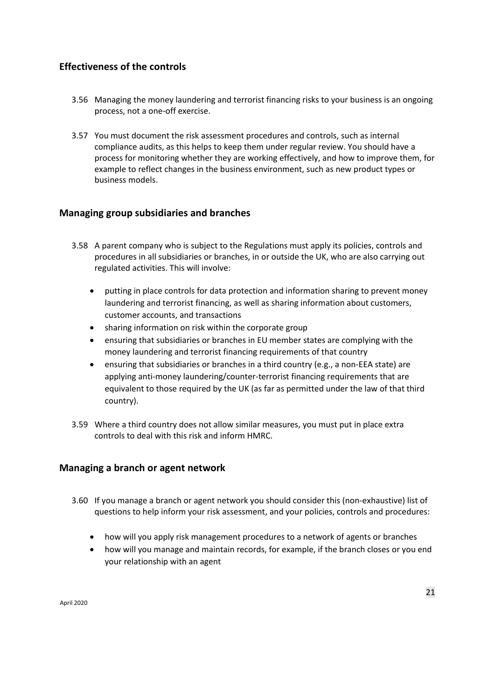## **Effectiveness of the controls**

- 3.56 Managing the money laundering and terrorist financing risks to your business is an ongoing process, not a one-off exercise.
- 3.57 You must document the risk assessment procedures and controls, such as internal compliance audits, as this helps to keep them under regular review. You should have a process for monitoring whether they are working effectively, and how to improve them, for example to reflect changes in the business environment, such as new product types or business models.

#### **Managing group subsidiaries and branches**

- 3.58 A parent company who is subject to the Regulations must apply its policies, controls and procedures in all subsidiaries or branches, in or outside the UK, who are also carrying out regulated activities. This will involve:
	- putting in place controls for data protection and information sharing to prevent money laundering and terrorist financing, as well as sharing information about customers, customer accounts, and transactions
	- sharing information on risk within the corporate group
	- ensuring that subsidiaries or branches in EU member states are complying with the money laundering and terrorist financing requirements of that country
	- ensuring that subsidiaries or branches in a third country (e.g., a non-EEA state) are applying anti-money laundering/counter-terrorist financing requirements that are equivalent to those required by the UK (as far as permitted under the law of that third country).
- 3.59 Where a third country does not allow similar measures, you must put in place extra controls to deal with this risk and inform HMRC.

#### **Managing a branch or agent network**

- 3.60 If you manage a branch or agent network you should consider this (non-exhaustive) list of questions to help inform your risk assessment, and your policies, controls and procedures:
	- how will you apply risk management procedures to a network of agents or branches
	- how will you manage and maintain records, for example, if the branch closes or you end your relationship with an agent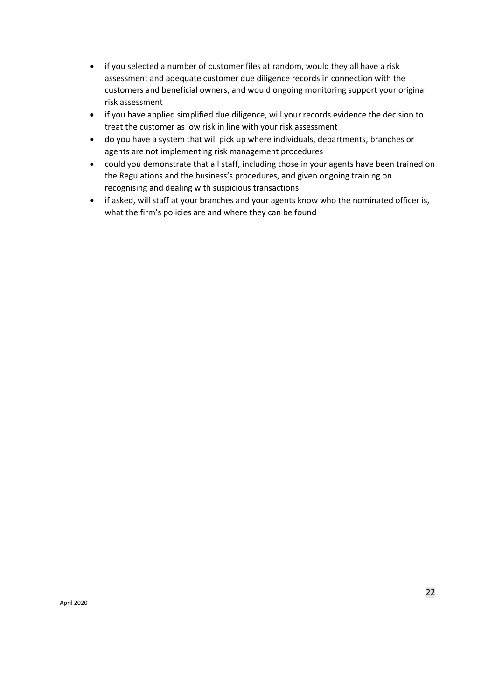- if you selected a number of customer files at random, would they all have a risk assessment and adequate customer due diligence records in connection with the customers and beneficial owners, and would ongoing monitoring support your original risk assessment
- if you have applied simplified due diligence, will your records evidence the decision to treat the customer as low risk in line with your risk assessment
- do you have a system that will pick up where individuals, departments, branches or agents are not implementing risk management procedures
- could you demonstrate that all staff, including those in your agents have been trained on the Regulations and the business's procedures, and given ongoing training on recognising and dealing with suspicious transactions
- if asked, will staff at your branches and your agents know who the nominated officer is, what the firm's policies are and where they can be found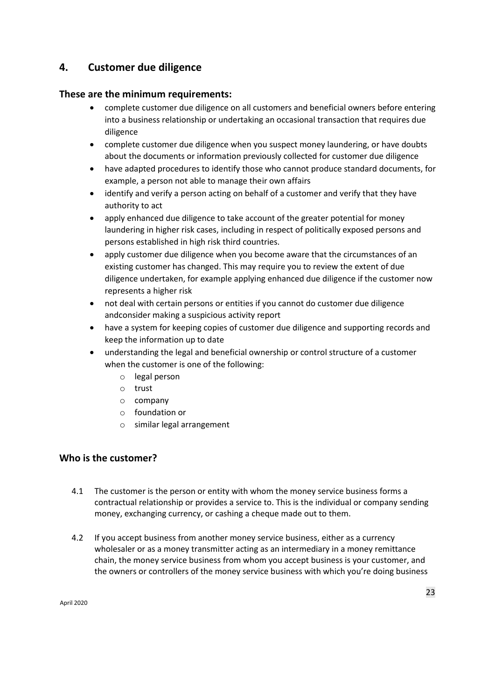# **4. Customer due diligence**

#### **These are the minimum requirements:**

- complete customer due diligence on all customers and beneficial owners before entering into a business relationship or undertaking an occasional transaction that requires due diligence
- complete customer due diligence when you suspect money laundering, or have doubts about the documents or information previously collected for customer due diligence
- have adapted procedures to identify those who cannot produce standard documents, for example, a person not able to manage their own affairs
- identify and verify a person acting on behalf of a customer and verify that they have authority to act
- apply enhanced due diligence to take account of the greater potential for money laundering in higher risk cases, including in respect of politically exposed persons and persons established in high risk third countries.
- apply customer due diligence when you become aware that the circumstances of an existing customer has changed. This may require you to review the extent of due diligence undertaken, for example applying enhanced due diligence if the customer now represents a higher risk
- not deal with certain persons or entities if you cannot do customer due diligence andconsider making a suspicious activity report
- have a system for keeping copies of customer due diligence and supporting records and keep the information up to date
- understanding the legal and beneficial ownership or control structure of a customer when the customer is one of the following:
	- o legal person
	- o trust
	- o company
	- o foundation or
	- o similar legal arrangement

#### **Who is the customer?**

- 4.1 The customer is the person or entity with whom the money service business forms a contractual relationship or provides a service to. This is the individual or company sending money, exchanging currency, or cashing a cheque made out to them.
- 4.2 If you accept business from another money service business, either as a currency wholesaler or as a money transmitter acting as an intermediary in a money remittance chain, the money service business from whom you accept business is your customer, and the owners or controllers of the money service business with which you're doing business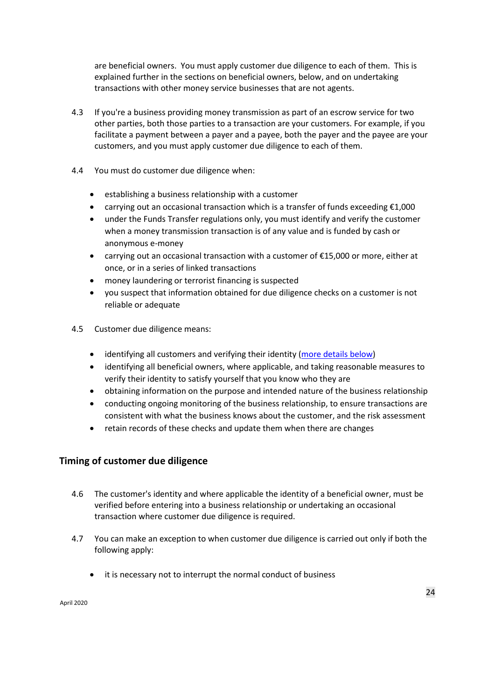are beneficial owners. You must apply customer due diligence to each of them. This is explained further in the sections on beneficial owners, below, and on undertaking transactions with other money service businesses that are not agents.

- 4.3 If you're a business providing money transmission as part of an escrow service for two other parties, both those parties to a transaction are your customers. For example, if you facilitate a payment between a payer and a payee, both the payer and the payee are your customers, and you must apply customer due diligence to each of them.
- 4.4 You must do customer due diligence when:
	- establishing a business relationship with a customer
	- carrying out an occasional transaction which is a transfer of funds exceeding €1,000
	- under the Funds Transfer regulations only, you must identify and verify the customer when a money transmission transaction is of any value and is funded by cash or anonymous e-money
	- carrying out an occasional transaction with a customer of  $£15,000$  or more, either at once, or in a series of linked transactions
	- money laundering or terrorist financing is suspected
	- you suspect that information obtained for due diligence checks on a customer is not reliable or adequate
- 4.5 Customer due diligence means:
	- identifying all customers and verifying their identity [\(more details below\)](#page-28-0)
	- identifying all beneficial owners, where applicable, and taking reasonable measures to verify their identity to satisfy yourself that you know who they are
	- obtaining information on the purpose and intended nature of the business relationship
	- conducting ongoing monitoring of the business relationship, to ensure transactions are consistent with what the business knows about the customer, and the risk assessment
	- retain records of these checks and update them when there are changes

#### **Timing of customer due diligence**

- 4.6 The customer's identity and where applicable the identity of a beneficial owner, must be verified before entering into a business relationship or undertaking an occasional transaction where customer due diligence is required.
- 4.7 You can make an exception to when customer due diligence is carried out only if both the following apply:
	- it is necessary not to interrupt the normal conduct of business

April 2020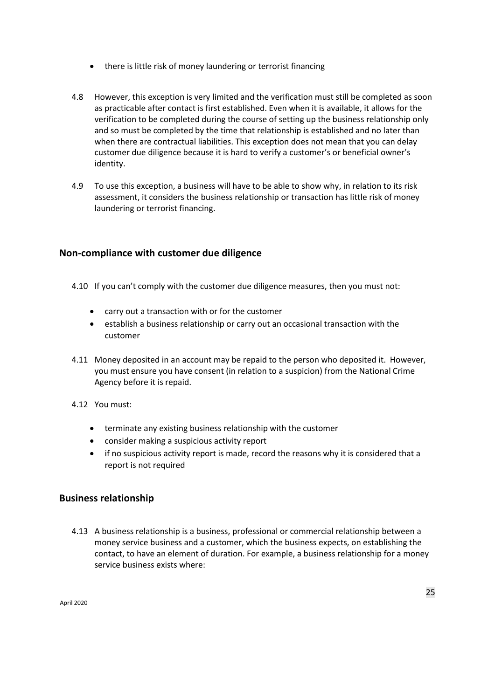- there is little risk of money laundering or terrorist financing
- 4.8 However, this exception is very limited and the verification must still be completed as soon as practicable after contact is first established. Even when it is available, it allows for the verification to be completed during the course of setting up the business relationship only and so must be completed by the time that relationship is established and no later than when there are contractual liabilities. This exception does not mean that you can delay customer due diligence because it is hard to verify a customer's or beneficial owner's identity.
- 4.9 To use this exception, a business will have to be able to show why, in relation to its risk assessment, it considers the business relationship or transaction has little risk of money laundering or terrorist financing.

#### **Non-compliance with customer due diligence**

- 4.10 If you can't comply with the customer due diligence measures, then you must not:
	- carry out a transaction with or for the customer
	- establish a business relationship or carry out an occasional transaction with the customer
- 4.11 Money deposited in an account may be repaid to the person who deposited it. However, you must ensure you have consent (in relation to a suspicion) from the National Crime Agency before it is repaid.
- 4.12 You must:
	- terminate any existing business relationship with the customer
	- consider making a suspicious activity report
	- if no suspicious activity report is made, record the reasons why it is considered that a report is not required

#### **Business relationship**

4.13 A business relationship is a business, professional or commercial relationship between a money service business and a customer, which the business expects, on establishing the contact, to have an element of duration. For example, a business relationship for a money service business exists where: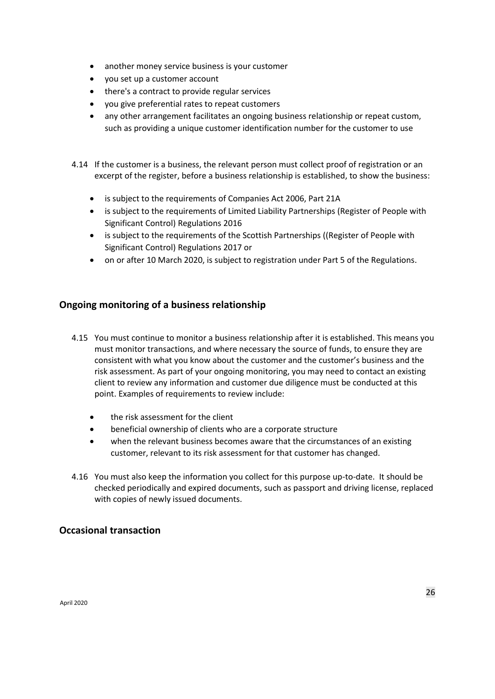- another money service business is your customer
- you set up a customer account
- there's a contract to provide regular services
- you give preferential rates to repeat customers
- any other arrangement facilitates an ongoing business relationship or repeat custom, such as providing a unique customer identification number for the customer to use

4.14 If the customer is a business, the relevant person must collect proof of registration or an excerpt of the register, before a business relationship is established, to show the business:

- is subject to the requirements of Companies Act 2006, Part 21A
- is subject to the requirements of Limited Liability Partnerships (Register of People with Significant Control) Regulations 2016
- is subject to the requirements of the Scottish Partnerships ((Register of People with Significant Control) Regulations 2017 or
- on or after 10 March 2020, is subject to registration under Part 5 of the Regulations.

#### **Ongoing monitoring of a business relationship**

- 4.15 You must continue to monitor a business relationship after it is established. This means you must monitor transactions, and where necessary the source of funds, to ensure they are consistent with what you know about the customer and the customer's business and the risk assessment. As part of your ongoing monitoring, you may need to contact an existing client to review any information and customer due diligence must be conducted at this point. Examples of requirements to review include:
	- the risk assessment for the client
	- beneficial ownership of clients who are a corporate structure
	- when the relevant business becomes aware that the circumstances of an existing customer, relevant to its risk assessment for that customer has changed.
- 4.16 You must also keep the information you collect for this purpose up-to-date. It should be checked periodically and expired documents, such as passport and driving license, replaced with copies of newly issued documents.

#### **Occasional transaction**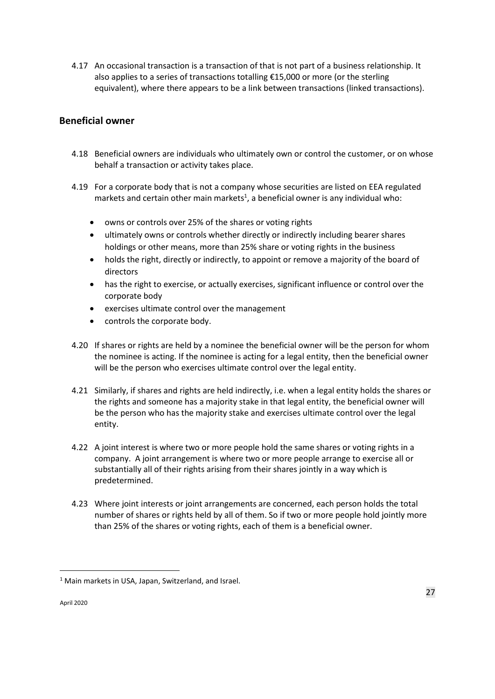4.17 An occasional transaction is a transaction of that is not part of a business relationship. It also applies to a series of transactions totalling €15,000 or more (or the sterling equivalent), where there appears to be a link between transactions (linked transactions).

## **Beneficial owner**

- 4.18 Beneficial owners are individuals who ultimately own or control the customer, or on whose behalf a transaction or activity takes place.
- 4.19 For a corporate body that is not a company whose securities are listed on EEA regulated markets and certain other main markets<sup>1</sup>, a beneficial owner is any individual who:
	- owns or controls over 25% of the shares or voting rights
	- ultimately owns or controls whether directly or indirectly including bearer shares holdings or other means, more than 25% share or voting rights in the business
	- holds the right, directly or indirectly, to appoint or remove a majority of the board of directors
	- has the right to exercise, or actually exercises, significant influence or control over the corporate body
	- exercises ultimate control over the management
	- controls the corporate body.
- 4.20 If shares or rights are held by a nominee the beneficial owner will be the person for whom the nominee is acting. If the nominee is acting for a legal entity, then the beneficial owner will be the person who exercises ultimate control over the legal entity.
- 4.21 Similarly, if shares and rights are held indirectly, i.e. when a legal entity holds the shares or the rights and someone has a majority stake in that legal entity, the beneficial owner will be the person who has the majority stake and exercises ultimate control over the legal entity.
- 4.22 A joint interest is where two or more people hold the same shares or voting rights in a company. A joint arrangement is where two or more people arrange to exercise all or substantially all of their rights arising from their shares jointly in a way which is predetermined.
- 4.23 Where joint interests or joint arrangements are concerned, each person holds the total number of shares or rights held by all of them. So if two or more people hold jointly more than 25% of the shares or voting rights, each of them is a beneficial owner.

**.** 

<sup>&</sup>lt;sup>1</sup> Main markets in USA, Japan, Switzerland, and Israel.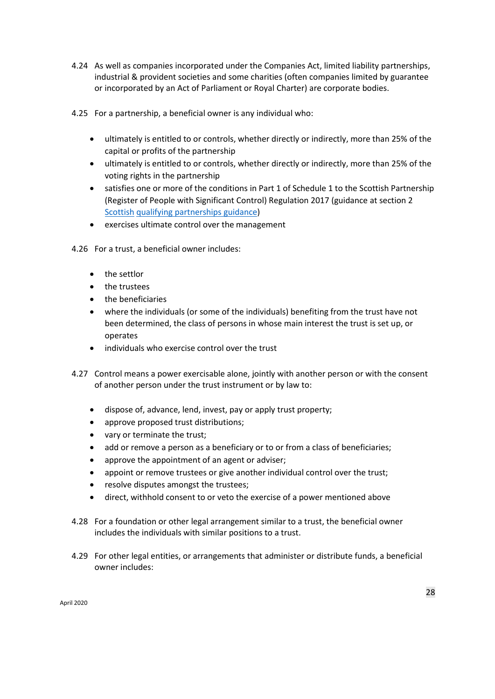- 4.24 As well as companies incorporated under the Companies Act, limited liability partnerships, industrial & provident societies and some charities (often companies limited by guarantee or incorporated by an Act of Parliament or Royal Charter) are corporate bodies.
- 4.25 For a partnership, a beneficial owner is any individual who:
	- ultimately is entitled to or controls, whether directly or indirectly, more than 25% of the capital or profits of the partnership
	- ultimately is entitled to or controls, whether directly or indirectly, more than 25% of the voting rights in the partnership
	- satisfies one or more of the conditions in Part 1 of Schedule 1 to the Scottish Partnership (Register of People with Significant Control) Regulation 2017 (guidance at section 2 [Scottish](https://www.gov.uk/government/publications/scottish-qualifying-partnerships-people-with-significant-control/scottish-qualifying-partnerships-people-with-significant-control) [qualifying partnerships guidance\)](https://www.gov.uk/government/publications/scottish-qualifying-partnerships-people-with-significant-control/scottish-qualifying-partnerships-people-with-significant-control)
	- exercises ultimate control over the management
- 4.26 For a trust, a beneficial owner includes:
	- the settlor
	- the trustees
	- the beneficiaries
	- where the individuals (or some of the individuals) benefiting from the trust have not been determined, the class of persons in whose main interest the trust is set up, or operates
	- individuals who exercise control over the trust
- 4.27 Control means a power exercisable alone, jointly with another person or with the consent of another person under the trust instrument or by law to:
	- dispose of, advance, lend, invest, pay or apply trust property;
	- approve proposed trust distributions;
	- vary or terminate the trust;
	- add or remove a person as a beneficiary or to or from a class of beneficiaries;
	- approve the appointment of an agent or adviser;
	- appoint or remove trustees or give another individual control over the trust;
	- resolve disputes amongst the trustees;
	- direct, withhold consent to or veto the exercise of a power mentioned above
- 4.28 For a foundation or other legal arrangement similar to a trust, the beneficial owner includes the individuals with similar positions to a trust.
- 4.29 For other legal entities, or arrangements that administer or distribute funds, a beneficial owner includes: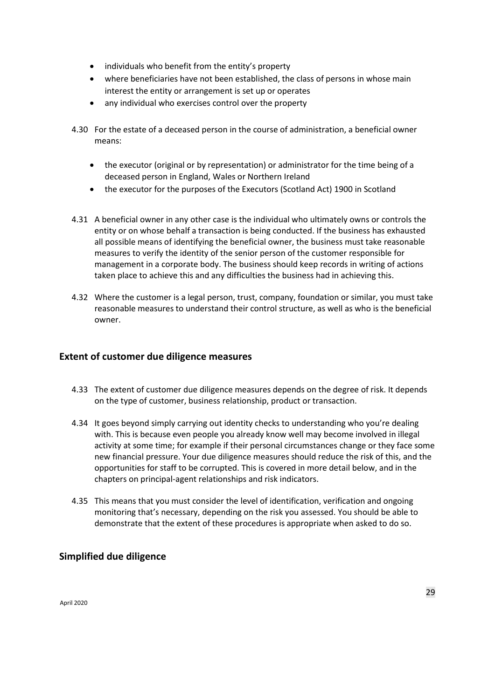- individuals who benefit from the entity's property
- where beneficiaries have not been established, the class of persons in whose main interest the entity or arrangement is set up or operates
- any individual who exercises control over the property
- 4.30 For the estate of a deceased person in the course of administration, a beneficial owner means:
	- the executor (original or by representation) or administrator for the time being of a deceased person in England, Wales or Northern Ireland
	- the executor for the purposes of the Executors (Scotland Act) 1900 in Scotland
- 4.31 A beneficial owner in any other case is the individual who ultimately owns or controls the entity or on whose behalf a transaction is being conducted. If the business has exhausted all possible means of identifying the beneficial owner, the business must take reasonable measures to verify the identity of the senior person of the customer responsible for management in a corporate body. The business should keep records in writing of actions taken place to achieve this and any difficulties the business had in achieving this.
- 4.32 Where the customer is a legal person, trust, company, foundation or similar, you must take reasonable measures to understand their control structure, as well as who is the beneficial owner.

#### <span id="page-28-0"></span>**Extent of customer due diligence measures**

- 4.33 The extent of customer due diligence measures depends on the degree of risk. It depends on the type of customer, business relationship, product or transaction.
- 4.34 It goes beyond simply carrying out identity checks to understanding who you're dealing with. This is because even people you already know well may become involved in illegal activity at some time; for example if their personal circumstances change or they face some new financial pressure. Your due diligence measures should reduce the risk of this, and the opportunities for staff to be corrupted. This is covered in more detail below, and in the chapters on principal-agent relationships and risk indicators.
- 4.35 This means that you must consider the level of identification, verification and ongoing monitoring that's necessary, depending on the risk you assessed. You should be able to demonstrate that the extent of these procedures is appropriate when asked to do so.

#### **Simplified due diligence**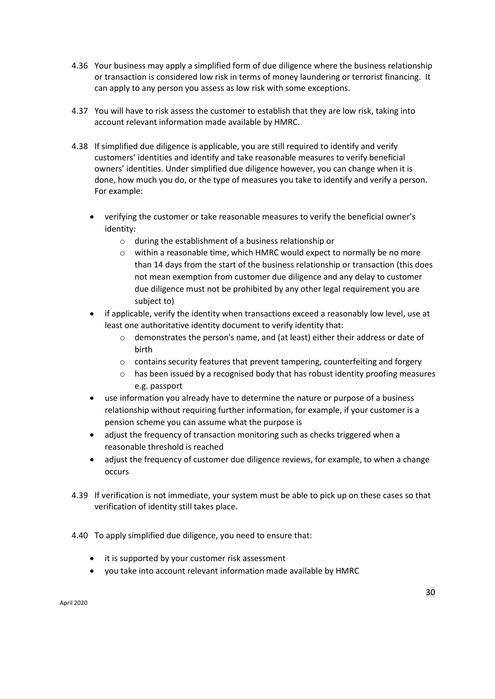- 4.36 Your business may apply a simplified form of due diligence where the business relationship or transaction is considered low risk in terms of money laundering or terrorist financing. It can apply to any person you assess as low risk with some exceptions.
- 4.37 You will have to risk assess the customer to establish that they are low risk, taking into account relevant information made available by HMRC.
- 4.38 If simplified due diligence is applicable, you are still required to identify and verify customers' identities and identify and take reasonable measures to verify beneficial owners' identities. Under simplified due diligence however, you can change when it is done, how much you do, or the type of measures you take to identify and verify a person. For example:
	- verifying the customer or take reasonable measures to verify the beneficial owner's identity:
		- o during the establishment of a business relationship or
		- o within a reasonable time, which HMRC would expect to normally be no more than 14 days from the start of the business relationship or transaction (this does not mean exemption from customer due diligence and any delay to customer due diligence must not be prohibited by any other legal requirement you are subject to)
	- if applicable, verify the identity when transactions exceed a reasonably low level, use at least one authoritative identity document to verify identity that:
		- $\circ$  demonstrates the person's name, and (at least) either their address or date of birth
		- o contains security features that prevent tampering, counterfeiting and forgery
		- $\circ$  has been issued by a recognised body that has robust identity proofing measures e.g. passport
	- use information you already have to determine the nature or purpose of a business relationship without requiring further information, for example, if your customer is a pension scheme you can assume what the purpose is
	- adjust the frequency of transaction monitoring such as checks triggered when a reasonable threshold is reached
	- adjust the frequency of customer due diligence reviews, for example, to when a change occurs
- 4.39 If verification is not immediate, your system must be able to pick up on these cases so that verification of identity still takes place.
- 4.40 To apply simplified due diligence, you need to ensure that:
	- it is supported by your customer risk assessment
	- you take into account relevant information made available by HMRC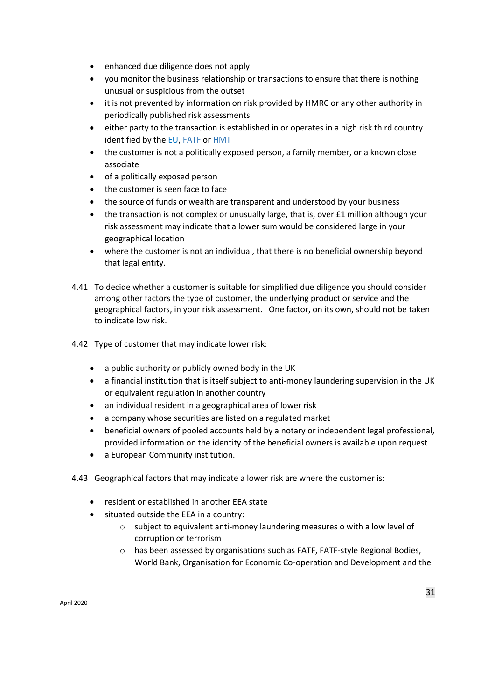- enhanced due diligence does not apply
- you monitor the business relationship or transactions to ensure that there is nothing unusual or suspicious from the outset
- it is not prevented by information on risk provided by HMRC or any other authority in periodically published risk assessments
- either party to the transaction is established in or operates in a high risk third country identified by the [EU](https://ec.europa.eu/commission/presscorner/detail/en/IP_19_781), FATE [or HMT](https://www.gov.uk/government/publications/money-laundering-and-terrorist-financing-controls-in-overseas-jurisdictions-advisory-notice)
- the customer is not a politically exposed person, a family member, or a known close associate
- of a politically exposed person
- the customer is seen face to face
- the source of funds or wealth are transparent and understood by your business
- the transaction is not complex or unusually large, that is, over £1 million although your risk assessment may indicate that a lower sum would be considered large in your geographical location
- where the customer is not an individual, that there is no beneficial ownership beyond that legal entity.
- 4.41 To decide whether a customer is suitable for simplified due diligence you should consider among other factors the type of customer, the underlying product or service and the geographical factors, in your risk assessment. One factor, on its own, should not be taken to indicate low risk.
- 4.42 Type of customer that may indicate lower risk:
	- a public authority or publicly owned body in the UK
	- a financial institution that is itself subject to anti-money laundering supervision in the UK or equivalent regulation in another country
	- an individual resident in a geographical area of lower risk
	- a company whose securities are listed on a regulated market
	- beneficial owners of pooled accounts held by a notary or independent legal professional, provided information on the identity of the beneficial owners is available upon request
	- a European Community institution.
- 4.43 Geographical factors that may indicate a lower risk are where the customer is:
	- resident or established in another EEA state
	- situated outside the EEA in a country:
		- o subject to equivalent anti-money laundering measures o with a low level of corruption or terrorism
		- o has been assessed by organisations such as FATF, FATF-style Regional Bodies, World Bank, Organisation for Economic Co-operation and Development and the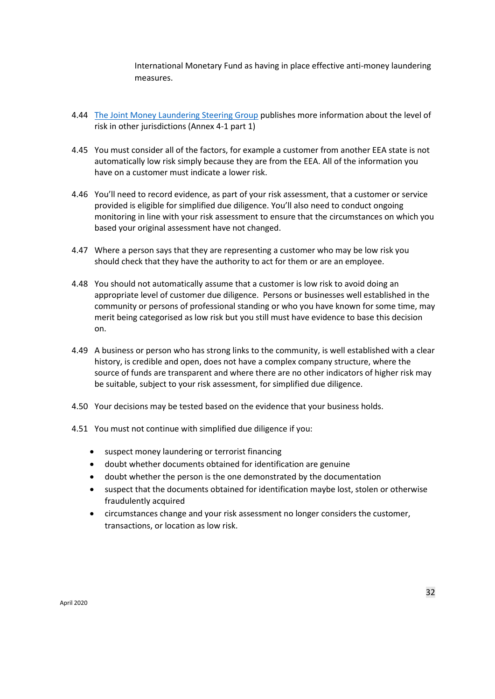International Monetary Fund as having in place effective anti-money laundering measures.

- 4.44 [The Joint Money Laundering Steering Group](http://www.jmlsg.org.uk/news/jmlsg-revised-guidance) [pu](http://www.jmlsg.org.uk/news/jmlsg-revised-guidance)blishes more information about the level of risk in other jurisdictions (Annex 4-1 part 1)
- 4.45 You must consider all of the factors, for example a customer from another EEA state is not automatically low risk simply because they are from the EEA. All of the information you have on a customer must indicate a lower risk.
- 4.46 You'll need to record evidence, as part of your risk assessment, that a customer or service provided is eligible for simplified due diligence. You'll also need to conduct ongoing monitoring in line with your risk assessment to ensure that the circumstances on which you based your original assessment have not changed.
- 4.47 Where a person says that they are representing a customer who may be low risk you should check that they have the authority to act for them or are an employee.
- 4.48 You should not automatically assume that a customer is low risk to avoid doing an appropriate level of customer due diligence. Persons or businesses well established in the community or persons of professional standing or who you have known for some time, may merit being categorised as low risk but you still must have evidence to base this decision on.
- 4.49 A business or person who has strong links to the community, is well established with a clear history, is credible and open, does not have a complex company structure, where the source of funds are transparent and where there are no other indicators of higher risk may be suitable, subject to your risk assessment, for simplified due diligence.
- 4.50 Your decisions may be tested based on the evidence that your business holds.
- 4.51 You must not continue with simplified due diligence if you:
	- suspect money laundering or terrorist financing
	- doubt whether documents obtained for identification are genuine
	- doubt whether the person is the one demonstrated by the documentation
	- suspect that the documents obtained for identification maybe lost, stolen or otherwise fraudulently acquired
	- circumstances change and your risk assessment no longer considers the customer, transactions, or location as low risk.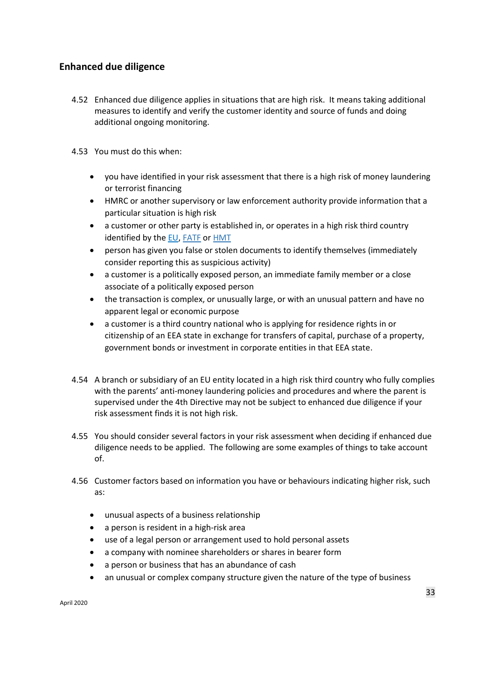#### **Enhanced due diligence**

- 4.52 Enhanced due diligence applies in situations that are high risk. It means taking additional measures to identify and verify the customer identity and source of funds and doing additional ongoing monitoring.
- 4.53 You must do this when:
	- you have identified in your risk assessment that there is a high risk of money laundering or terrorist financing
	- HMRC or another supervisory or law enforcement authority provide information that a particular situation is high risk
	- a customer or other party is established in, or operates in a high risk third country identified by the [EU](https://ec.europa.eu/commission/presscorner/detail/en/IP_19_781)[, FATF](http://www.fatf-gafi.org/publications/high-riskandnon-cooperativejurisdictions/?hf=10&b=0&s=desc(fatf_releasedate)) [or HMT](https://www.gov.uk/government/publications/money-laundering-and-terrorist-financing-controls-in-overseas-jurisdictions-advisory-notice)
	- person has given you false or stolen documents to identify themselves (immediately consider reporting this as suspicious activity)
	- a customer is a politically exposed person, an immediate family member or a close associate of a politically exposed person
	- the transaction is complex, or unusually large, or with an unusual pattern and have no apparent legal or economic purpose
	- a customer is a third country national who is applying for residence rights in or citizenship of an EEA state in exchange for transfers of capital, purchase of a property, government bonds or investment in corporate entities in that EEA state.
- 4.54 A branch or subsidiary of an EU entity located in a high risk third country who fully complies with the parents' anti-money laundering policies and procedures and where the parent is supervised under the 4th Directive may not be subject to enhanced due diligence if your risk assessment finds it is not high risk.
- 4.55 You should consider several factors in your risk assessment when deciding if enhanced due diligence needs to be applied. The following are some examples of things to take account of.
- 4.56 Customer factors based on information you have or behaviours indicating higher risk, such as:
	- unusual aspects of a business relationship
	- a person is resident in a high-risk area
	- use of a legal person or arrangement used to hold personal assets
	- a company with nominee shareholders or shares in bearer form
	- a person or business that has an abundance of cash
	- an unusual or complex company structure given the nature of the type of business

April 2020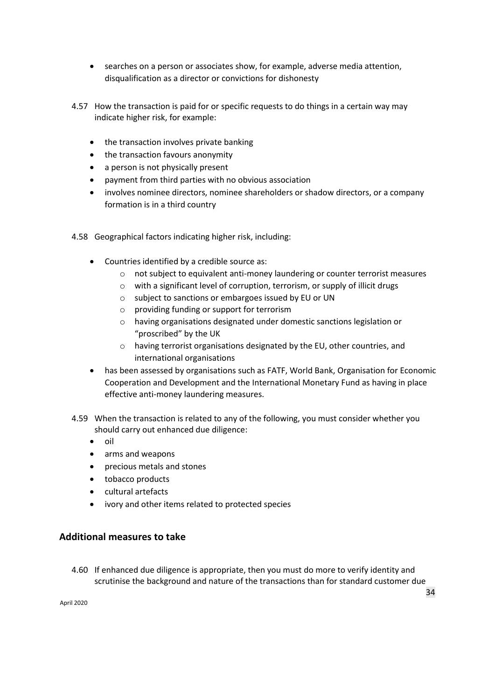- searches on a person or associates show, for example, adverse media attention, disqualification as a director or convictions for dishonesty
- 4.57 How the transaction is paid for or specific requests to do things in a certain way may indicate higher risk, for example:
	- the transaction involves private banking
	- the transaction favours anonymity
	- a person is not physically present
	- payment from third parties with no obvious association
	- involves nominee directors, nominee shareholders or shadow directors, or a company formation is in a third country
- 4.58 Geographical factors indicating higher risk, including:
	- Countries identified by a credible source as:
		- o not subject to equivalent anti-money laundering or counter terrorist measures
		- o with a significant level of corruption, terrorism, or supply of illicit drugs
		- o subject to sanctions or embargoes issued by EU or UN
		- o providing funding or support for terrorism
		- o having organisations designated under domestic sanctions legislation or "proscribed" by the UK
		- o having terrorist organisations designated by the EU, other countries, and international organisations
	- has been assessed by organisations such as FATF, World Bank, Organisation for Economic Cooperation and Development and the International Monetary Fund as having in place effective anti-money laundering measures.
- 4.59 When the transaction is related to any of the following, you must consider whether you should carry out enhanced due diligence:
	- oil
	- arms and weapons
	- precious metals and stones
	- tobacco products
	- cultural artefacts
	- ivory and other items related to protected species

## **Additional measures to take**

4.60 If enhanced due diligence is appropriate, then you must do more to verify identity and scrutinise the background and nature of the transactions than for standard customer due

April 2020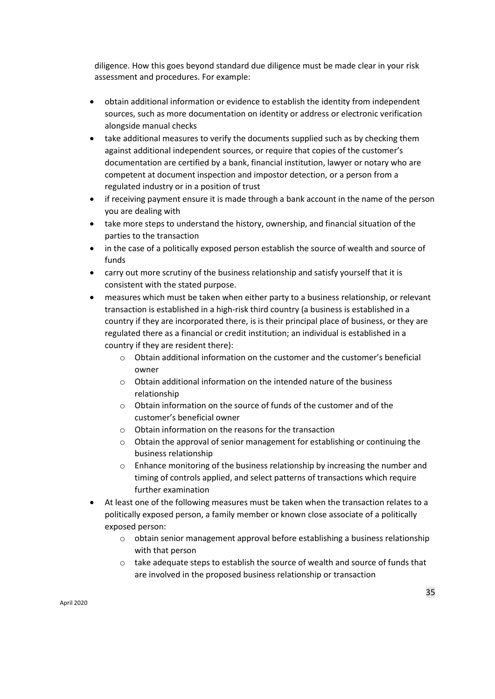diligence. How this goes beyond standard due diligence must be made clear in your risk assessment and procedures. For example:

- obtain additional information or evidence to establish the identity from independent sources, such as more documentation on identity or address or electronic verification alongside manual checks
- take additional measures to verify the documents supplied such as by checking them against additional independent sources, or require that copies of the customer's documentation are certified by a bank, financial institution, lawyer or notary who are competent at document inspection and impostor detection, or a person from a regulated industry or in a position of trust
- if receiving payment ensure it is made through a bank account in the name of the person you are dealing with
- take more steps to understand the history, ownership, and financial situation of the parties to the transaction
- in the case of a politically exposed person establish the source of wealth and source of funds
- carry out more scrutiny of the business relationship and satisfy yourself that it is consistent with the stated purpose.
- measures which must be taken when either party to a business relationship, or relevant transaction is established in a high-risk third country (a business is established in a country if they are incorporated there, is is their principal place of business, or they are regulated there as a financial or credit institution; an individual is established in a country if they are resident there):
	- o Obtain additional information on the customer and the customer's beneficial owner
	- $\circ$  Obtain additional information on the intended nature of the business relationship
	- $\circ$  Obtain information on the source of funds of the customer and of the customer's beneficial owner
	- o Obtain information on the reasons for the transaction
	- $\circ$  Obtain the approval of senior management for establishing or continuing the business relationship
	- o Enhance monitoring of the business relationship by increasing the number and timing of controls applied, and select patterns of transactions which require further examination
- At least one of the following measures must be taken when the transaction relates to a politically exposed person, a family member or known close associate of a politically exposed person:
	- o obtain senior management approval before establishing a business relationship with that person
	- o take adequate steps to establish the source of wealth and source of funds that are involved in the proposed business relationship or transaction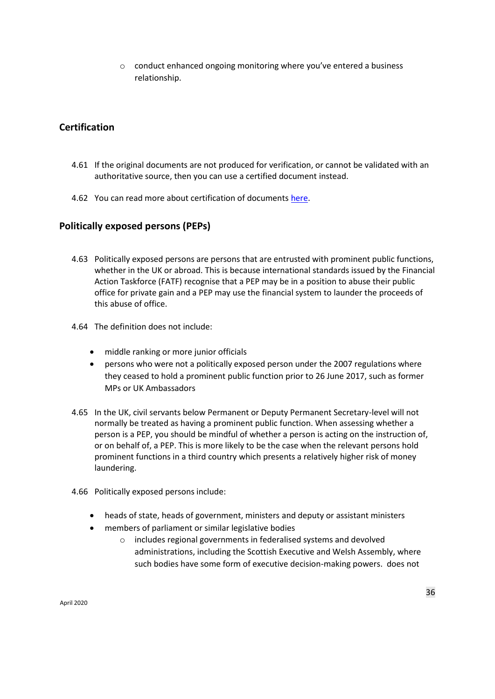o conduct enhanced ongoing monitoring where you've entered a business relationship.

#### **Certification**

- 4.61 If the original documents are not produced for verification, or cannot be validated with an authoritative source, then you can use a certified document instead.
- 4.62 You can read more about certification of document[s here.](https://www.gov.uk/certifying-a-document)

#### **Politically exposed persons (PEPs)**

- 4.63 Politically exposed persons are persons that are entrusted with prominent public functions, whether in the UK or abroad. This is because international standards issued by the Financial Action Taskforce (FATF) recognise that a PEP may be in a position to abuse their public office for private gain and a PEP may use the financial system to launder the proceeds of this abuse of office.
- 4.64 The definition does not include:
	- middle ranking or more junior officials
	- persons who were not a politically exposed person under the 2007 regulations where they ceased to hold a prominent public function prior to 26 June 2017, such as former MPs or UK Ambassadors
- 4.65 In the UK, civil servants below Permanent or Deputy Permanent Secretary-level will not normally be treated as having a prominent public function. When assessing whether a person is a PEP, you should be mindful of whether a person is acting on the instruction of, or on behalf of, a PEP. This is more likely to be the case when the relevant persons hold prominent functions in a third country which presents a relatively higher risk of money laundering.
- 4.66 Politically exposed persons include:
	- heads of state, heads of government, ministers and deputy or assistant ministers
	- members of parliament or similar legislative bodies
		- o includes regional governments in federalised systems and devolved administrations, including the Scottish Executive and Welsh Assembly, where such bodies have some form of executive decision-making powers. does not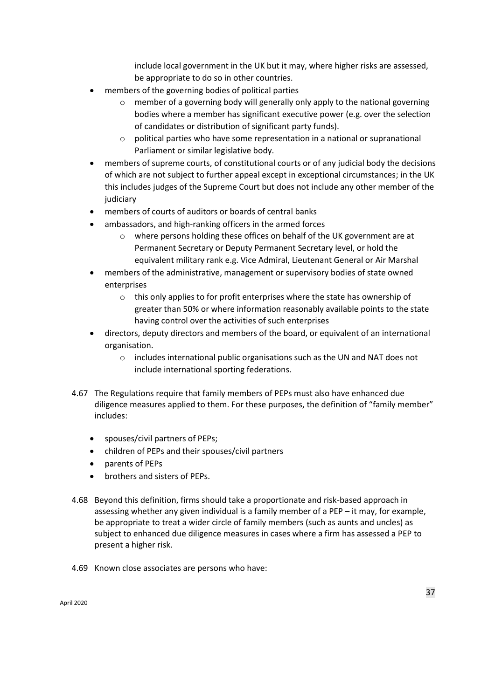include local government in the UK but it may, where higher risks are assessed, be appropriate to do so in other countries.

- members of the governing bodies of political parties
	- $\circ$  member of a governing body will generally only apply to the national governing bodies where a member has significant executive power (e.g. over the selection of candidates or distribution of significant party funds).
	- o political parties who have some representation in a national or supranational Parliament or similar legislative body.
- members of supreme courts, of constitutional courts or of any judicial body the decisions of which are not subject to further appeal except in exceptional circumstances; in the UK this includes judges of the Supreme Court but does not include any other member of the iudiciary
- members of courts of auditors or boards of central banks
- ambassadors, and high-ranking officers in the armed forces
	- o where persons holding these offices on behalf of the UK government are at Permanent Secretary or Deputy Permanent Secretary level, or hold the equivalent military rank e.g. Vice Admiral, Lieutenant General or Air Marshal
- members of the administrative, management or supervisory bodies of state owned enterprises
	- $\circ$  this only applies to for profit enterprises where the state has ownership of greater than 50% or where information reasonably available points to the state having control over the activities of such enterprises
- directors, deputy directors and members of the board, or equivalent of an international organisation.
	- o includes international public organisations such as the UN and NAT does not include international sporting federations.
- 4.67 The Regulations require that family members of PEPs must also have enhanced due diligence measures applied to them. For these purposes, the definition of "family member" includes:
	- spouses/civil partners of PEPs;
	- children of PEPs and their spouses/civil partners
	- parents of PEPs
	- brothers and sisters of PEPs.
- 4.68 Beyond this definition, firms should take a proportionate and risk-based approach in assessing whether any given individual is a family member of a PEP – it may, for example, be appropriate to treat a wider circle of family members (such as aunts and uncles) as subject to enhanced due diligence measures in cases where a firm has assessed a PEP to present a higher risk.
- 4.69 Known close associates are persons who have: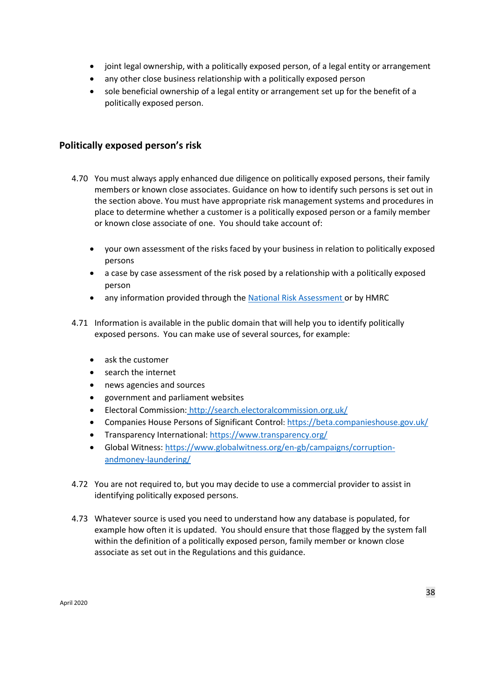- joint legal ownership, with a politically exposed person, of a legal entity or arrangement
- any other close business relationship with a politically exposed person
- sole beneficial ownership of a legal entity or arrangement set up for the benefit of a politically exposed person.

## **Politically exposed person's risk**

- 4.70 You must always apply enhanced due diligence on politically exposed persons, their family members or known close associates. Guidance on how to identify such persons is set out in the section above. You must have appropriate risk management systems and procedures in place to determine whether a customer is a politically exposed person or a family member or known close associate of one. You should take account of:
	- your own assessment of the risks faced by your business in relation to politically exposed persons
	- a case by case assessment of the risk posed by a relationship with a politically exposed person
	- any information provided through the [National Risk Assessment](https://www.gov.uk/government/publications/national-risk-assessment-of-money-laundering-and-terrorist-financing-2017) [o](https://www.gov.uk/government/publications/national-risk-assessment-of-money-laundering-and-terrorist-financing-2017)r by HMRC
- 4.71 Information is available in the public domain that will help you to identify politically exposed persons. You can make use of several sources, for example:
	- ask the customer
	- search the internet
	- news agencies and sources
	- government and parliament websites
	- Electoral Commission: <http://search.electoralcommission.org.uk/>
	- Companies House Persons of Significant Control: <https://beta.companieshouse.gov.uk/>
	- Transparency International:<https://www.transparency.org/>
	- Global Witness[: https://www.globalwitness.org/en-gb/campaigns/corruption](https://www.globalwitness.org/en-gb/campaigns/corruption-and-money-laundering/)[andmoney-laundering/](https://www.globalwitness.org/en-gb/campaigns/corruption-and-money-laundering/)
- 4.72 You are not required to, but you may decide to use a commercial provider to assist in identifying politically exposed persons.
- 4.73 Whatever source is used you need to understand how any database is populated, for example how often it is updated. You should ensure that those flagged by the system fall within the definition of a politically exposed person, family member or known close associate as set out in the Regulations and this guidance.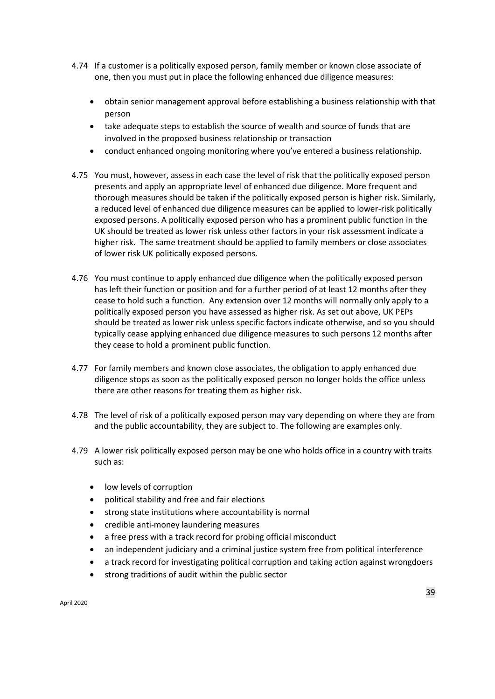- 4.74 If a customer is a politically exposed person, family member or known close associate of one, then you must put in place the following enhanced due diligence measures:
	- obtain senior management approval before establishing a business relationship with that person
	- take adequate steps to establish the source of wealth and source of funds that are involved in the proposed business relationship or transaction
	- conduct enhanced ongoing monitoring where you've entered a business relationship.
- 4.75 You must, however, assess in each case the level of risk that the politically exposed person presents and apply an appropriate level of enhanced due diligence. More frequent and thorough measures should be taken if the politically exposed person is higher risk. Similarly, a reduced level of enhanced due diligence measures can be applied to lower-risk politically exposed persons. A politically exposed person who has a prominent public function in the UK should be treated as lower risk unless other factors in your risk assessment indicate a higher risk. The same treatment should be applied to family members or close associates of lower risk UK politically exposed persons.
- 4.76 You must continue to apply enhanced due diligence when the politically exposed person has left their function or position and for a further period of at least 12 months after they cease to hold such a function. Any extension over 12 months will normally only apply to a politically exposed person you have assessed as higher risk. As set out above, UK PEPs should be treated as lower risk unless specific factors indicate otherwise, and so you should typically cease applying enhanced due diligence measures to such persons 12 months after they cease to hold a prominent public function.
- 4.77 For family members and known close associates, the obligation to apply enhanced due diligence stops as soon as the politically exposed person no longer holds the office unless there are other reasons for treating them as higher risk.
- 4.78 The level of risk of a politically exposed person may vary depending on where they are from and the public accountability, they are subject to. The following are examples only.
- 4.79 A lower risk politically exposed person may be one who holds office in a country with traits such as:
	- low levels of corruption
	- political stability and free and fair elections
	- strong state institutions where accountability is normal
	- credible anti-money laundering measures
	- a free press with a track record for probing official misconduct
	- an independent judiciary and a criminal justice system free from political interference
	- a track record for investigating political corruption and taking action against wrongdoers
	- strong traditions of audit within the public sector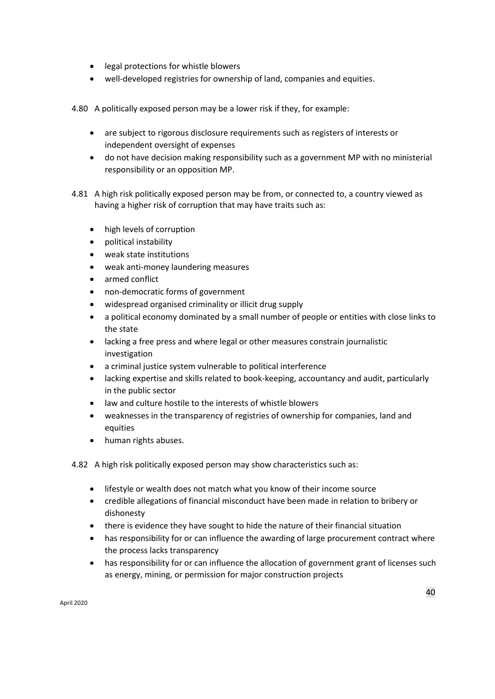- legal protections for whistle blowers
- well-developed registries for ownership of land, companies and equities.

4.80 A politically exposed person may be a lower risk if they, for example:

- are subject to rigorous disclosure requirements such as registers of interests or independent oversight of expenses
- do not have decision making responsibility such as a government MP with no ministerial responsibility or an opposition MP.
- 4.81 A high risk politically exposed person may be from, or connected to, a country viewed as having a higher risk of corruption that may have traits such as:
	- high levels of corruption
	- political instability
	- weak state institutions
	- weak anti-money laundering measures
	- armed conflict
	- non-democratic forms of government
	- widespread organised criminality or illicit drug supply
	- a political economy dominated by a small number of people or entities with close links to the state
	- lacking a free press and where legal or other measures constrain journalistic investigation
	- a criminal justice system vulnerable to political interference
	- lacking expertise and skills related to book-keeping, accountancy and audit, particularly in the public sector
	- law and culture hostile to the interests of whistle blowers
	- weaknesses in the transparency of registries of ownership for companies, land and equities
	- human rights abuses.

4.82 A high risk politically exposed person may show characteristics such as:

- lifestyle or wealth does not match what you know of their income source
- credible allegations of financial misconduct have been made in relation to bribery or dishonesty
- there is evidence they have sought to hide the nature of their financial situation
- has responsibility for or can influence the awarding of large procurement contract where the process lacks transparency
- has responsibility for or can influence the allocation of government grant of licenses such as energy, mining, or permission for major construction projects

April 2020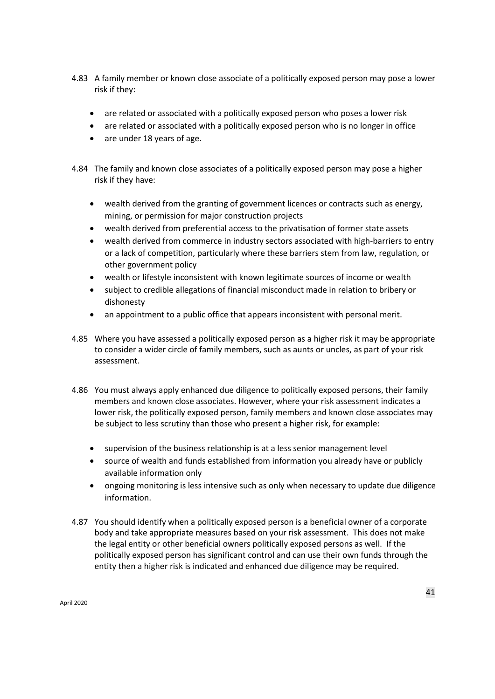- 4.83 A family member or known close associate of a politically exposed person may pose a lower risk if they:
	- are related or associated with a politically exposed person who poses a lower risk
	- are related or associated with a politically exposed person who is no longer in office
	- are under 18 years of age.
- 4.84 The family and known close associates of a politically exposed person may pose a higher risk if they have:
	- wealth derived from the granting of government licences or contracts such as energy, mining, or permission for major construction projects
	- wealth derived from preferential access to the privatisation of former state assets
	- wealth derived from commerce in industry sectors associated with high-barriers to entry or a lack of competition, particularly where these barriers stem from law, regulation, or other government policy
	- wealth or lifestyle inconsistent with known legitimate sources of income or wealth
	- subject to credible allegations of financial misconduct made in relation to bribery or dishonesty
	- an appointment to a public office that appears inconsistent with personal merit.
- 4.85 Where you have assessed a politically exposed person as a higher risk it may be appropriate to consider a wider circle of family members, such as aunts or uncles, as part of your risk assessment.
- 4.86 You must always apply enhanced due diligence to politically exposed persons, their family members and known close associates. However, where your risk assessment indicates a lower risk, the politically exposed person, family members and known close associates may be subject to less scrutiny than those who present a higher risk, for example:
	- supervision of the business relationship is at a less senior management level
	- source of wealth and funds established from information you already have or publicly available information only
	- ongoing monitoring is less intensive such as only when necessary to update due diligence information.
- 4.87 You should identify when a politically exposed person is a beneficial owner of a corporate body and take appropriate measures based on your risk assessment. This does not make the legal entity or other beneficial owners politically exposed persons as well. If the politically exposed person has significant control and can use their own funds through the entity then a higher risk is indicated and enhanced due diligence may be required.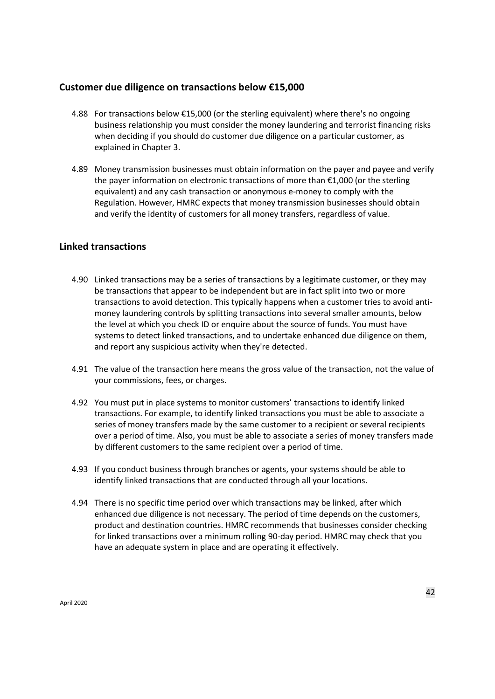## **Customer due diligence on transactions below €15,000**

- 4.88 For transactions below €15,000 (or the sterling equivalent) where there's no ongoing business relationship you must consider the money laundering and terrorist financing risks when deciding if you should do customer due diligence on a particular customer, as explained in Chapter 3.
- 4.89 Money transmission businesses must obtain information on the payer and payee and verify the payer information on electronic transactions of more than €1,000 (or the sterling equivalent) and any cash transaction or anonymous e-money to comply with the Regulation. However, HMRC expects that money transmission businesses should obtain and verify the identity of customers for all money transfers, regardless of value.

## **Linked transactions**

- 4.90 Linked transactions may be a series of transactions by a legitimate customer, or they may be transactions that appear to be independent but are in fact split into two or more transactions to avoid detection. This typically happens when a customer tries to avoid antimoney laundering controls by splitting transactions into several smaller amounts, below the level at which you check ID or enquire about the source of funds. You must have systems to detect linked transactions, and to undertake enhanced due diligence on them, and report any suspicious activity when they're detected.
- 4.91 The value of the transaction here means the gross value of the transaction, not the value of your commissions, fees, or charges.
- 4.92 You must put in place systems to monitor customers' transactions to identify linked transactions. For example, to identify linked transactions you must be able to associate a series of money transfers made by the same customer to a recipient or several recipients over a period of time. Also, you must be able to associate a series of money transfers made by different customers to the same recipient over a period of time.
- 4.93 If you conduct business through branches or agents, your systems should be able to identify linked transactions that are conducted through all your locations.
- 4.94 There is no specific time period over which transactions may be linked, after which enhanced due diligence is not necessary. The period of time depends on the customers, product and destination countries. HMRC recommends that businesses consider checking for linked transactions over a minimum rolling 90-day period. HMRC may check that you have an adequate system in place and are operating it effectively.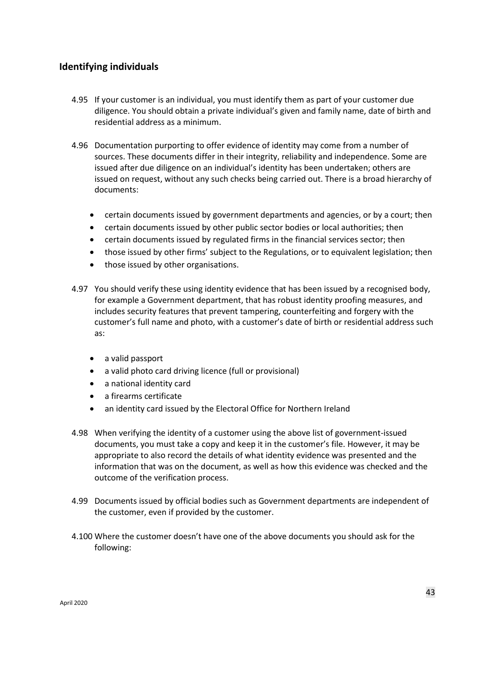# **Identifying individuals**

- 4.95 If your customer is an individual, you must identify them as part of your customer due diligence. You should obtain a private individual's given and family name, date of birth and residential address as a minimum.
- 4.96 Documentation purporting to offer evidence of identity may come from a number of sources. These documents differ in their integrity, reliability and independence. Some are issued after due diligence on an individual's identity has been undertaken; others are issued on request, without any such checks being carried out. There is a broad hierarchy of documents:
	- certain documents issued by government departments and agencies, or by a court; then
	- certain documents issued by other public sector bodies or local authorities; then
	- certain documents issued by regulated firms in the financial services sector; then
	- those issued by other firms' subject to the Regulations, or to equivalent legislation; then
	- those issued by other organisations.
- 4.97 You should verify these using identity evidence that has been issued by a recognised body, for example a Government department, that has robust identity proofing measures, and includes security features that prevent tampering, counterfeiting and forgery with the customer's full name and photo, with a customer's date of birth or residential address such as:
	- a valid passport
	- a valid photo card driving licence (full or provisional)
	- a national identity card
	- a firearms certificate
	- an identity card issued by the Electoral Office for Northern Ireland
- 4.98 When verifying the identity of a customer using the above list of government-issued documents, you must take a copy and keep it in the customer's file. However, it may be appropriate to also record the details of what identity evidence was presented and the information that was on the document, as well as how this evidence was checked and the outcome of the verification process.
- 4.99 Documents issued by official bodies such as Government departments are independent of the customer, even if provided by the customer.
- 4.100 Where the customer doesn't have one of the above documents you should ask for the following: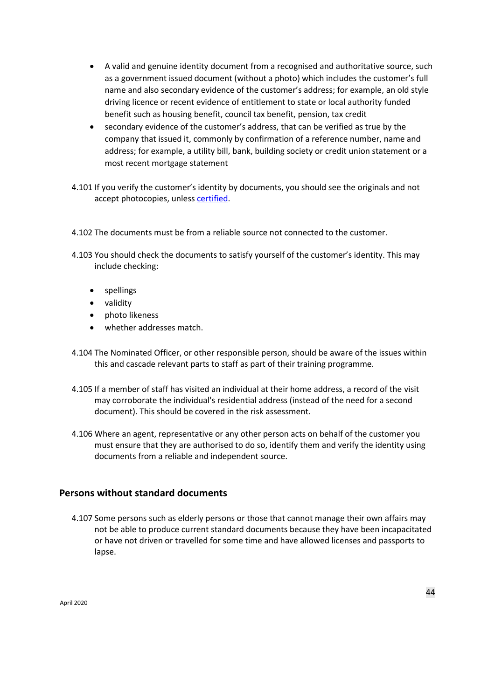- A valid and genuine identity document from a recognised and authoritative source, such as a government issued document (without a photo) which includes the customer's full name and also secondary evidence of the customer's address; for example, an old style driving licence or recent evidence of entitlement to state or local authority funded benefit such as housing benefit, council tax benefit, pension, tax credit
- secondary evidence of the customer's address, that can be verified as true by the company that issued it, commonly by confirmation of a reference number, name and address; for example, a utility bill, bank, building society or credit union statement or a most recent mortgage statement
- 4.101 If you verify the customer's identity by documents, you should see the originals and not accept photocopies, unless [certified.](file://///c/S/CAF1/BT%20MONEY%20LAUNDERING%20REGULATIONS/Policy/Individual%20Duty-Free%20Folders/David%20Hagreen/MSB%20Guidance/If%20you%20verify%20the%20customer’s%20identity%20by%20documents,%20you%20should%20see%20the%20originals%20and%20not%20accept%20photocopies,%20unless%20certified.)
- 4.102 The documents must be from a reliable source not connected to the customer.
- 4.103 You should check the documents to satisfy yourself of the customer's identity. This may include checking:
	- spellings
	- validity
	- photo likeness
	- whether addresses match.
- 4.104 The Nominated Officer, or other responsible person, should be aware of the issues within this and cascade relevant parts to staff as part of their training programme.
- 4.105 If a member of staff has visited an individual at their home address, a record of the visit may corroborate the individual's residential address (instead of the need for a second document). This should be covered in the risk assessment.
- 4.106 Where an agent, representative or any other person acts on behalf of the customer you must ensure that they are authorised to do so, identify them and verify the identity using documents from a reliable and independent source.

### **Persons without standard documents**

4.107 Some persons such as elderly persons or those that cannot manage their own affairs may not be able to produce current standard documents because they have been incapacitated or have not driven or travelled for some time and have allowed licenses and passports to lapse.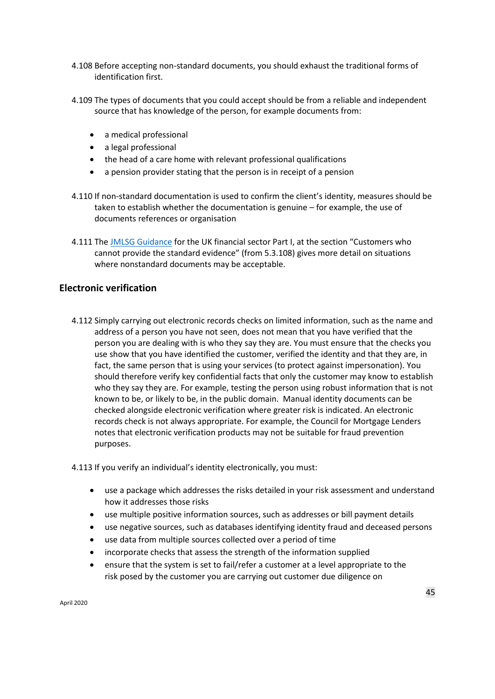- 4.108 Before accepting non-standard documents, you should exhaust the traditional forms of identification first.
- 4.109 The types of documents that you could accept should be from a reliable and independent source that has knowledge of the person, for example documents from:
	- a medical professional
	- a legal professional
	- the head of a care home with relevant professional qualifications
	- a pension provider stating that the person is in receipt of a pension
- 4.110 If non-standard documentation is used to confirm the client's identity, measures should be taken to establish whether the documentation is genuine – for example, the use of documents references or organisation
- 4.111 Th[e](http://www.jmlsg.org.uk/industry-guidance/article/jmlsg-guidance-current) [JMLSG Guidance](http://www.jmlsg.org.uk/industry-guidance/article/jmlsg-guidance-current) [f](http://www.jmlsg.org.uk/industry-guidance/article/jmlsg-guidance-current)or the UK financial sector Part I, at the section "Customers who cannot provide the standard evidence" (from 5.3.108) gives more detail on situations where nonstandard documents may be acceptable.

### **Electronic verification**

4.112 Simply carrying out electronic records checks on limited information, such as the name and address of a person you have not seen, does not mean that you have verified that the person you are dealing with is who they say they are. You must ensure that the checks you use show that you have identified the customer, verified the identity and that they are, in fact, the same person that is using your services (to protect against impersonation). You should therefore verify key confidential facts that only the customer may know to establish who they say they are. For example, testing the person using robust information that is not known to be, or likely to be, in the public domain. Manual identity documents can be checked alongside electronic verification where greater risk is indicated. An electronic records check is not always appropriate. For example, the Council for Mortgage Lenders notes that electronic verification products may not be suitable for fraud prevention purposes.

4.113 If you verify an individual's identity electronically, you must:

- use a package which addresses the risks detailed in your risk assessment and understand how it addresses those risks
- use multiple positive information sources, such as addresses or bill payment details
- use negative sources, such as databases identifying identity fraud and deceased persons
- use data from multiple sources collected over a period of time
- incorporate checks that assess the strength of the information supplied
- ensure that the system is set to fail/refer a customer at a level appropriate to the risk posed by the customer you are carrying out customer due diligence on

April 2020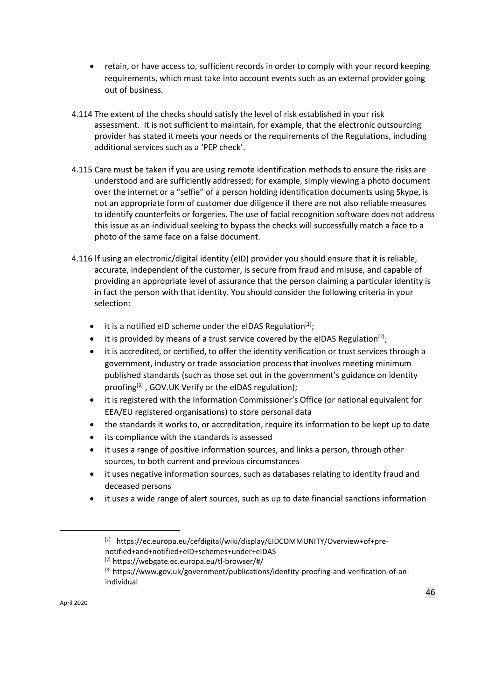- retain, or have access to, sufficient records in order to comply with your record keeping requirements, which must take into account events such as an external provider going out of business.
- 4.114 The extent of the checks should satisfy the level of risk established in your risk assessment. It is not sufficient to maintain, for example, that the electronic outsourcing provider has stated it meets your needs or the requirements of the Regulations, including additional services such as a 'PEP check'.
- 4.115 Care must be taken if you are using remote identification methods to ensure the risks are understood and are sufficiently addressed; for example, simply viewing a photo document over the internet or a "selfie" of a person holding identification documents using Skype, is not an appropriate form of customer due diligence if there are not also reliable measures to identify counterfeits or forgeries. The use of facial recognition software does not address this issue as an individual seeking to bypass the checks will successfully match a face to a photo of the same face on a false document.
- 4.116 If using an electronic/digital identity (eID) provider you should ensure that it is reliable, accurate, independent of the customer, is secure from fraud and misuse, and capable of providing an appropriate level of assurance that the person claiming a particular identity is in fact the person with that identity. You should consider the following criteria in your selection:
	- it is a notified eID scheme under the eIDAS Regulation $[1]$ ;
	- it is provided by means of a trust service covered by the eIDAS Regulation<sup>[2]</sup>;
	- it is accredited, or certified, to offer the identity verification or trust services through a government, industry or trade association process that involves meeting minimum published standards (such as those set out in the government's guidance on identity proofing<sup>[3]</sup>, GOV.UK Verify or the eIDAS regulation);
	- it is registered with the Information Commissioner's Office (or national equivalent for EEA/EU registered organisations) to store personal data
	- the standards it works to, or accreditation, require its information to be kept up to date
	- its compliance with the standards is assessed
	- it uses a range of positive information sources, and links a person, through other sources, to both current and previous circumstances
	- it uses negative information sources, such as databases relating to identity fraud and deceased persons
	- it uses a wide range of alert sources, such as up to date financial sanctions information

 $\overline{\phantom{a}}$ 

<sup>[1]</sup> https://ec.europa.eu/cefdigital/wiki/display/EIDCOMMUNITY/Overview+of+prenotified+and+notified+eID+schemes+under+eIDAS

<sup>[2]</sup> https://webgate.ec.europa.eu/tl-browser/#/

<sup>[3]</sup> https://www.gov.uk/government/publications/identity-proofing-and-verification-of-anindividual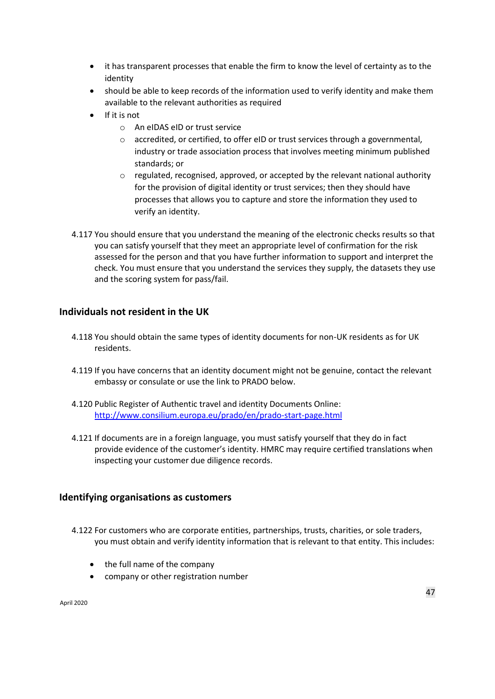- it has transparent processes that enable the firm to know the level of certainty as to the identity
- should be able to keep records of the information used to verify identity and make them available to the relevant authorities as required
- If it is not
	- o An eIDAS eID or trust service
	- o accredited, or certified, to offer eID or trust services through a governmental, industry or trade association process that involves meeting minimum published standards; or
	- $\circ$  regulated, recognised, approved, or accepted by the relevant national authority for the provision of digital identity or trust services; then they should have processes that allows you to capture and store the information they used to verify an identity.
- 4.117 You should ensure that you understand the meaning of the electronic checks results so that you can satisfy yourself that they meet an appropriate level of confirmation for the risk assessed for the person and that you have further information to support and interpret the check. You must ensure that you understand the services they supply, the datasets they use and the scoring system for pass/fail.

## **Individuals not resident in the UK**

- 4.118 You should obtain the same types of identity documents for non-UK residents as for UK residents.
- 4.119 If you have concerns that an identity document might not be genuine, contact the relevant embassy or consulate or use the link to PRADO below.
- 4.120 Public Register of Authentic travel and identity Documents Online: <http://www.consilium.europa.eu/prado/en/prado>[-start-page.html](http://www.consilium.europa.eu/prado/en/prado-start-page.html)
- 4.121 If documents are in a foreign language, you must satisfy yourself that they do in fact provide evidence of the customer's identity. HMRC may require certified translations when inspecting your customer due diligence records.

### **Identifying organisations as customers**

4.122 For customers who are corporate entities, partnerships, trusts, charities, or sole traders, you must obtain and verify identity information that is relevant to that entity. This includes:

- the full name of the company
- company or other registration number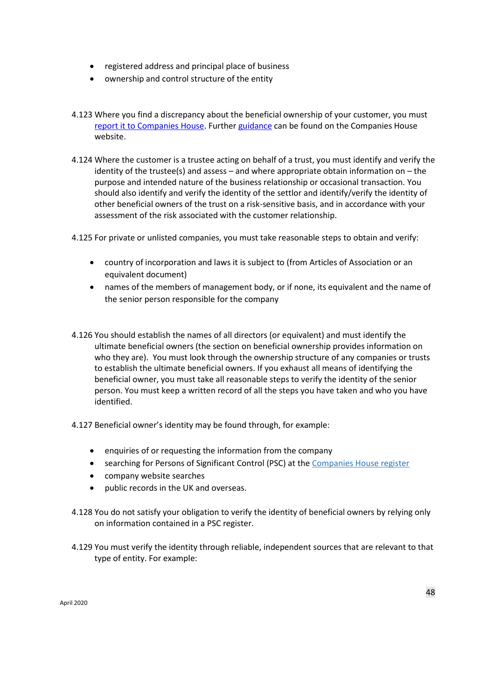- registered address and principal place of business
- ownership and control structure of the entity
- 4.123 Where you find a discrepancy about the beneficial ownership of your customer, you must [report it to Companies House.](https://www.gov.uk/guidance/report-a-discrepancy-about-a-beneficial-owner-on-the-psc-register-by-an-obliged-entity) Furthe[r guidance](https://www.gov.uk/guidance/report-a-discrepancy-about-a-beneficial-owner-on-the-psc-register-by-an-obliged-entity) can be found on the Companies House website.
- 4.124 Where the customer is a trustee acting on behalf of a trust, you must identify and verify the identity of the trustee(s) and assess  $-$  and where appropriate obtain information on  $-$  the purpose and intended nature of the business relationship or occasional transaction. You should also identify and verify the identity of the settlor and identify/verify the identity of other beneficial owners of the trust on a risk-sensitive basis, and in accordance with your assessment of the risk associated with the customer relationship.

4.125 For private or unlisted companies, you must take reasonable steps to obtain and verify:

- country of incorporation and laws it is subject to (from Articles of Association or an equivalent document)
- names of the members of management body, or if none, its equivalent and the name of the senior person responsible for the company
- 4.126 You should establish the names of all directors (or equivalent) and must identify the ultimate beneficial owners (the section on beneficial ownership provides information on who they are). You must look through the ownership structure of any companies or trusts to establish the ultimate beneficial owners. If you exhaust all means of identifying the beneficial owner, you must take all reasonable steps to verify the identity of the senior person. You must keep a written record of all the steps you have taken and who you have identified.
- 4.127 Beneficial owner's identity may be found through, for example:
	- enquiries of or requesting the information from the company
	- searching for Persons of Significant Control (PSC) at the [Companies House register](https://beta.companieshouse.gov.uk/)
	- company website searches
	- public records in the UK and overseas.
- 4.128 You do not satisfy your obligation to verify the identity of beneficial owners by relying only on information contained in a PSC register.
- 4.129 You must verify the identity through reliable, independent sources that are relevant to that type of entity. For example: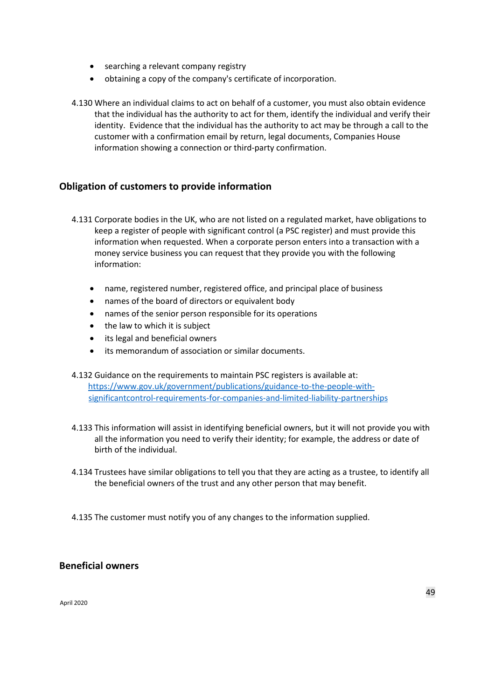- searching a relevant company registry
- obtaining a copy of the company's certificate of incorporation.
- 4.130 Where an individual claims to act on behalf of a customer, you must also obtain evidence that the individual has the authority to act for them, identify the individual and verify their identity. Evidence that the individual has the authority to act may be through a call to the customer with a confirmation email by return, legal documents, Companies House information showing a connection or third-party confirmation.

## **Obligation of customers to provide information**

- 4.131 Corporate bodies in the UK, who are not listed on a regulated market, have obligations to keep a register of people with significant control (a PSC register) and must provide this information when requested. When a corporate person enters into a transaction with a money service business you can request that they provide you with the following information:
	- name, registered number, registered office, and principal place of business
	- names of the board of directors or equivalent body
	- names of the senior person responsible for its operations
	- the law to which it is subject
	- its legal and beneficial owners
	- its memorandum of association or similar documents.
- 4.132 Guidance on the requirements to maintain PSC registers is available at: [https://www.gov.uk/government/publications/guidance-to-the-people-with](https://www.gov.uk/government/publications/guidance-to-the-people-with-significant-control-requirements-for-companies-and-limited-liability-partnerships)[significantcontrol-requirements-for-companies-and-limited-liability-partnerships](https://www.gov.uk/government/publications/guidance-to-the-people-with-significant-control-requirements-for-companies-and-limited-liability-partnerships)
- 4.133 This information will assist in identifying beneficial owners, but it will not provide you with all the information you need to verify their identity; for example, the address or date of birth of the individual.
- 4.134 Trustees have similar obligations to tell you that they are acting as a trustee, to identify all the beneficial owners of the trust and any other person that may benefit.
- 4.135 The customer must notify you of any changes to the information supplied.

### **Beneficial owners**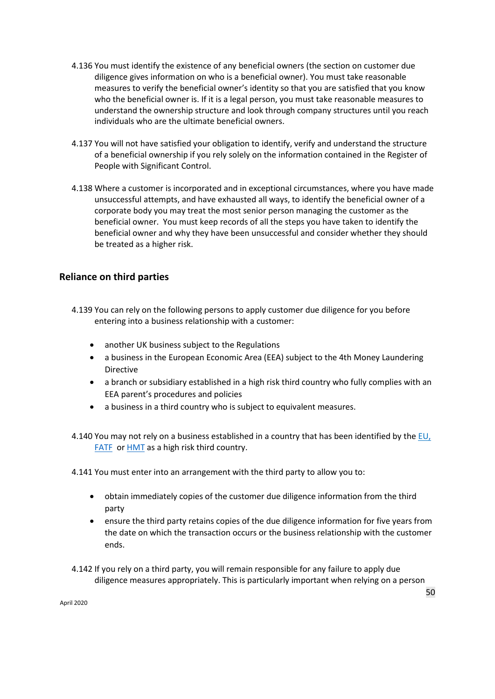- 4.136 You must identify the existence of any beneficial owners (the section on customer due diligence gives information on who is a beneficial owner). You must take reasonable measures to verify the beneficial owner's identity so that you are satisfied that you know who the beneficial owner is. If it is a legal person, you must take reasonable measures to understand the ownership structure and look through company structures until you reach individuals who are the ultimate beneficial owners.
- 4.137 You will not have satisfied your obligation to identify, verify and understand the structure of a beneficial ownership if you rely solely on the information contained in the Register of People with Significant Control.
- 4.138 Where a customer is incorporated and in exceptional circumstances, where you have made unsuccessful attempts, and have exhausted all ways, to identify the beneficial owner of a corporate body you may treat the most senior person managing the customer as the beneficial owner. You must keep records of all the steps you have taken to identify the beneficial owner and why they have been unsuccessful and consider whether they should be treated as a higher risk.

# **Reliance on third parties**

- 4.139 You can rely on the following persons to apply customer due diligence for you before entering into a business relationship with a customer:
	- another UK business subject to the Regulations
	- a business in the European Economic Area (EEA) subject to the 4th Money Laundering Directive
	- a branch or subsidiary established in a high risk third country who fully complies with an EEA parent's procedures and policies
	- a business in a third country who is subject to equivalent measures.

4.140 You may not rely on a business established in a country that has been identified by the [EU](https://ec.europa.eu/transparency/regdoc/?n=10&adv=0&coteId=3&year=2016&number=4180&dateFrom=&dateTo=&serviceId=&documentType=&title=&titleLanguage=&titleSearch=EXACT&sortBy=NUMBER&sortOrder=DESC&CFID=36674&CFTOKEN=4687450f3d08bcb1-4B9BFE51-98F4-ACC7-FB8D04EE1030594E&version=ALL&fuseaction=list)[,](http://www.fatf-gafi.org/publications/high-riskandnon-cooperativejurisdictions/?hf=10&b=0&s=desc(fatf_releasedate)) [FATF](http://www.fatf-gafi.org/publications/high-riskandnon-cooperativejurisdictions/?hf=10&b=0&s=desc(fatf_releasedate)) or **HMT** as a high risk third country.

4.141 You must enter into an arrangement with the third party to allow you to:

- obtain immediately copies of the customer due diligence information from the third party
- ensure the third party retains copies of the due diligence information for five years from the date on which the transaction occurs or the business relationship with the customer ends.
- 4.142 If you rely on a third party, you will remain responsible for any failure to apply due diligence measures appropriately. This is particularly important when relying on a person

April 2020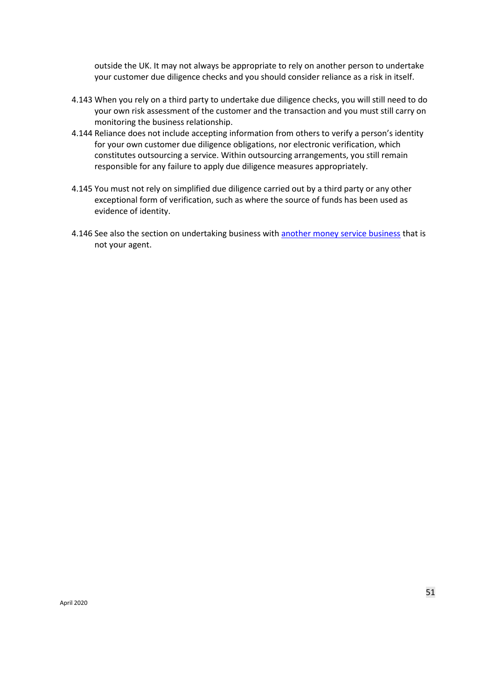outside the UK. It may not always be appropriate to rely on another person to undertake your customer due diligence checks and you should consider reliance as a risk in itself.

- 4.143 When you rely on a third party to undertake due diligence checks, you will still need to do your own risk assessment of the customer and the transaction and you must still carry on monitoring the business relationship.
- 4.144 Reliance does not include accepting information from others to verify a person's identity for your own customer due diligence obligations, nor electronic verification, which constitutes outsourcing a service. Within outsourcing arrangements, you still remain responsible for any failure to apply due diligence measures appropriately.
- 4.145 You must not rely on simplified due diligence carried out by a third party or any other exceptional form of verification, such as where the source of funds has been used as evidence of identity.
- 4.146 See also the section on undertaking business with [another money service business](#page-81-0) that is not your agent.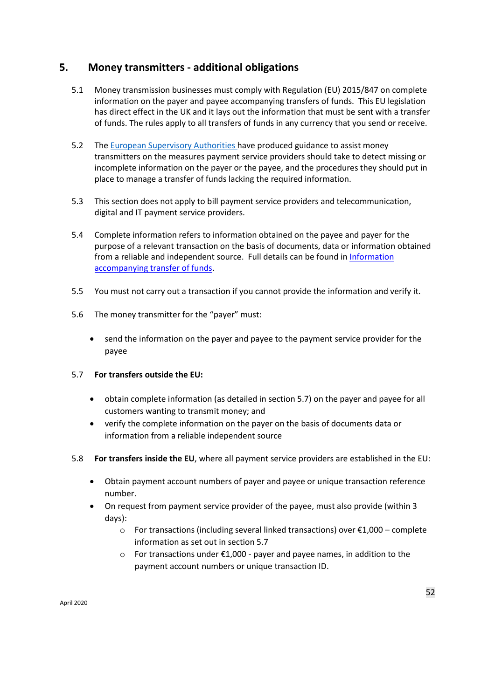# **5. Money transmitters - additional obligations**

- 5.1 Money transmission businesses must comply with Regulation (EU) 2015/847 on complete information on the payer and payee accompanying transfers of funds. This EU legislation has direct effect in the UK and it lays out the information that must be sent with a transfer of funds. The rules apply to all transfers of funds in any currency that you send or receive.
- 5.2 Th[e European Supervisory Authorities ha](https://esas-joint-committee.europa.eu/Publications/Guidelines/Joint%20Guidelines%20to%20prevent%20terrorist%20financing%20and%20money%20laundering%20in%20electronic%20fund%20transfers%20(JC-GL-2017-16).pdf)ve produced guidance to assist money transmitters on the measures payment service providers should take to detect missing or incomplete information on the payer or the payee, and the procedures they should put in place to manage a transfer of funds lacking the required information.
- 5.3 This section does not apply to bill payment service providers and telecommunication, digital and IT payment service providers.
- 5.4 Complete information refers to information obtained on the payee and payer for the purpose of a relevant transaction on the basis of documents, data or information obtained from a reliable and independent source. Full details can be found i[n Information](https://www.ukfinance.org.uk/system/files/UK-Finance-How-To-Guide-for-the-Funds-Transfer-Regulation-Aug-2018-002.pdf)  [accompanying transfer of funds.](https://www.ukfinance.org.uk/system/files/UK-Finance-How-To-Guide-for-the-Funds-Transfer-Regulation-Aug-2018-002.pdf)
- 5.5 You must not carry out a transaction if you cannot provide the information and verify it.
- 5.6 The money transmitter for the "payer" must:
	- send the information on the payer and payee to the payment service provider for the payee

#### 5.7 **For transfers outside the EU:**

- obtain complete information (as detailed in section 5.7) on the payer and payee for all customers wanting to transmit money; and
- verify the complete information on the payer on the basis of documents data or information from a reliable independent source
- 5.8 **For transfers inside the EU**, where all payment service providers are established in the EU:
	- Obtain payment account numbers of payer and payee or unique transaction reference number.
	- On request from payment service provider of the payee, must also provide (within 3 days):
		- o For transactions (including several linked transactions) over €1,000 complete information as set out in section 5.7
		- $\circ$  For transactions under  $\epsilon$ 1,000 payer and payee names, in addition to the payment account numbers or unique transaction ID.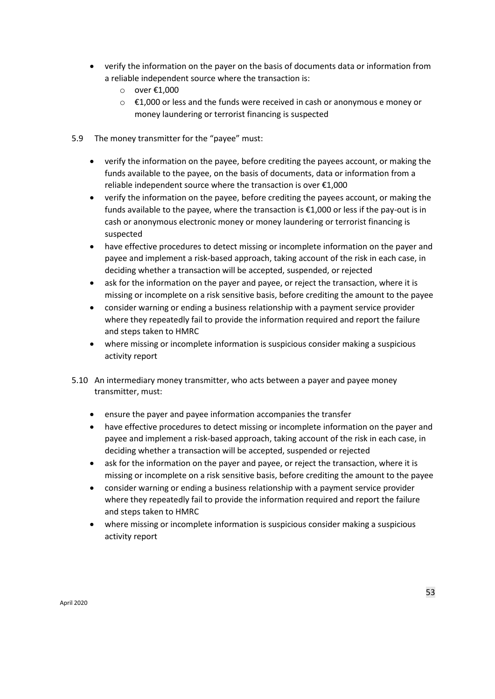- verify the information on the payer on the basis of documents data or information from a reliable independent source where the transaction is:
	- o over €1,000
	- $\circ$   $\epsilon$ 1,000 or less and the funds were received in cash or anonymous e money or money laundering or terrorist financing is suspected
- 5.9 The money transmitter for the "payee" must:
	- verify the information on the payee, before crediting the payees account, or making the funds available to the payee, on the basis of documents, data or information from a reliable independent source where the transaction is over €1,000
	- verify the information on the payee, before crediting the payees account, or making the funds available to the payee, where the transaction is €1,000 or less if the pay-out is in cash or anonymous electronic money or money laundering or terrorist financing is suspected
	- have effective procedures to detect missing or incomplete information on the payer and payee and implement a risk-based approach, taking account of the risk in each case, in deciding whether a transaction will be accepted, suspended, or rejected
	- ask for the information on the payer and payee, or reject the transaction, where it is missing or incomplete on a risk sensitive basis, before crediting the amount to the payee
	- consider warning or ending a business relationship with a payment service provider where they repeatedly fail to provide the information required and report the failure and steps taken to HMRC
	- where missing or incomplete information is suspicious consider making a suspicious activity report
- 5.10 An intermediary money transmitter, who acts between a payer and payee money transmitter, must:
	- ensure the payer and payee information accompanies the transfer
	- have effective procedures to detect missing or incomplete information on the payer and payee and implement a risk-based approach, taking account of the risk in each case, in deciding whether a transaction will be accepted, suspended or rejected
	- ask for the information on the payer and payee, or reject the transaction, where it is missing or incomplete on a risk sensitive basis, before crediting the amount to the payee
	- consider warning or ending a business relationship with a payment service provider where they repeatedly fail to provide the information required and report the failure and steps taken to HMRC
	- where missing or incomplete information is suspicious consider making a suspicious activity report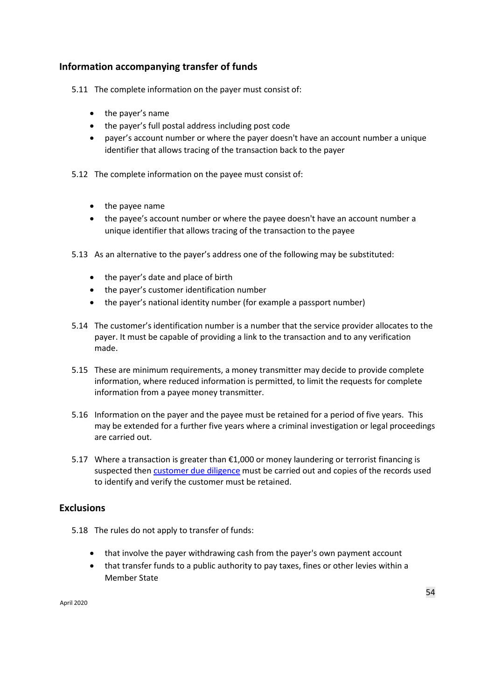# **Information accompanying transfer of funds**

- 5.11 The complete information on the payer must consist of:
	- the payer's name
	- the payer's full postal address including post code
	- payer's account number or where the payer doesn't have an account number a unique identifier that allows tracing of the transaction back to the payer
- 5.12 The complete information on the payee must consist of:
	- the payee name
	- the payee's account number or where the payee doesn't have an account number a unique identifier that allows tracing of the transaction to the payee
- 5.13 As an alternative to the payer's address one of the following may be substituted:
	- the payer's date and place of birth
	- the payer's customer identification number
	- the payer's national identity number (for example a passport number)
- 5.14 The customer's identification number is a number that the service provider allocates to the payer. It must be capable of providing a link to the transaction and to any verification made.
- 5.15 These are minimum requirements, a money transmitter may decide to provide complete information, where reduced information is permitted, to limit the requests for complete information from a payee money transmitter.
- 5.16 Information on the payer and the payee must be retained for a period of five years. This may be extended for a further five years where a criminal investigation or legal proceedings are carried out.
- 5.17 Where a transaction is greater than €1,000 or money laundering or terrorist financing is suspected then **customer due diligence** must be carried out and copies of the records used to identify and verify the customer must be retained.

## **Exclusions**

- 5.18 The rules do not apply to transfer of funds:
	- that involve the payer withdrawing cash from the payer's own payment account
	- that transfer funds to a public authority to pay taxes, fines or other levies within a Member State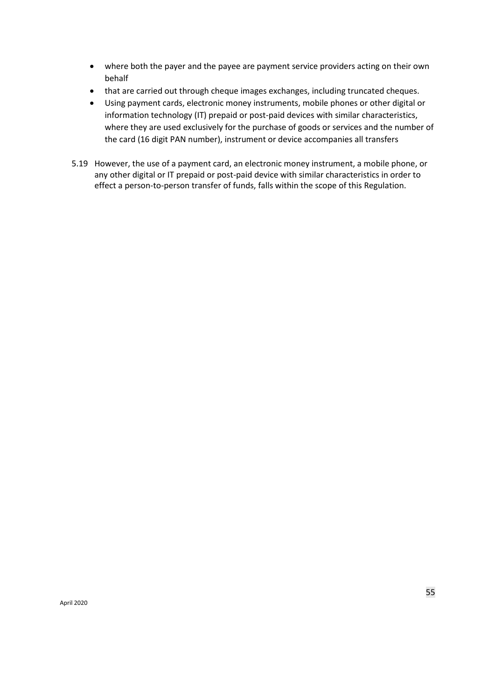- where both the payer and the payee are payment service providers acting on their own behalf
- that are carried out through cheque images exchanges, including truncated cheques.
- Using payment cards, electronic money instruments, mobile phones or other digital or information technology (IT) prepaid or post-paid devices with similar characteristics, where they are used exclusively for the purchase of goods or services and the number of the card (16 digit PAN number), instrument or device accompanies all transfers
- 5.19 However, the use of a payment card, an electronic money instrument, a mobile phone, or any other digital or IT prepaid or post-paid device with similar characteristics in order to effect a person-to-person transfer of funds, falls within the scope of this Regulation.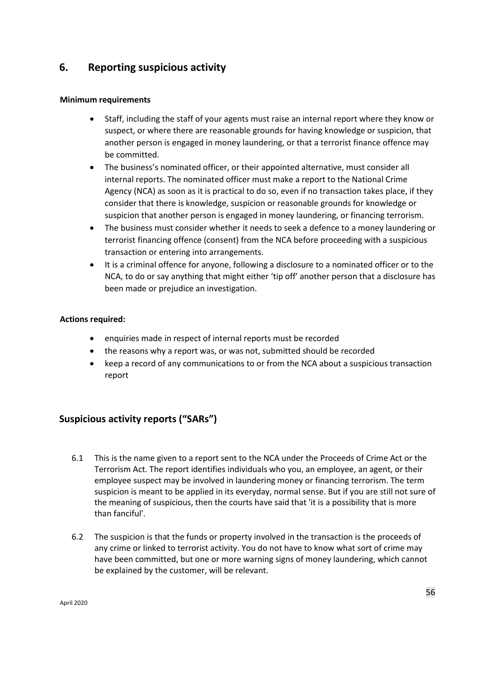# **6. Reporting suspicious activity**

#### **Minimum requirements**

- Staff, including the staff of your agents must raise an internal report where they know or suspect, or where there are reasonable grounds for having knowledge or suspicion, that another person is engaged in money laundering, or that a terrorist finance offence may be committed.
- The business's nominated officer, or their appointed alternative, must consider all internal reports. The nominated officer must make a report to the National Crime Agency (NCA) as soon as it is practical to do so, even if no transaction takes place, if they consider that there is knowledge, suspicion or reasonable grounds for knowledge or suspicion that another person is engaged in money laundering, or financing terrorism.
- The business must consider whether it needs to seek a defence to a money laundering or terrorist financing offence (consent) from the NCA before proceeding with a suspicious transaction or entering into arrangements.
- It is a criminal offence for anyone, following a disclosure to a nominated officer or to the NCA, to do or say anything that might either 'tip off' another person that a disclosure has been made or prejudice an investigation.

#### **Actions required:**

- enquiries made in respect of internal reports must be recorded
- the reasons why a report was, or was not, submitted should be recorded
- keep a record of any communications to or from the NCA about a suspicious transaction report

# **Suspicious activity reports ("SARs")**

- 6.1 This is the name given to a report sent to the NCA under the Proceeds of Crime Act or the Terrorism Act. The report identifies individuals who you, an employee, an agent, or their employee suspect may be involved in laundering money or financing terrorism. The term suspicion is meant to be applied in its everyday, normal sense. But if you are still not sure of the meaning of suspicious, then the courts have said that 'it is a possibility that is more than fanciful'.
- 6.2 The suspicion is that the funds or property involved in the transaction is the proceeds of any crime or linked to terrorist activity. You do not have to know what sort of crime may have been committed, but one or more warning signs of money laundering, which cannot be explained by the customer, will be relevant.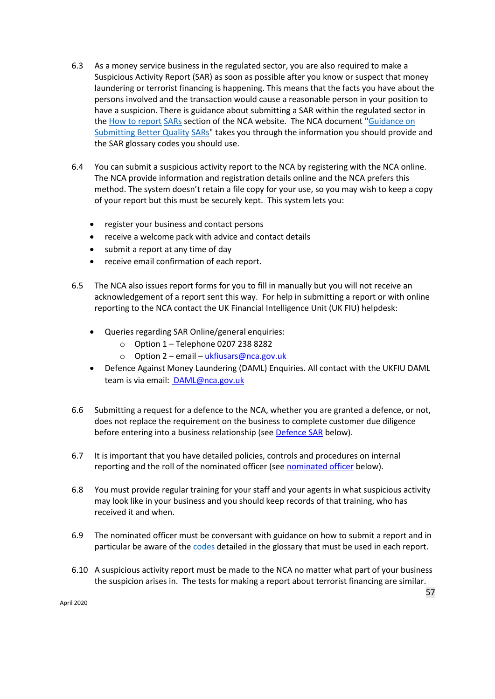- 6.3 As a money service business in the regulated sector, you are also required to make a Suspicious Activity Report (SAR) as soon as possible after you know or suspect that money laundering or terrorist financing is happening. This means that the facts you have about the persons involved and the transaction would cause a reasonable person in your position to have a suspicion. There is guidance about submitting a SAR within the regulated sector in the [How to report](http://www.nationalcrimeagency.gov.uk/about-us/what-we-do/economic-crime/ukfiu/how-to-report-sars) [SARs](http://www.nationalcrimeagency.gov.uk/about-us/what-we-do/economic-crime/ukfiu/how-to-report-sars) section of the NCA website. The NCA documen[t](http://www.nationalcrimeagency.gov.uk/publications/732-guidance-on-submitting-better-quality-sars/file) ["Guidance on](http://www.nationalcrimeagency.gov.uk/publications/732-guidance-on-submitting-better-quality-sars/file)  [Submitting Better Quality](http://www.nationalcrimeagency.gov.uk/publications/732-guidance-on-submitting-better-quality-sars/file) [SARs"](http://www.nationalcrimeagency.gov.uk/publications/732-guidance-on-submitting-better-quality-sars/file) takes you through the information you should provide and the SAR glossary codes you should use.
- 6.4 You can submit a suspicious activity report to the NCA by registering with the NCA online. Th[e NCA](https://www.ukciu.gov.uk/(qp1iioqkrgu3qgz3v2wqwu45)/saronline.aspx) [p](https://www.ukciu.gov.uk/(qp1iioqkrgu3qgz3v2wqwu45)/saronline.aspx)rovide [information and registration details](https://www.ukciu.gov.uk/(kea0xyv1ddzwgm55eawgs155)/saronline.aspx) [o](https://www.ukciu.gov.uk/(kea0xyv1ddzwgm55eawgs155)/saronline.aspx)nline and the NCA prefers this method. The system doesn't retain a file copy for your use, so you may wish to keep a copy of your report but this must be securely kept. This system lets you:
	- register your business and contact persons
	- receive a welcome pack with advice and contact details
	- submit a report at any time of day
	- receive email confirmation of each report.
- 6.5 The NCA also issues report forms for you to fill in manually but you will not receive an acknowledgement of a report sent this way. For help in submitting a report or with online reporting to the NCA contact the UK Financial Intelligence Unit (UK FIU) helpdesk:
	- Queries regarding SAR Online/general enquiries:
		- $\circ$  Option 1 Telephone 0207 238 8282
		- o Option 2 email [ukfiusars@nca.gov.uk](mailto:ukfiusars@nca.gov.uk)
	- Defence Against Money Laundering (DAML) Enquiries. All contact with the UKFIU DAML team is via email: [DAML@nca.gov.uk](mailto:DAML@nca.gov.uk)
- 6.6 Submitting a request for a defence to the NCA, whether you are granted a defence, or not, does not replace the requirement on the business to complete customer due diligence before entering into a business relationship (se[e Defence SAR](#page-57-0) below).
- 6.7 It is important that you have detailed policies, controls and procedures on internal reporting and the roll of the [nominated officer](#page-57-1) (see nominated officer below).
- 6.8 You must provide regular training for your staff and your agents in what suspicious activity may look like in your business and you should keep records of that training, who has received it and when.
- 6.9 The nominated officer must be conversant with guidance on how to submit a report and in particular be aware of the [codes](http://www.nationalcrimeagency.gov.uk/publications/725-sar-glossary-code-and-reporting-routes/file) detailed in the glossary that must be used in each report.
- 6.10 A suspicious activity report must be made to the NCA no matter what part of your business the suspicion arises in. The tests for making a report about terrorist financing are similar.

April 2020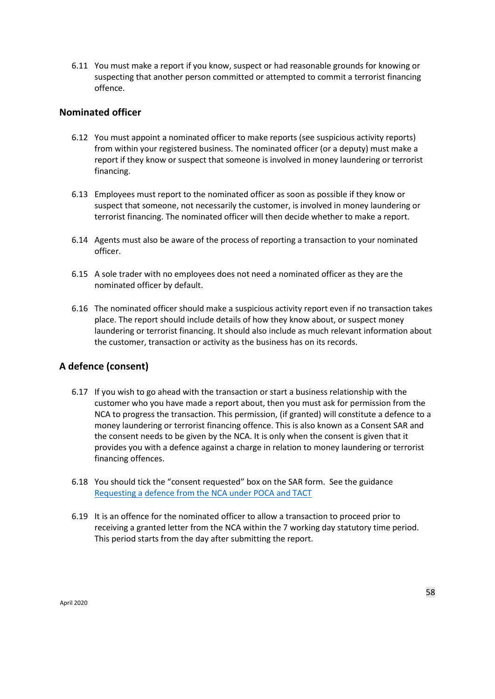6.11 You must make a report if you know, suspect or had reasonable grounds for knowing or suspecting that another person committed or attempted to commit a terrorist financing offence.

### <span id="page-57-1"></span>**Nominated officer**

- 6.12 You must appoint a nominated officer to make reports (see suspicious activity reports) from within your registered business. The nominated officer (or a deputy) must make a report if they know or suspect that someone is involved in money laundering or terrorist financing.
- 6.13 Employees must report to the nominated officer as soon as possible if they know or suspect that someone, not necessarily the customer, is involved in money laundering or terrorist financing. The nominated officer will then decide whether to make a report.
- 6.14 Agents must also be aware of the process of reporting a transaction to your nominated officer.
- 6.15 A sole trader with no employees does not need a nominated officer as they are the nominated officer by default.
- 6.16 The nominated officer should make a suspicious activity report even if no transaction takes place. The report should include details of how they know about, or suspect money laundering or terrorist financing. It should also include as much relevant information about the customer, transaction or activity as the business has on its records.

## <span id="page-57-0"></span>**A defence (consent)**

- 6.17 If you wish to go ahead with the transaction or start a business relationship with the customer who you have made a report about, then you must ask for permission from the NCA to progress the transaction. This permission, (if granted) will constitute a defence to a money laundering or terrorist financing offence. This is also known as a Consent SAR and the consent needs to be given by the NCA. It is only when the consent is given that it provides you with a defence against a charge in relation to money laundering or terrorist financing offences.
- 6.18 You should tick the "consent requested" box on the SAR form. See the guidanc[e](http://www.nationalcrimeagency.gov.uk/publications/713-requesting-a-defence-under-poca-tact/file)  [Requesting a](http://www.nationalcrimeagency.gov.uk/publications/713-requesting-a-defence-under-poca-tact/file) [defence from the NCA under POCA and](http://www.nationalcrimeagency.gov.uk/publications/713-requesting-a-defence-under-poca-tact/file) TAC[T](http://www.nationalcrimeagency.gov.uk/publications/713-requesting-a-defence-under-poca-tact/file)
- 6.19 It is an offence for the nominated officer to allow a transaction to proceed prior to receiving a granted letter from the NCA within the 7 working day statutory time period. This period starts from the day after submitting the report.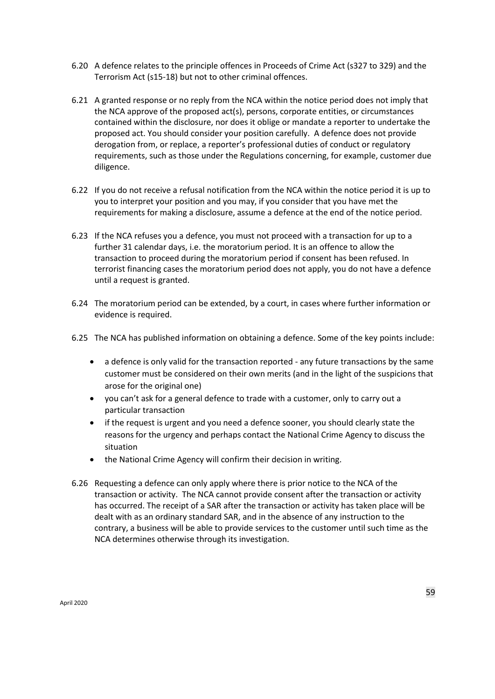- 6.20 A defence relates to the principle offences in Proceeds of Crime Act (s327 to 329) and the Terrorism Act (s15-18) but not to other criminal offences.
- 6.21 A granted response or no reply from the NCA within the notice period does not imply that the NCA approve of the proposed act(s), persons, corporate entities, or circumstances contained within the disclosure, nor does it oblige or mandate a reporter to undertake the proposed act. You should consider your position carefully. A defence does not provide derogation from, or replace, a reporter's professional duties of conduct or regulatory requirements, such as those under the Regulations concerning, for example, customer due diligence.
- 6.22 If you do not receive a refusal notification from the NCA within the notice period it is up to you to interpret your position and you may, if you consider that you have met the requirements for making a disclosure, assume a defence at the end of the notice period.
- 6.23 If the NCA refuses you a defence, you must not proceed with a transaction for up to a further 31 calendar days, i.e. the moratorium period. It is an offence to allow the transaction to proceed during the moratorium period if consent has been refused. In terrorist financing cases the moratorium period does not apply, you do not have a defence until a request is granted.
- 6.24 The moratorium period can be extended, by a court, in cases where further information or evidence is required.
- 6.25 The NCA has published information on obtaining a defence. Some of the key points include:
	- a defence is only valid for the transaction reported any future transactions by the same customer must be considered on their own merits (and in the light of the suspicions that arose for the original one)
	- you can't ask for a general defence to trade with a customer, only to carry out a particular transaction
	- if the request is urgent and you need a defence sooner, you should clearly state the reasons for the urgency and perhaps contact the National Crime Agency to discuss the situation
	- the National Crime Agency will confirm their decision in writing.
- 6.26 Requesting a defence can only apply where there is prior notice to the NCA of the transaction or activity. The NCA cannot provide consent after the transaction or activity has occurred. The receipt of a SAR after the transaction or activity has taken place will be dealt with as an ordinary standard SAR, and in the absence of any instruction to the contrary, a business will be able to provide services to the customer until such time as the NCA determines otherwise through its investigation.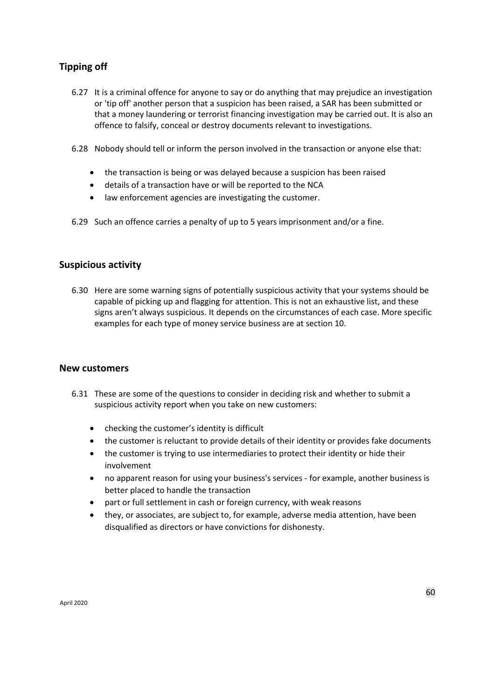# **Tipping off**

- 6.27 It is a criminal offence for anyone to say or do anything that may prejudice an investigation or 'tip off' another person that a suspicion has been raised, a SAR has been submitted or that a money laundering or terrorist financing investigation may be carried out. It is also an offence to falsify, conceal or destroy documents relevant to investigations.
- 6.28 Nobody should tell or inform the person involved in the transaction or anyone else that:
	- the transaction is being or was delayed because a suspicion has been raised
	- details of a transaction have or will be reported to the NCA
	- law enforcement agencies are investigating the customer.
- 6.29 Such an offence carries a penalty of up to 5 years imprisonment and/or a fine.

## **Suspicious activity**

6.30 Here are some warning signs of potentially suspicious activity that your systems should be capable of picking up and flagging for attention. This is not an exhaustive list, and these signs aren't always suspicious. It depends on the circumstances of each case. More specific examples for each type of money service business are at section 10.

#### **New customers**

- 6.31 These are some of the questions to consider in deciding risk and whether to submit a suspicious activity report when you take on new customers:
	- checking the customer's identity is difficult
	- the customer is reluctant to provide details of their identity or provides fake documents
	- the customer is trying to use intermediaries to protect their identity or hide their involvement
	- no apparent reason for using your business's services for example, another business is better placed to handle the transaction
	- part or full settlement in cash or foreign currency, with weak reasons
	- they, or associates, are subject to, for example, adverse media attention, have been disqualified as directors or have convictions for dishonesty.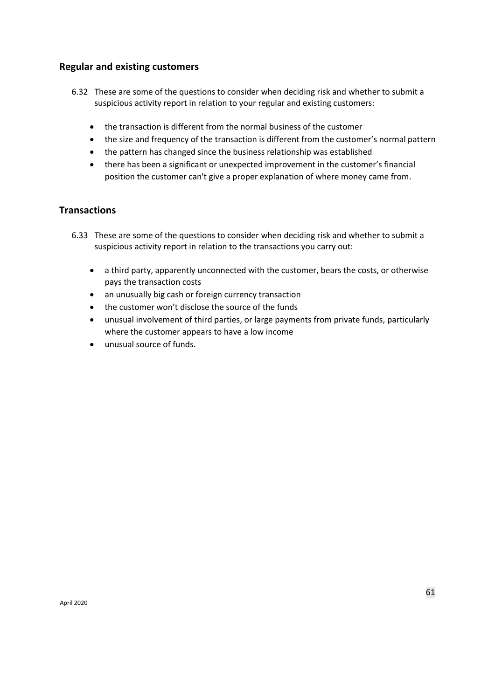### **Regular and existing customers**

- 6.32 These are some of the questions to consider when deciding risk and whether to submit a suspicious activity report in relation to your regular and existing customers:
	- the transaction is different from the normal business of the customer
	- the size and frequency of the transaction is different from the customer's normal pattern
	- the pattern has changed since the business relationship was established
	- there has been a significant or unexpected improvement in the customer's financial position the customer can't give a proper explanation of where money came from.

## **Transactions**

- 6.33 These are some of the questions to consider when deciding risk and whether to submit a suspicious activity report in relation to the transactions you carry out:
	- a third party, apparently unconnected with the customer, bears the costs, or otherwise pays the transaction costs
	- an unusually big cash or foreign currency transaction
	- the customer won't disclose the source of the funds
	- unusual involvement of third parties, or large payments from private funds, particularly where the customer appears to have a low income
	- unusual source of funds.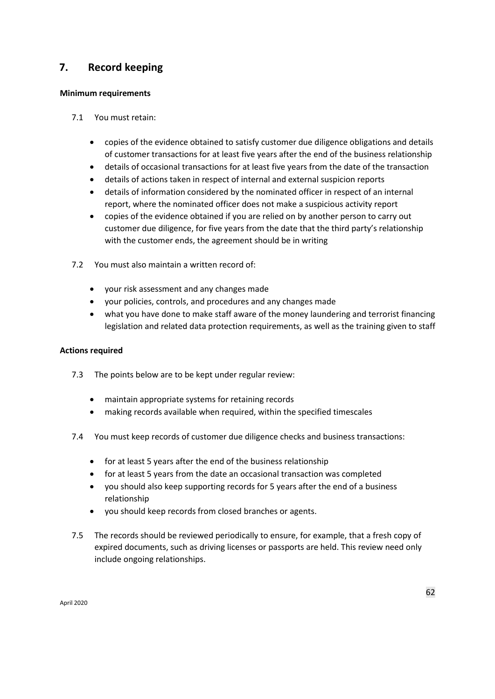# **7. Record keeping**

#### **Minimum requirements**

- 7.1 You must retain:
	- copies of the evidence obtained to satisfy customer due diligence obligations and details of customer transactions for at least five years after the end of the business relationship
	- details of occasional transactions for at least five years from the date of the transaction
	- details of actions taken in respect of internal and external suspicion reports
	- details of information considered by the nominated officer in respect of an internal report, where the nominated officer does not make a suspicious activity report
	- copies of the evidence obtained if you are relied on by another person to carry out customer due diligence, for five years from the date that the third party's relationship with the customer ends, the agreement should be in writing
- 7.2 You must also maintain a written record of:
	- your risk assessment and any changes made
	- your policies, controls, and procedures and any changes made
	- what you have done to make staff aware of the money laundering and terrorist financing legislation and related data protection requirements, as well as the training given to staff

#### **Actions required**

- 7.3 The points below are to be kept under regular review:
	- maintain appropriate systems for retaining records
	- making records available when required, within the specified timescales
- 7.4 You must keep records of customer due diligence checks and business transactions:
	- for at least 5 years after the end of the business relationship
	- for at least 5 years from the date an occasional transaction was completed
	- you should also keep supporting records for 5 years after the end of a business relationship
	- you should keep records from closed branches or agents.
- 7.5 The records should be reviewed periodically to ensure, for example, that a fresh copy of expired documents, such as driving licenses or passports are held. This review need only include ongoing relationships.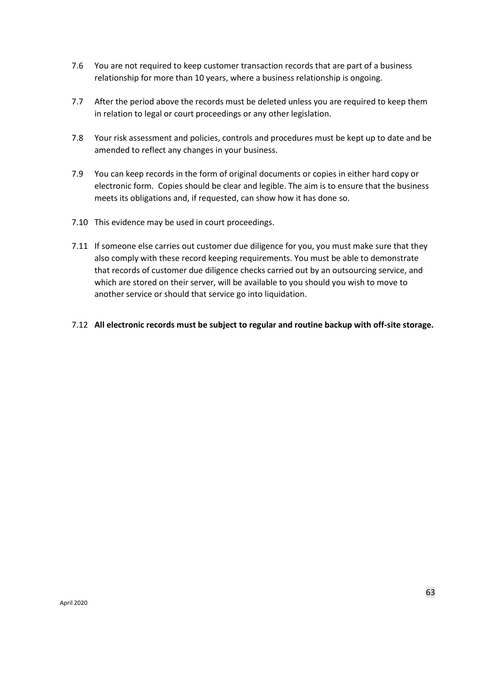- 7.6 You are not required to keep customer transaction records that are part of a business relationship for more than 10 years, where a business relationship is ongoing.
- 7.7 After the period above the records must be deleted unless you are required to keep them in relation to legal or court proceedings or any other legislation.
- 7.8 Your risk assessment and policies, controls and procedures must be kept up to date and be amended to reflect any changes in your business.
- 7.9 You can keep records in the form of original documents or copies in either hard copy or electronic form. Copies should be clear and legible. The aim is to ensure that the business meets its obligations and, if requested, can show how it has done so.
- 7.10 This evidence may be used in court proceedings.
- 7.11 If someone else carries out customer due diligence for you, you must make sure that they also comply with these record keeping requirements. You must be able to demonstrate that records of customer due diligence checks carried out by an outsourcing service, and which are stored on their server, will be available to you should you wish to move to another service or should that service go into liquidation.
- 7.12 **All electronic records must be subject to regular and routine backup with off-site storage.**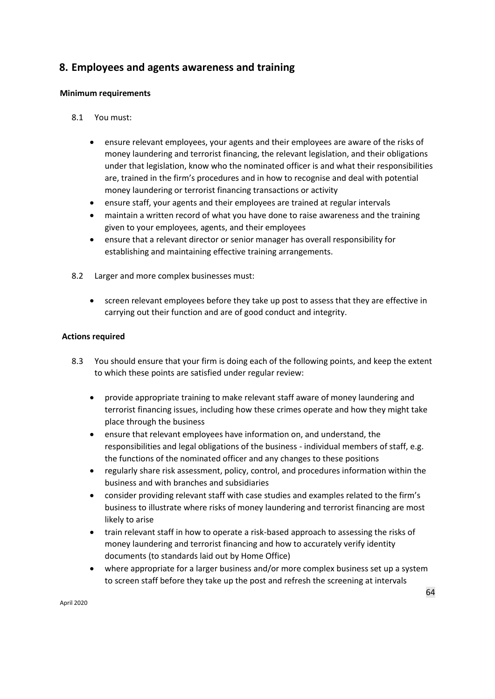# **8. Employees and agents awareness and training**

#### **Minimum requirements**

- 8.1 You must:
	- ensure relevant employees, your agents and their employees are aware of the risks of money laundering and terrorist financing, the relevant legislation, and their obligations under that legislation, know who the nominated officer is and what their responsibilities are, trained in the firm's procedures and in how to recognise and deal with potential money laundering or terrorist financing transactions or activity
	- ensure staff, your agents and their employees are trained at regular intervals
	- maintain a written record of what you have done to raise awareness and the training given to your employees, agents, and their employees
	- ensure that a relevant director or senior manager has overall responsibility for establishing and maintaining effective training arrangements.
- 8.2 Larger and more complex businesses must:
	- screen relevant employees before they take up post to assess that they are effective in carrying out their function and are of good conduct and integrity.

#### **Actions required**

- 8.3 You should ensure that your firm is doing each of the following points, and keep the extent to which these points are satisfied under regular review:
	- provide appropriate training to make relevant staff aware of money laundering and terrorist financing issues, including how these crimes operate and how they might take place through the business
	- ensure that relevant employees have information on, and understand, the responsibilities and legal obligations of the business - individual members of staff, e.g. the functions of the nominated officer and any changes to these positions
	- regularly share risk assessment, policy, control, and procedures information within the business and with branches and subsidiaries
	- consider providing relevant staff with case studies and examples related to the firm's business to illustrate where risks of money laundering and terrorist financing are most likely to arise
	- train relevant staff in how to operate a risk-based approach to assessing the risks of money laundering and terrorist financing and how to accurately verify identity documents (to standards laid out by Home Office)
	- where appropriate for a larger business and/or more complex business set up a system to screen staff before they take up the post and refresh the screening at intervals

April 2020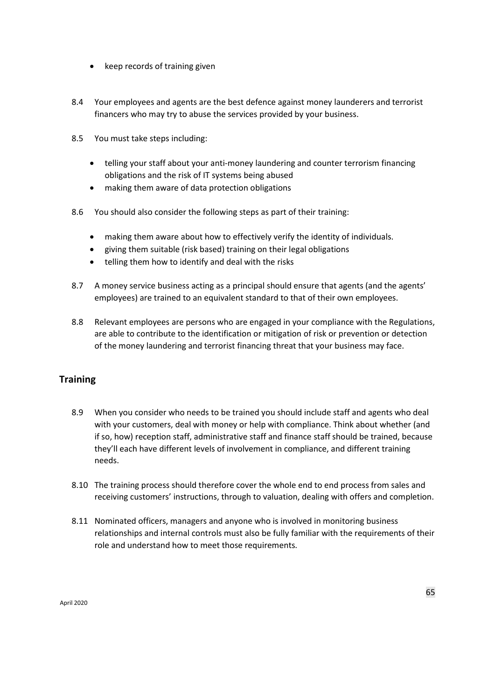- keep records of training given
- 8.4 Your employees and agents are the best defence against money launderers and terrorist financers who may try to abuse the services provided by your business.
- 8.5 You must take steps including:
	- telling your staff about your anti-money laundering and counter terrorism financing obligations and the risk of IT systems being abused
	- making them aware of data protection obligations
- 8.6 You should also consider the following steps as part of their training:
	- making them aware about how to effectively verify the identity of individuals.
	- giving them suitable (risk based) training on their legal obligations
	- telling them how to identify and deal with the risks
- 8.7 A money service business acting as a principal should ensure that agents (and the agents' employees) are trained to an equivalent standard to that of their own employees.
- 8.8 Relevant employees are persons who are engaged in your compliance with the Regulations, are able to contribute to the identification or mitigation of risk or prevention or detection of the money laundering and terrorist financing threat that your business may face.

# **Training**

- 8.9 When you consider who needs to be trained you should include staff and agents who deal with your customers, deal with money or help with compliance. Think about whether (and if so, how) reception staff, administrative staff and finance staff should be trained, because they'll each have different levels of involvement in compliance, and different training needs.
- 8.10 The training process should therefore cover the whole end to end process from sales and receiving customers' instructions, through to valuation, dealing with offers and completion.
- 8.11 Nominated officers, managers and anyone who is involved in monitoring business relationships and internal controls must also be fully familiar with the requirements of their role and understand how to meet those requirements.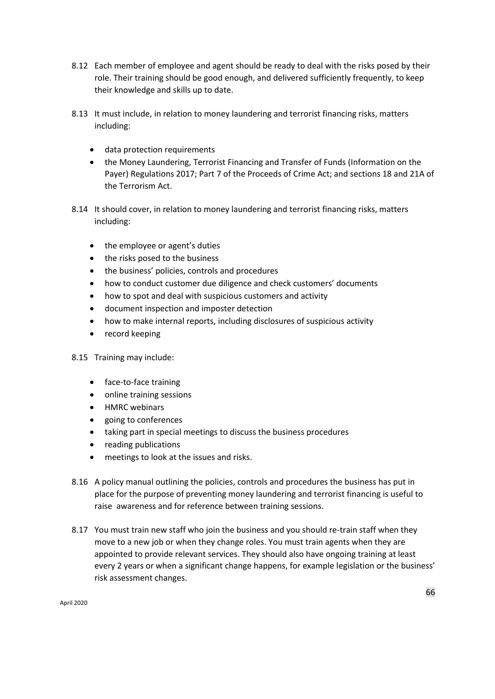- 8.12 Each member of employee and agent should be ready to deal with the risks posed by their role. Their training should be good enough, and delivered sufficiently frequently, to keep their knowledge and skills up to date.
- 8.13 It must include, in relation to money laundering and terrorist financing risks, matters including:
	- data protection requirements
	- the Money Laundering, Terrorist Financing and Transfer of Funds (Information on the Payer) Regulations 2017; Part 7 of the Proceeds of Crime Act; and sections 18 and 21A of the Terrorism Act.
- 8.14 It should cover, in relation to money laundering and terrorist financing risks, matters including:
	- the employee or agent's duties
	- the risks posed to the business
	- the business' policies, controls and procedures
	- how to conduct customer due diligence and check customers' documents
	- how to spot and deal with suspicious customers and activity
	- document inspection and imposter detection
	- how to make internal reports, including disclosures of suspicious activity
	- record keeping
- 8.15 Training may include:
	- face-to-face training
	- online training sessions
	- HMRC webinars
	- going to conferences
	- taking part in special meetings to discuss the business procedures
	- reading publications
	- meetings to look at the issues and risks.
- 8.16 A policy manual outlining the policies, controls and procedures the business has put in place for the purpose of preventing money laundering and terrorist financing is useful to raise awareness and for reference between training sessions.
- 8.17 You must train new staff who join the business and you should re-train staff when they move to a new job or when they change roles. You must train agents when they are appointed to provide relevant services. They should also have ongoing training at least every 2 years or when a significant change happens, for example legislation or the business' risk assessment changes.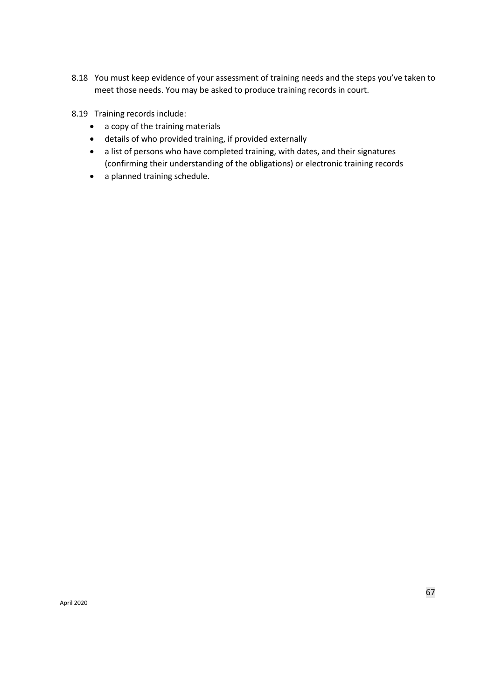- 8.18 You must keep evidence of your assessment of training needs and the steps you've taken to meet those needs. You may be asked to produce training records in court.
- 8.19 Training records include:
	- a copy of the training materials
	- details of who provided training, if provided externally
	- a list of persons who have completed training, with dates, and their signatures (confirming their understanding of the obligations) or electronic training records
	- a planned training schedule.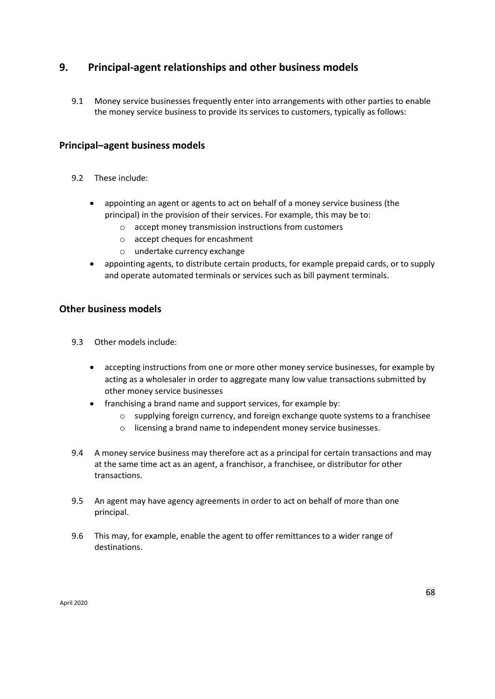# **9. Principal-agent relationships and other business models**

9.1 Money service businesses frequently enter into arrangements with other parties to enable the money service business to provide its services to customers, typically as follows:

## **Principal–agent business models**

- 9.2 These include:
	- appointing an agent or agents to act on behalf of a money service business (the principal) in the provision of their services. For example, this may be to:
		- o accept money transmission instructions from customers
		- o accept cheques for encashment
		- o undertake currency exchange
	- appointing agents, to distribute certain products, for example prepaid cards, or to supply and operate automated terminals or services such as bill payment terminals.

# **Other business models**

- 9.3 Other models include:
	- accepting instructions from one or more other money service businesses, for example by acting as a wholesaler in order to aggregate many low value transactions submitted by other money service businesses
	- franchising a brand name and support services, for example by:
		- o supplying foreign currency, and foreign exchange quote systems to a franchisee
		- o licensing a brand name to independent money service businesses.
- 9.4 A money service business may therefore act as a principal for certain transactions and may at the same time act as an agent, a franchisor, a franchisee, or distributor for other transactions.
- 9.5 An agent may have agency agreements in order to act on behalf of more than one principal.
- 9.6 This may, for example, enable the agent to offer remittances to a wider range of destinations.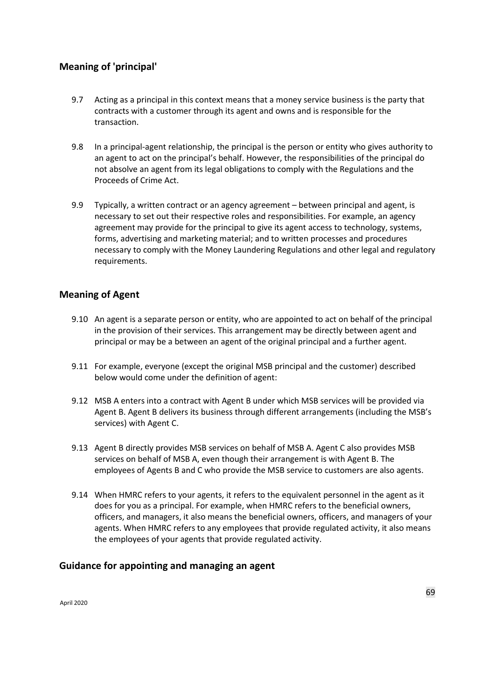# **Meaning of 'principal'**

- 9.7 Acting as a principal in this context means that a money service business is the party that contracts with a customer through its agent and owns and is responsible for the transaction.
- 9.8 In a principal-agent relationship, the principal is the person or entity who gives authority to an agent to act on the principal's behalf. However, the responsibilities of the principal do not absolve an agent from its legal obligations to comply with the Regulations and the Proceeds of Crime Act.
- 9.9 Typically, a written contract or an agency agreement between principal and agent, is necessary to set out their respective roles and responsibilities. For example, an agency agreement may provide for the principal to give its agent access to technology, systems, forms, advertising and marketing material; and to written processes and procedures necessary to comply with the Money Laundering Regulations and other legal and regulatory requirements.

## **Meaning of Agent**

- 9.10 An agent is a separate person or entity, who are appointed to act on behalf of the principal in the provision of their services. This arrangement may be directly between agent and principal or may be a between an agent of the original principal and a further agent.
- 9.11 For example, everyone (except the original MSB principal and the customer) described below would come under the definition of agent:
- 9.12 MSB A enters into a contract with Agent B under which MSB services will be provided via Agent B. Agent B delivers its business through different arrangements (including the MSB's services) with Agent C.
- 9.13 Agent B directly provides MSB services on behalf of MSB A. Agent C also provides MSB services on behalf of MSB A, even though their arrangement is with Agent B. The employees of Agents B and C who provide the MSB service to customers are also agents.
- 9.14 When HMRC refers to your agents, it refers to the equivalent personnel in the agent as it does for you as a principal. For example, when HMRC refers to the beneficial owners, officers, and managers, it also means the beneficial owners, officers, and managers of your agents. When HMRC refers to any employees that provide regulated activity, it also means the employees of your agents that provide regulated activity.

### **Guidance for appointing and managing an agent**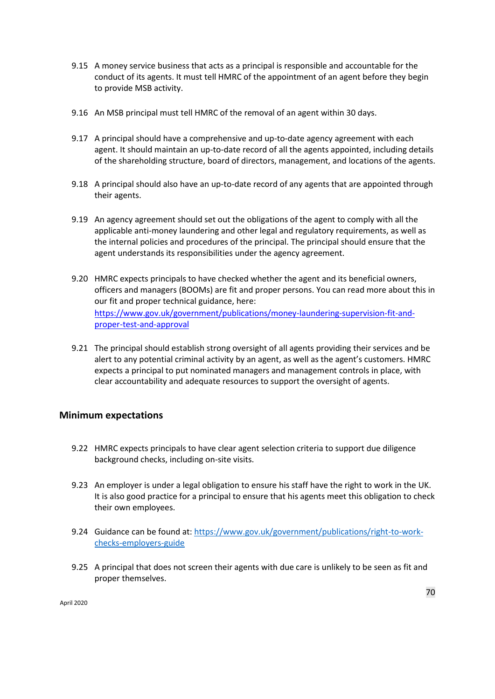- 9.15 A money service business that acts as a principal is responsible and accountable for the conduct of its agents. It must tell HMRC of the appointment of an agent before they begin to provide MSB activity.
- 9.16 An MSB principal must tell HMRC of the removal of an agent within 30 days.
- 9.17 A principal should have a comprehensive and up-to-date agency agreement with each agent. It should maintain an up-to-date record of all the agents appointed, including details of the shareholding structure, board of directors, management, and locations of the agents.
- 9.18 A principal should also have an up-to-date record of any agents that are appointed through their agents.
- 9.19 An agency agreement should set out the obligations of the agent to comply with all the applicable anti-money laundering and other legal and regulatory requirements, as well as the internal policies and procedures of the principal. The principal should ensure that the agent understands its responsibilities under the agency agreement.
- 9.20 HMRC expects principals to have checked whether the agent and its beneficial owners, officers and managers (BOOMs) are fit and proper persons. You can read more about this in our fit and proper technical guidance, here: [https://www.gov.uk/government/publications/money-laundering-supervision-fit-and](https://www.gov.uk/government/publications/money-laundering-supervision-fit-and-proper-test-and-approval)[proper-test-and-approval](https://www.gov.uk/government/publications/money-laundering-supervision-fit-and-proper-test-and-approval)
- 9.21 The principal should establish strong oversight of all agents providing their services and be alert to any potential criminal activity by an agent, as well as the agent's customers. HMRC expects a principal to put nominated managers and management controls in place, with clear accountability and adequate resources to support the oversight of agents.

## **Minimum expectations**

- 9.22 HMRC expects principals to have clear agent selection criteria to support due diligence background checks, including on-site visits.
- 9.23 An employer is under a legal obligation to ensure his staff have the right to work in the UK. It is also good practice for a principal to ensure that his agents meet this obligation to check their own employees.
- 9.24 Guidance can be found at[: https://www.gov.uk/government/publications/right-to-work](https://www.gov.uk/government/publications/right-to-work-checks-employers-guide)[checks-employers-guide](https://www.gov.uk/government/publications/right-to-work-checks-employers-guide)
- 9.25 A principal that does not screen their agents with due care is unlikely to be seen as fit and proper themselves.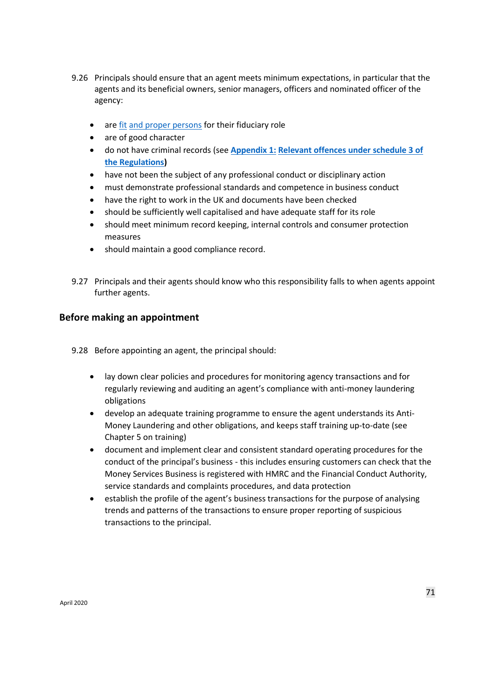- 9.26 Principals should ensure that an agent meets minimum expectations, in particular that the agents and its beneficial owners, senior managers, officers and nominated officer of the agency:
	- are [fit](https://www.gov.uk/guidance/money-laundering-regulations-apply-for-the-fit-and-proper-test) [and proper persons](https://www.gov.uk/guidance/money-laundering-regulations-apply-for-the-fit-and-proper-test) for their fiduciary role
	- are of good character
	- do not have criminal records (see **[Appendix 1:](https://www.gov.uk/government/publications/money-laundering-supervision-fit-and-proper-test-and-approval) [Relevant offences under](https://www.gov.uk/government/publications/money-laundering-supervision-fit-and-proper-test-and-approval) [schedule 3 of](https://www.gov.uk/government/publications/money-laundering-supervision-fit-and-proper-test-and-approval)  [the Regulations\)](https://www.gov.uk/government/publications/money-laundering-supervision-fit-and-proper-test-and-approval)**
	- have not been the subject of any professional conduct or disciplinary action
	- must demonstrate professional standards and competence in business conduct
	- have the right to work in the UK and documents have been checked
	- should be sufficiently well capitalised and have adequate staff for its role
	- should meet minimum record keeping, internal controls and consumer protection measures
	- should maintain a good compliance record.
- 9.27 Principals and their agents should know who this responsibility falls to when agents appoint further agents.

#### **Before making an appointment**

9.28 Before appointing an agent, the principal should:

- lay down clear policies and procedures for monitoring agency transactions and for regularly reviewing and auditing an agent's compliance with anti-money laundering obligations
- develop an adequate training programme to ensure the agent understands its Anti-Money Laundering and other obligations, and keeps staff training up-to-date (see Chapter 5 on training)
- document and implement clear and consistent standard operating procedures for the conduct of the principal's business - this includes ensuring customers can check that the Money Services Business is registered with HMRC and the Financial Conduct Authority, service standards and complaints procedures, and data protection
- establish the profile of the agent's business transactions for the purpose of analysing trends and patterns of the transactions to ensure proper reporting of suspicious transactions to the principal.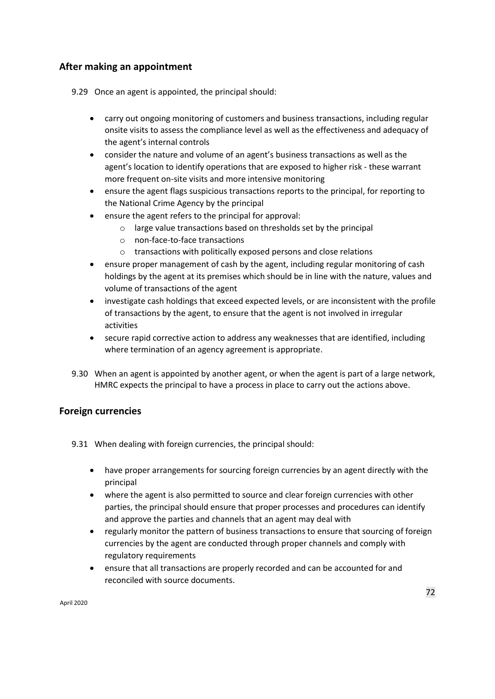# **After making an appointment**

9.29 Once an agent is appointed, the principal should:

- carry out ongoing monitoring of customers and business transactions, including regular onsite visits to assess the compliance level as well as the effectiveness and adequacy of the agent's internal controls
- consider the nature and volume of an agent's business transactions as well as the agent's location to identify operations that are exposed to higher risk - these warrant more frequent on-site visits and more intensive monitoring
- ensure the agent flags suspicious transactions reports to the principal, for reporting to the National Crime Agency by the principal
- ensure the agent refers to the principal for approval:
	- o large value transactions based on thresholds set by the principal
	- o non-face-to-face transactions
	- o transactions with politically exposed persons and close relations
- ensure proper management of cash by the agent, including regular monitoring of cash holdings by the agent at its premises which should be in line with the nature, values and volume of transactions of the agent
- investigate cash holdings that exceed expected levels, or are inconsistent with the profile of transactions by the agent, to ensure that the agent is not involved in irregular activities
- secure rapid corrective action to address any weaknesses that are identified, including where termination of an agency agreement is appropriate.
- 9.30 When an agent is appointed by another agent, or when the agent is part of a large network, HMRC expects the principal to have a process in place to carry out the actions above.

## **Foreign currencies**

9.31 When dealing with foreign currencies, the principal should:

- have proper arrangements for sourcing foreign currencies by an agent directly with the principal
- where the agent is also permitted to source and clear foreign currencies with other parties, the principal should ensure that proper processes and procedures can identify and approve the parties and channels that an agent may deal with
- regularly monitor the pattern of business transactions to ensure that sourcing of foreign currencies by the agent are conducted through proper channels and comply with regulatory requirements
- ensure that all transactions are properly recorded and can be accounted for and reconciled with source documents.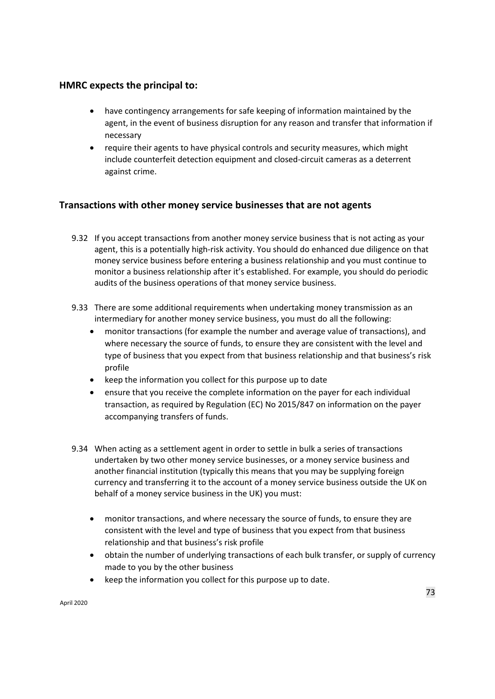# **HMRC expects the principal to:**

- have contingency arrangements for safe keeping of information maintained by the agent, in the event of business disruption for any reason and transfer that information if necessary
- require their agents to have physical controls and security measures, which might include counterfeit detection equipment and closed-circuit cameras as a deterrent against crime.

# **Transactions with other money service businesses that are not agents**

- 9.32 If you accept transactions from another money service business that is not acting as your agent, this is a potentially high-risk activity. You should do enhanced due diligence on that money service business before entering a business relationship and you must continue to monitor a business relationship after it's established. For example, you should do periodic audits of the business operations of that money service business.
- 9.33 There are some additional requirements when undertaking money transmission as an intermediary for another money service business, you must do all the following:
	- monitor transactions (for example the number and average value of transactions), and where necessary the source of funds, to ensure they are consistent with the level and type of business that you expect from that business relationship and that business's risk profile
	- keep the information you collect for this purpose up to date
	- ensure that you receive the complete information on the payer for each individual transaction, as required by Regulation (EC) No 2015/847 on information on the payer accompanying transfers of funds.
- 9.34 When acting as a settlement agent in order to settle in bulk a series of transactions undertaken by two other money service businesses, or a money service business and another financial institution (typically this means that you may be supplying foreign currency and transferring it to the account of a money service business outside the UK on behalf of a money service business in the UK) you must:
	- monitor transactions, and where necessary the source of funds, to ensure they are consistent with the level and type of business that you expect from that business relationship and that business's risk profile
	- obtain the number of underlying transactions of each bulk transfer, or supply of currency made to you by the other business
	- keep the information you collect for this purpose up to date.

April 2020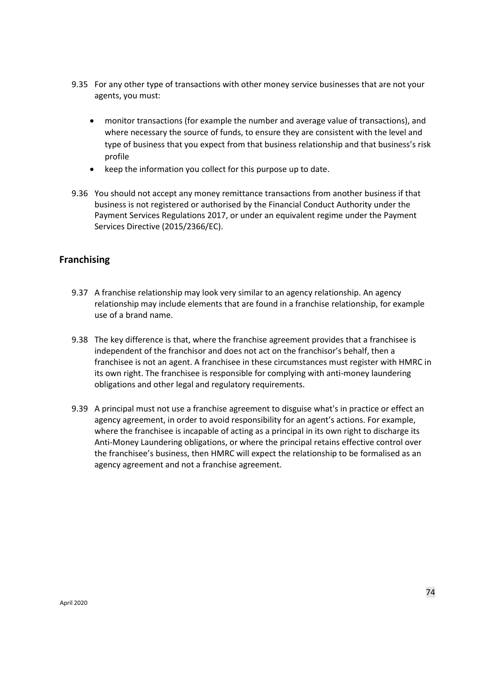- 9.35 For any other type of transactions with other money service businesses that are not your agents, you must:
	- monitor transactions (for example the number and average value of transactions), and where necessary the source of funds, to ensure they are consistent with the level and type of business that you expect from that business relationship and that business's risk profile
	- keep the information you collect for this purpose up to date.
- 9.36 You should not accept any money remittance transactions from another business if that business is not registered or authorised by the Financial Conduct Authority under the Payment Services Regulations 2017, or under an equivalent regime under the Payment Services Directive (2015/2366/EC).

# **Franchising**

- 9.37 A franchise relationship may look very similar to an agency relationship. An agency relationship may include elements that are found in a franchise relationship, for example use of a brand name.
- 9.38 The key difference is that, where the franchise agreement provides that a franchisee is independent of the franchisor and does not act on the franchisor's behalf, then a franchisee is not an agent. A franchisee in these circumstances must register with HMRC in its own right. The franchisee is responsible for complying with anti-money laundering obligations and other legal and regulatory requirements.
- 9.39 A principal must not use a franchise agreement to disguise what's in practice or effect an agency agreement, in order to avoid responsibility for an agent's actions. For example, where the franchisee is incapable of acting as a principal in its own right to discharge its Anti-Money Laundering obligations, or where the principal retains effective control over the franchisee's business, then HMRC will expect the relationship to be formalised as an agency agreement and not a franchise agreement.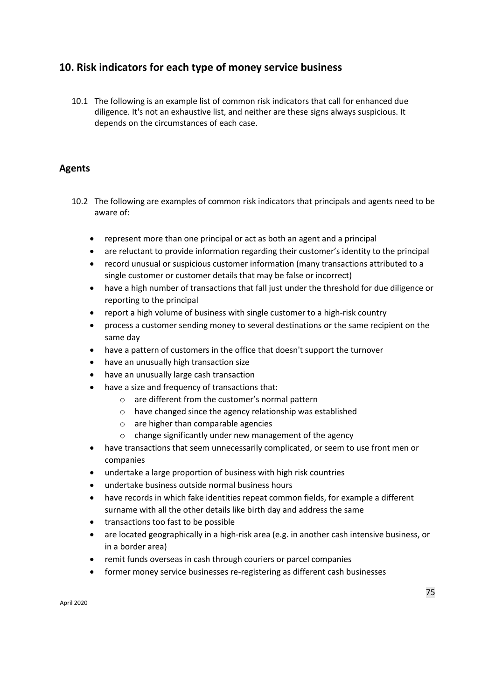# **10. Risk indicators for each type of money service business**

10.1 The following is an example list of common risk indicators that call for enhanced due diligence. It's not an exhaustive list, and neither are these signs always suspicious. It depends on the circumstances of each case.

# **Agents**

- 10.2 The following are examples of common risk indicators that principals and agents need to be aware of:
	- represent more than one principal or act as both an agent and a principal
	- are reluctant to provide information regarding their customer's identity to the principal
	- record unusual or suspicious customer information (many transactions attributed to a single customer or customer details that may be false or incorrect)
	- have a high number of transactions that fall just under the threshold for due diligence or reporting to the principal
	- report a high volume of business with single customer to a high-risk country
	- process a customer sending money to several destinations or the same recipient on the same day
	- have a pattern of customers in the office that doesn't support the turnover
	- have an unusually high transaction size
	- have an unusually large cash transaction
	- have a size and frequency of transactions that:
		- o are different from the customer's normal pattern
		- o have changed since the agency relationship was established
		- o are higher than comparable agencies
		- o change significantly under new management of the agency
	- have transactions that seem unnecessarily complicated, or seem to use front men or companies
	- undertake a large proportion of business with high risk countries
	- undertake business outside normal business hours
	- have records in which fake identities repeat common fields, for example a different surname with all the other details like birth day and address the same
	- transactions too fast to be possible
	- are located geographically in a high-risk area (e.g. in another cash intensive business, or in a border area)
	- remit funds overseas in cash through couriers or parcel companies
	- former money service businesses re-registering as different cash businesses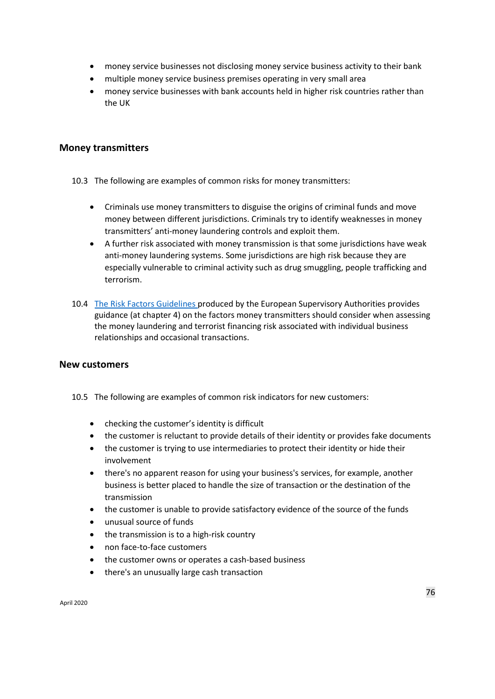- money service businesses not disclosing money service business activity to their bank
- multiple money service business premises operating in very small area
- money service businesses with bank accounts held in higher risk countries rather than the UK

#### **Money transmitters**

- 10.3 The following are examples of common risks for money transmitters:
	- Criminals use money transmitters to disguise the origins of criminal funds and move money between different jurisdictions. Criminals try to identify weaknesses in money transmitters' anti-money laundering controls and exploit them.
	- A further risk associated with money transmission is that some jurisdictions have weak anti-money laundering systems. Some jurisdictions are high risk because they are especially vulnerable to criminal activity such as drug smuggling, people trafficking and terrorism.
- 10.4 [The Risk Factors Guidelines](https://www.eba.europa.eu/documents/10180/1890686/Final+Guidelines+on+Risk+Factors+%28JC+2017+37%29.pdf) produced by the European Supervisory Authorities provides guidance (at chapter 4) on the factors money transmitters should consider when assessing the money laundering and terrorist financing risk associated with individual business relationships and occasional transactions.

#### **New customers**

- 10.5 The following are examples of common risk indicators for new customers:
	- checking the customer's identity is difficult
	- the customer is reluctant to provide details of their identity or provides fake documents
	- the customer is trying to use intermediaries to protect their identity or hide their involvement
	- there's no apparent reason for using your business's services, for example, another business is better placed to handle the size of transaction or the destination of the transmission
	- the customer is unable to provide satisfactory evidence of the source of the funds
	- unusual source of funds
	- the transmission is to a high-risk country
	- non face-to-face customers
	- the customer owns or operates a cash-based business
	- there's an unusually large cash transaction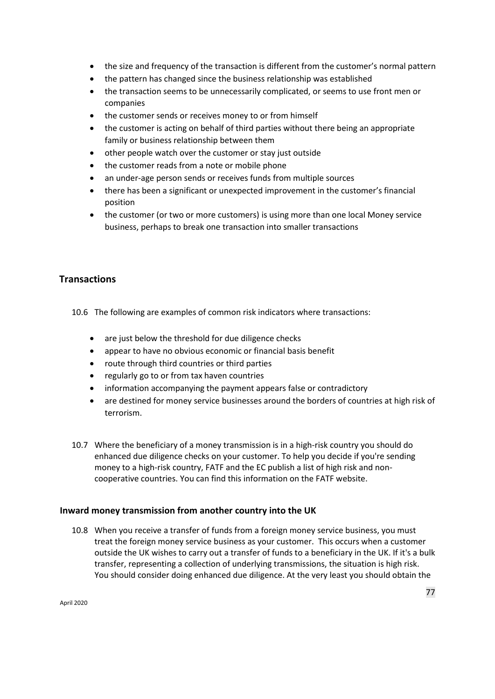- the size and frequency of the transaction is different from the customer's normal pattern
- the pattern has changed since the business relationship was established
- the transaction seems to be unnecessarily complicated, or seems to use front men or companies
- the customer sends or receives money to or from himself
- the customer is acting on behalf of third parties without there being an appropriate family or business relationship between them
- other people watch over the customer or stay just outside
- the customer reads from a note or mobile phone
- an under-age person sends or receives funds from multiple sources
- there has been a significant or unexpected improvement in the customer's financial position
- the customer (or two or more customers) is using more than one local Money service business, perhaps to break one transaction into smaller transactions

# **Transactions**

10.6 The following are examples of common risk indicators where transactions:

- are just below the threshold for due diligence checks
- appear to have no obvious economic or financial basis benefit
- route through third countries or third parties
- regularly go to or from tax haven countries
- information accompanying the payment appears false or contradictory
- are destined for money service businesses around the borders of countries at high risk of terrorism.
- 10.7 Where the beneficiary of a money transmission is in a high-risk country you should do enhanced due diligence checks on your customer. To help you decide if you're sending money to a high-risk country, FATF and the EC publish a list of high risk and noncooperative countries. You can find this information on the FATF website.

#### **Inward money transmission from another country into the UK**

10.8 When you receive a transfer of funds from a foreign money service business, you must treat the foreign money service business as your customer. This occurs when a customer outside the UK wishes to carry out a transfer of funds to a beneficiary in the UK. If it's a bulk transfer, representing a collection of underlying transmissions, the situation is high risk. You should consider doing enhanced due diligence. At the very least you should obtain the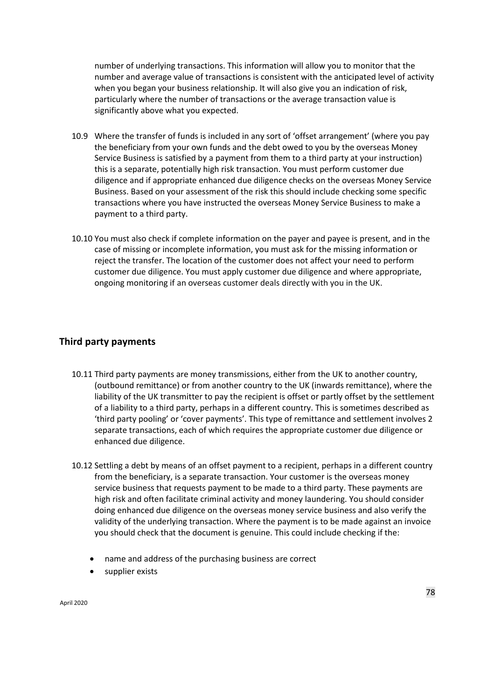number of underlying transactions. This information will allow you to monitor that the number and average value of transactions is consistent with the anticipated level of activity when you began your business relationship. It will also give you an indication of risk, particularly where the number of transactions or the average transaction value is significantly above what you expected.

- 10.9 Where the transfer of funds is included in any sort of 'offset arrangement' (where you pay the beneficiary from your own funds and the debt owed to you by the overseas Money Service Business is satisfied by a payment from them to a third party at your instruction) this is a separate, potentially high risk transaction. You must perform customer due diligence and if appropriate enhanced due diligence checks on the overseas Money Service Business. Based on your assessment of the risk this should include checking some specific transactions where you have instructed the overseas Money Service Business to make a payment to a third party.
- 10.10 You must also check if complete information on the payer and payee is present, and in the case of missing or incomplete information, you must ask for the missing information or reject the transfer. The location of the customer does not affect your need to perform customer due diligence. You must apply customer due diligence and where appropriate, ongoing monitoring if an overseas customer deals directly with you in the UK.

#### **Third party payments**

- 10.11 Third party payments are money transmissions, either from the UK to another country, (outbound remittance) or from another country to the UK (inwards remittance), where the liability of the UK transmitter to pay the recipient is offset or partly offset by the settlement of a liability to a third party, perhaps in a different country. This is sometimes described as 'third party pooling' or 'cover payments'. This type of remittance and settlement involves 2 separate transactions, each of which requires the appropriate customer due diligence or enhanced due diligence.
- 10.12 Settling a debt by means of an offset payment to a recipient, perhaps in a different country from the beneficiary, is a separate transaction. Your customer is the overseas money service business that requests payment to be made to a third party. These payments are high risk and often facilitate criminal activity and money laundering. You should consider doing enhanced due diligence on the overseas money service business and also verify the validity of the underlying transaction. Where the payment is to be made against an invoice you should check that the document is genuine. This could include checking if the:
	- name and address of the purchasing business are correct
	- supplier exists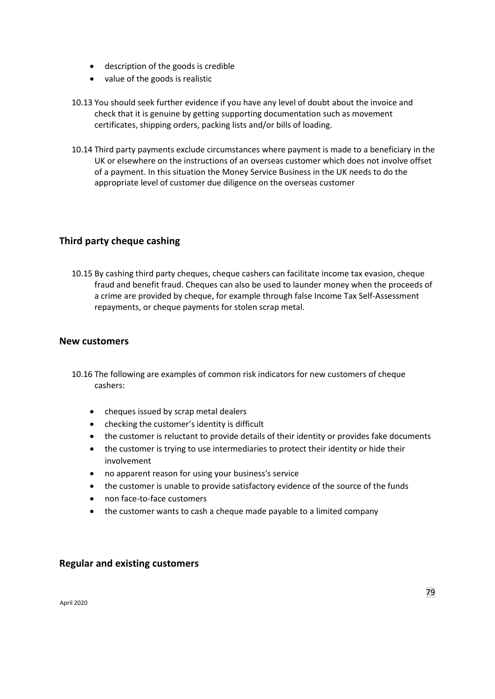- description of the goods is credible
- value of the goods is realistic
- 10.13 You should seek further evidence if you have any level of doubt about the invoice and check that it is genuine by getting supporting documentation such as movement certificates, shipping orders, packing lists and/or bills of loading.
- 10.14 Third party payments exclude circumstances where payment is made to a beneficiary in the UK or elsewhere on the instructions of an overseas customer which does not involve offset of a payment. In this situation the Money Service Business in the UK needs to do the appropriate level of customer due diligence on the overseas customer

# **Third party cheque cashing**

10.15 By cashing third party cheques, cheque cashers can facilitate income tax evasion, cheque fraud and benefit fraud. Cheques can also be used to launder money when the proceeds of a crime are provided by cheque, for example through false Income Tax Self-Assessment repayments, or cheque payments for stolen scrap metal.

#### **New customers**

- 10.16 The following are examples of common risk indicators for new customers of cheque cashers:
	- cheques issued by scrap metal dealers
	- checking the customer's identity is difficult
	- the customer is reluctant to provide details of their identity or provides fake documents
	- the customer is trying to use intermediaries to protect their identity or hide their involvement
	- no apparent reason for using your business's service
	- the customer is unable to provide satisfactory evidence of the source of the funds
	- non face-to-face customers
	- the customer wants to cash a cheque made payable to a limited company

#### **Regular and existing customers**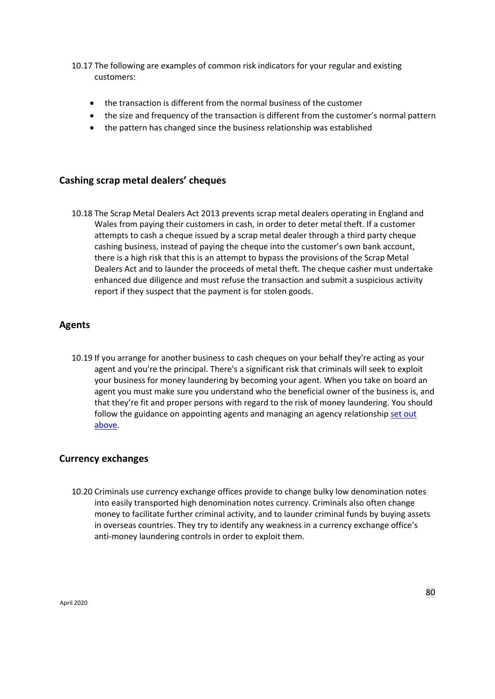- 10.17 The following are examples of common risk indicators for your regular and existing customers:
	- the transaction is different from the normal business of the customer
	- the size and frequency of the transaction is different from the customer's normal pattern
	- the pattern has changed since the business relationship was established

# **Cashing scrap metal dealers' cheques**

10.18 The Scrap Metal Dealers Act 2013 prevents scrap metal dealers operating in England and Wales from paying their customers in cash, in order to deter metal theft. If a customer attempts to cash a cheque issued by a scrap metal dealer through a third party cheque cashing business, instead of paying the cheque into the customer's own bank account, there is a high risk that this is an attempt to bypass the provisions of the Scrap Metal Dealers Act and to launder the proceeds of metal theft. The cheque casher must undertake enhanced due diligence and must refuse the transaction and submit a suspicious activity report if they suspect that the payment is for stolen goods.

# **Agents**

10.19 If you arrange for another business to cash cheques on your behalf they're acting as your agent and you're the principal. There's a significant risk that criminals will seek to exploit your business for money laundering by becoming your agent. When you take on board an agent you must make sure you understand who the beneficial owner of the business is, and that they're fit and proper persons with regard to the risk of money laundering. You should follow the guidance on appointing agents and managing an agency relationship set out [above.](#page-67-0)

#### **Currency exchanges**

10.20 Criminals use currency exchange offices provide to change bulky low denomination notes into easily transported high denomination notes currency. Criminals also often change money to facilitate further criminal activity, and to launder criminal funds by buying assets in overseas countries. They try to identify any weakness in a currency exchange office's anti-money laundering controls in order to exploit them.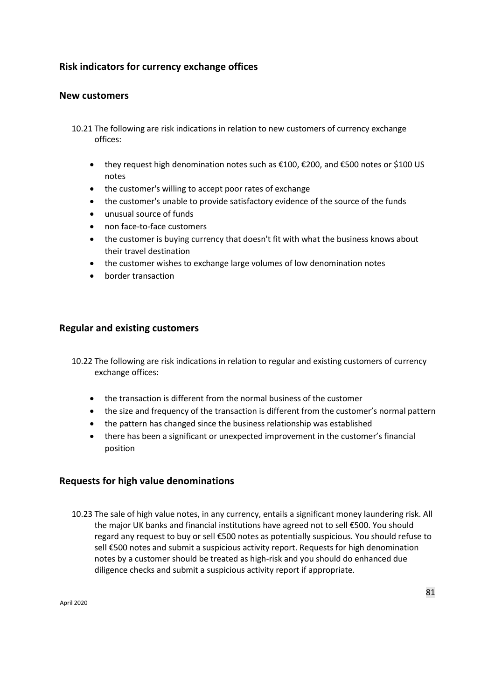# **Risk indicators for currency exchange offices**

### **New customers**

- 10.21 The following are risk indications in relation to new customers of currency exchange offices:
	- they request high denomination notes such as €100, €200, and €500 notes or \$100 US notes
	- the customer's willing to accept poor rates of exchange
	- the customer's unable to provide satisfactory evidence of the source of the funds
	- unusual source of funds
	- non face-to-face customers
	- the customer is buying currency that doesn't fit with what the business knows about their travel destination
	- the customer wishes to exchange large volumes of low denomination notes
	- border transaction

# **Regular and existing customers**

- 10.22 The following are risk indications in relation to regular and existing customers of currency exchange offices:
	- the transaction is different from the normal business of the customer
	- the size and frequency of the transaction is different from the customer's normal pattern
	- the pattern has changed since the business relationship was established
	- there has been a significant or unexpected improvement in the customer's financial position

#### **Requests for high value denominations**

10.23 The sale of high value notes, in any currency, entails a significant money laundering risk. All the major UK banks and financial institutions have agreed not to sell €500. You should regard any request to buy or sell €500 notes as potentially suspicious. You should refuse to sell €500 notes and submit a suspicious activity report. Requests for high denomination notes by a customer should be treated as high-risk and you should do enhanced due diligence checks and submit a suspicious activity report if appropriate.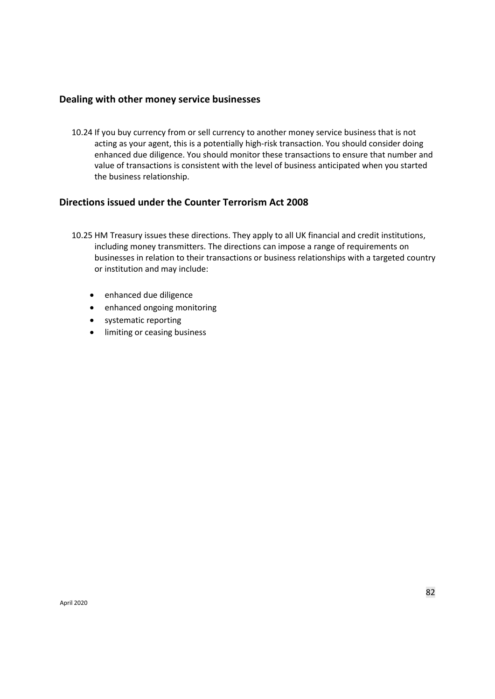#### **Dealing with other money service businesses**

10.24 If you buy currency from or sell currency to another money service business that is not acting as your agent, this is a potentially high-risk transaction. You should consider doing enhanced due diligence. You should monitor these transactions to ensure that number and value of transactions is consistent with the level of business anticipated when you started the business relationship.

# **Directions issued under the Counter Terrorism Act 2008**

- 10.25 HM Treasury issues these directions. They apply to all UK financial and credit institutions, including money transmitters. The directions can impose a range of requirements on businesses in relation to their transactions or business relationships with a targeted country or institution and may include:
	- enhanced due diligence
	- enhanced ongoing monitoring
	- systematic reporting
	- limiting or ceasing business